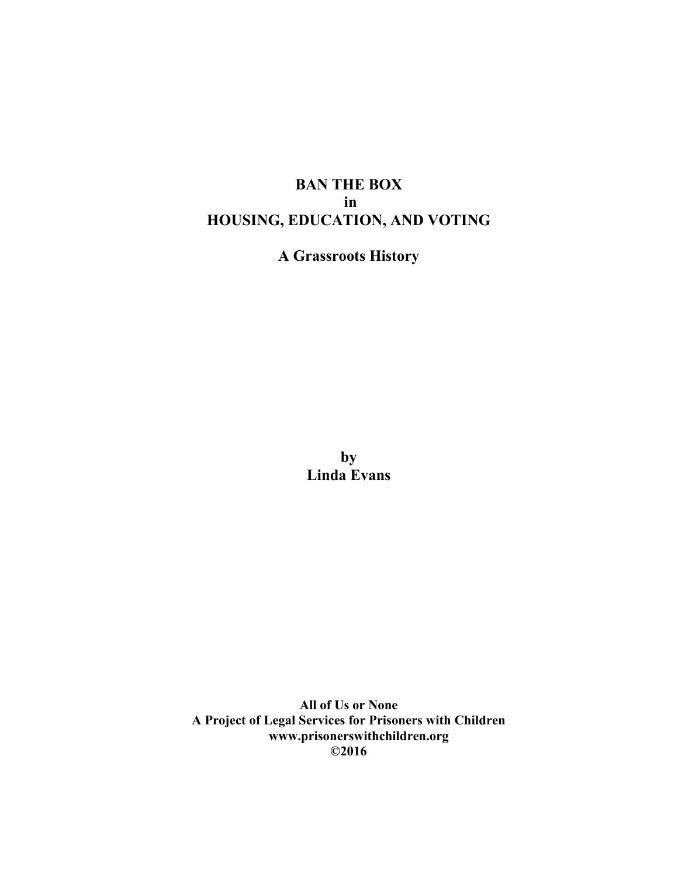# **BAN THE BOX in HOUSING, EDUCATION, AND VOTING**

**A Grassroots History**

**by Linda Evans**

**All of Us or None A Project of Legal Services for Prisoners with Children www.prisonerswithchildren.org ©2016**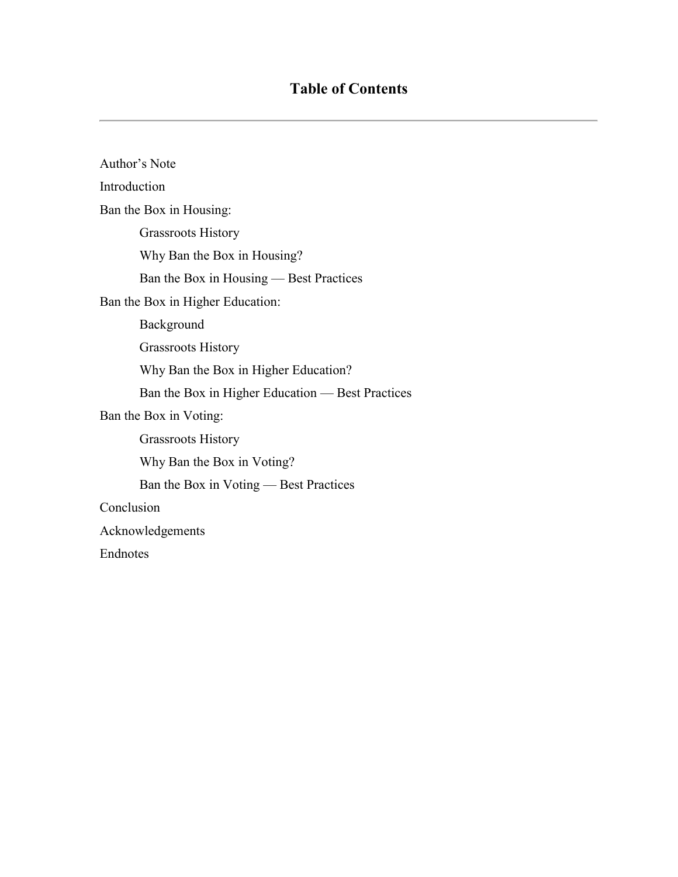| Author's Note                                    |
|--------------------------------------------------|
| Introduction                                     |
| Ban the Box in Housing:                          |
| <b>Grassroots History</b>                        |
| Why Ban the Box in Housing?                      |
| Ban the Box in Housing — Best Practices          |
| Ban the Box in Higher Education:                 |
| Background                                       |
| <b>Grassroots History</b>                        |
| Why Ban the Box in Higher Education?             |
| Ban the Box in Higher Education — Best Practices |
| Ban the Box in Voting:                           |
| <b>Grassroots History</b>                        |
| Why Ban the Box in Voting?                       |
| Ban the Box in Voting — Best Practices           |
| Conclusion                                       |
| Acknowledgements                                 |
| Endnotes                                         |
|                                                  |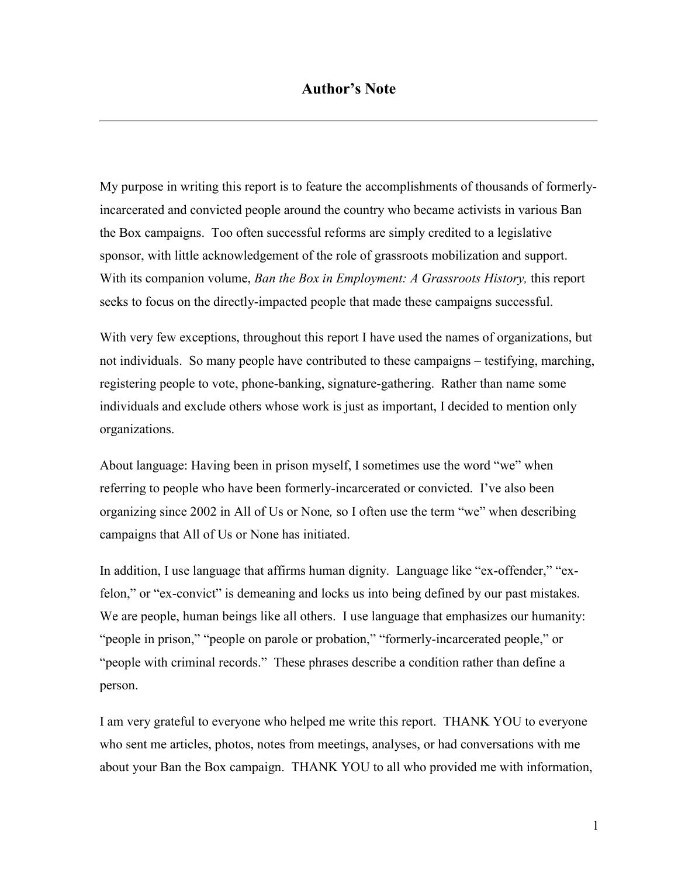My purpose in writing this report is to feature the accomplishments of thousands of formerlyincarcerated and convicted people around the country who became activists in various Ban the Box campaigns. Too often successful reforms are simply credited to a legislative sponsor, with little acknowledgement of the role of grassroots mobilization and support. With its companion volume, *Ban the Box in Employment: A Grassroots History,* this report seeks to focus on the directly-impacted people that made these campaigns successful.

With very few exceptions, throughout this report I have used the names of organizations, but not individuals. So many people have contributed to these campaigns – testifying, marching, registering people to vote, phone-banking, signature-gathering. Rather than name some individuals and exclude others whose work is just as important, I decided to mention only organizations.

About language: Having been in prison myself, I sometimes use the word "we" when referring to people who have been formerly-incarcerated or convicted. I've also been organizing since 2002 in All of Us or None*,* so I often use the term "we" when describing campaigns that All of Us or None has initiated.

In addition, I use language that affirms human dignity. Language like "ex-offender," "exfelon," or "ex-convict" is demeaning and locks us into being defined by our past mistakes. We are people, human beings like all others. I use language that emphasizes our humanity: "people in prison," "people on parole or probation," "formerly-incarcerated people," or "people with criminal records." These phrases describe a condition rather than define a person.

I am very grateful to everyone who helped me write this report. THANK YOU to everyone who sent me articles, photos, notes from meetings, analyses, or had conversations with me about your Ban the Box campaign. THANK YOU to all who provided me with information,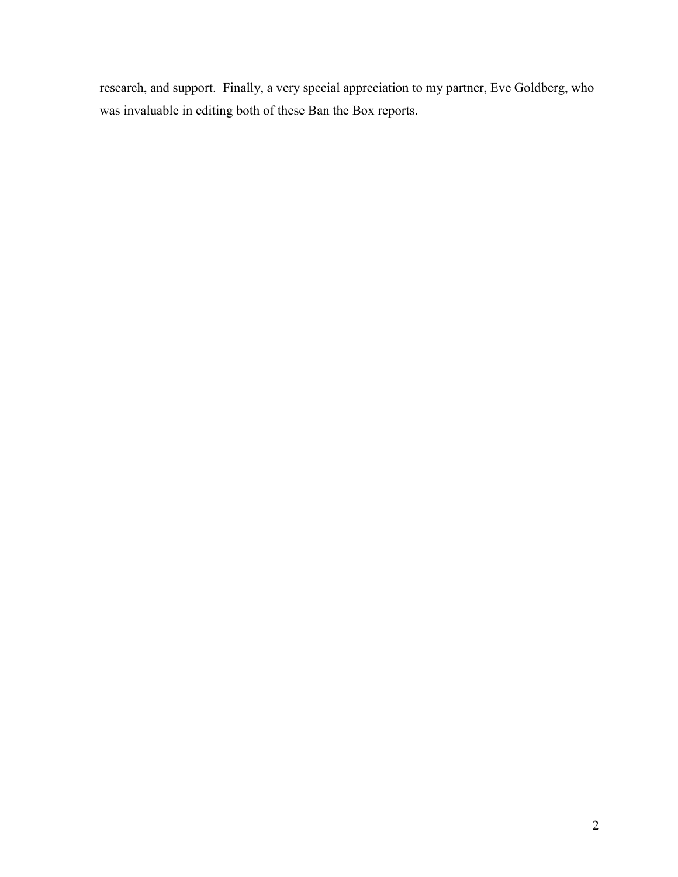research, and support. Finally, a very special appreciation to my partner, Eve Goldberg, who was invaluable in editing both of these Ban the Box reports.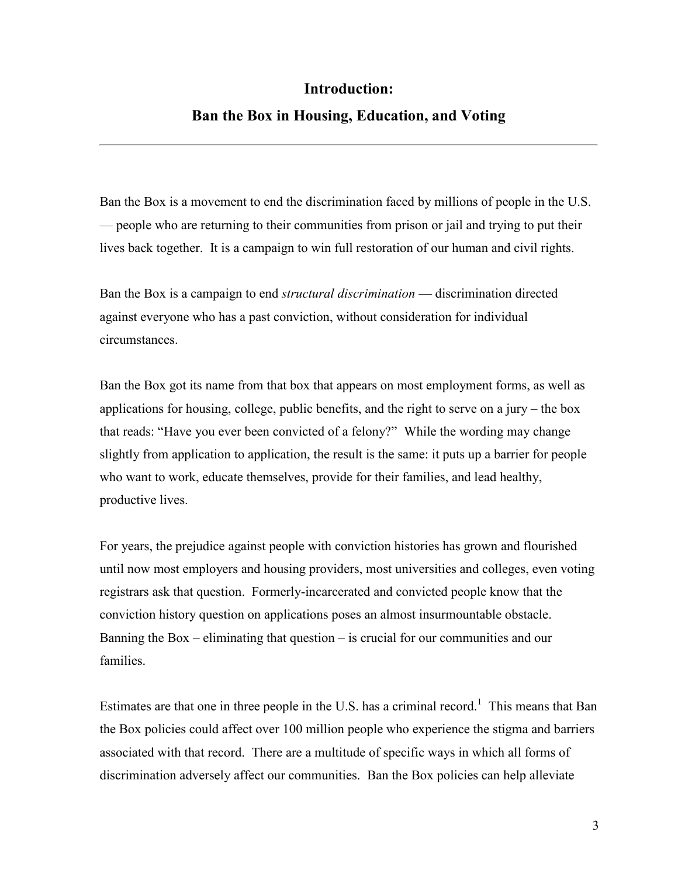# **Introduction:**

# **Ban the Box in Housing, Education, and Voting**

Ban the Box is a movement to end the discrimination faced by millions of people in the U.S. — people who are returning to their communities from prison or jail and trying to put their lives back together. It is a campaign to win full restoration of our human and civil rights.

Ban the Box is a campaign to end *structural discrimination* — discrimination directed against everyone who has a past conviction, without consideration for individual circumstances.

Ban the Box got its name from that box that appears on most employment forms, as well as applications for housing, college, public benefits, and the right to serve on a jury – the box that reads: "Have you ever been convicted of a felony?" While the wording may change slightly from application to application, the result is the same: it puts up a barrier for people who want to work, educate themselves, provide for their families, and lead healthy, productive lives.

For years, the prejudice against people with conviction histories has grown and flourished until now most employers and housing providers, most universities and colleges, even voting registrars ask that question. Formerly-incarcerated and convicted people know that the conviction history question on applications poses an almost insurmountable obstacle. Banning the Box – eliminating that question – is crucial for our communities and our families.

Estimates are that one in three people in the U.S. has a criminal record.<sup>1</sup> This means that Ban the Box policies could affect over 100 million people who experience the stigma and barriers associated with that record. There are a multitude of specific ways in which all forms of discrimination adversely affect our communities. Ban the Box policies can help alleviate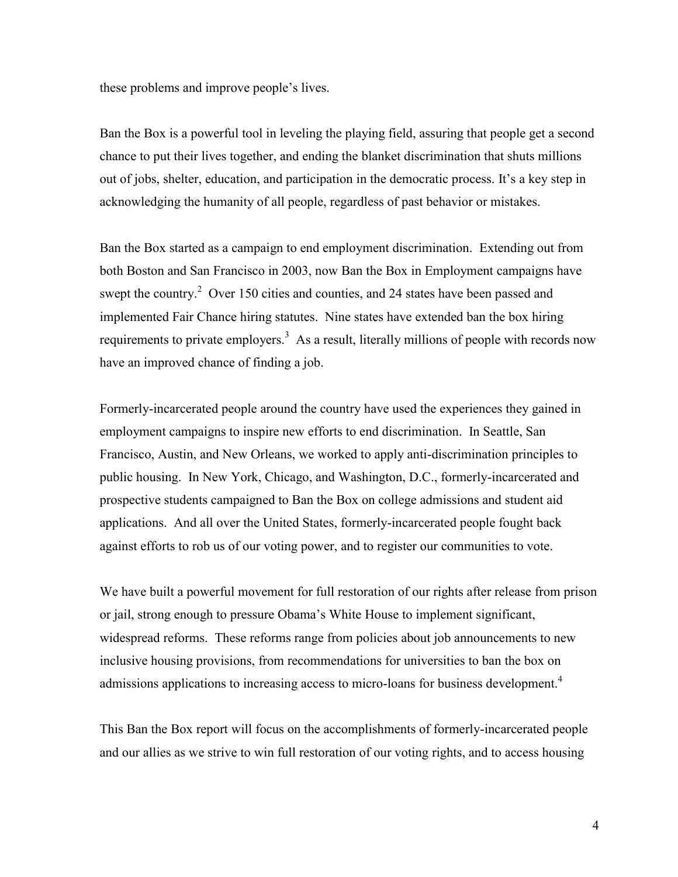these problems and improve people's lives.

Ban the Box is a powerful tool in leveling the playing field, assuring that people get a second chance to put their lives together, and ending the blanket discrimination that shuts millions out of jobs, shelter, education, and participation in the democratic process. It's a key step in acknowledging the humanity of all people, regardless of past behavior or mistakes.

Ban the Box started as a campaign to end employment discrimination. Extending out from both Boston and San Francisco in 2003, now Ban the Box in Employment campaigns have swept the country.<sup>2</sup> Over 150 cities and counties, and 24 states have been passed and implemented Fair Chance hiring statutes. Nine states have extended ban the box hiring requirements to private employers.<sup>3</sup> As a result, literally millions of people with records now have an improved chance of finding a job.

Formerly-incarcerated people around the country have used the experiences they gained in employment campaigns to inspire new efforts to end discrimination. In Seattle, San Francisco, Austin, and New Orleans, we worked to apply anti-discrimination principles to public housing. In New York, Chicago, and Washington, D.C., formerly-incarcerated and prospective students campaigned to Ban the Box on college admissions and student aid applications. And all over the United States, formerly-incarcerated people fought back against efforts to rob us of our voting power, and to register our communities to vote.

We have built a powerful movement for full restoration of our rights after release from prison or jail, strong enough to pressure Obama's White House to implement significant, widespread reforms. These reforms range from policies about job announcements to new inclusive housing provisions, from recommendations for universities to ban the box on admissions applications to increasing access to micro-loans for business development.<sup>4</sup>

This Ban the Box report will focus on the accomplishments of formerly-incarcerated people and our allies as we strive to win full restoration of our voting rights, and to access housing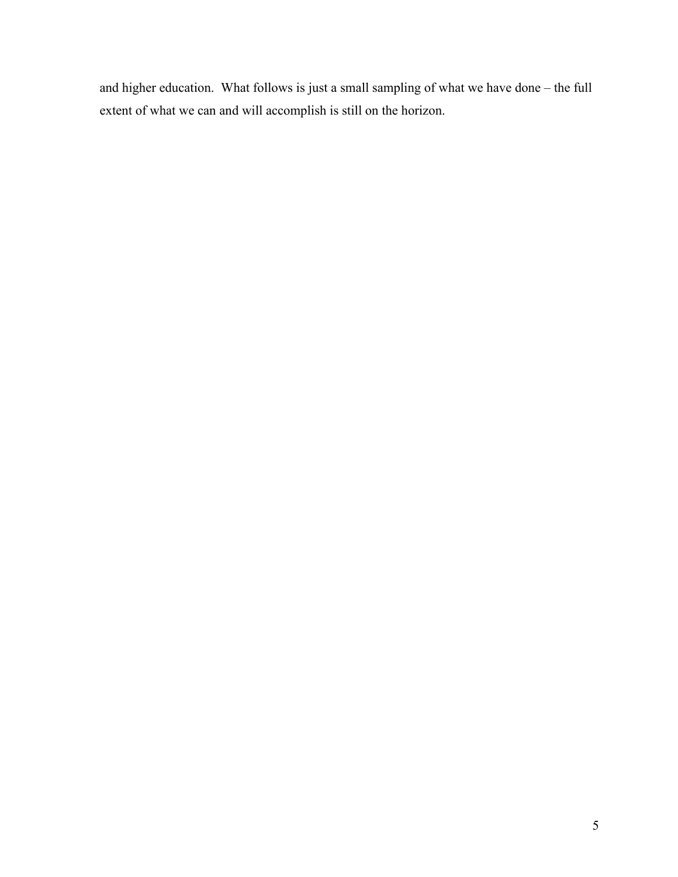and higher education. What follows is just a small sampling of what we have done – the full extent of what we can and will accomplish is still on the horizon.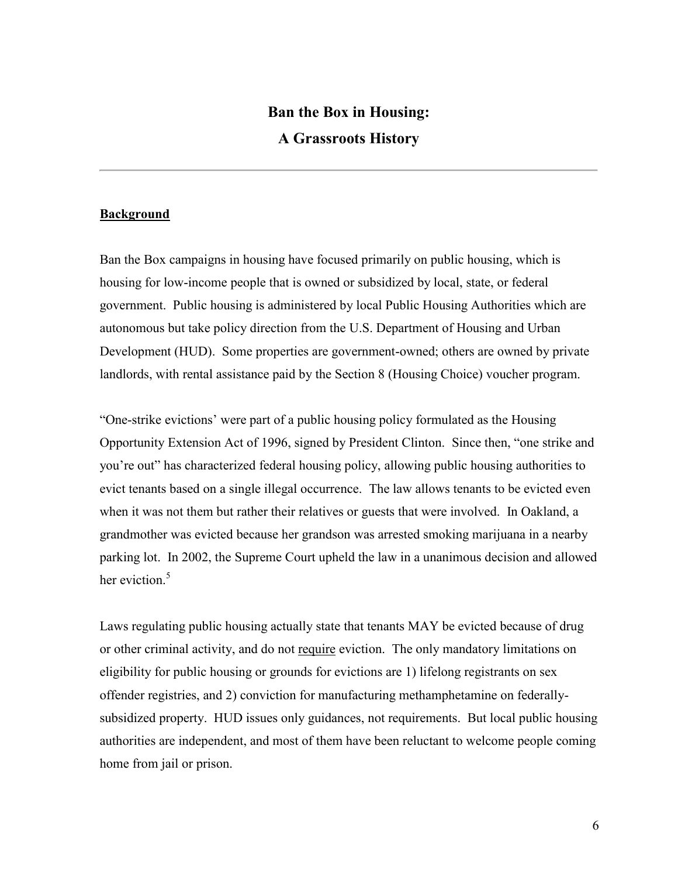# **Ban the Box in Housing: A Grassroots History**

### **Background**

Ban the Box campaigns in housing have focused primarily on public housing, which is housing for low-income people that is owned or subsidized by local, state, or federal government. Public housing is administered by local Public Housing Authorities which are autonomous but take policy direction from the U.S. Department of Housing and Urban Development (HUD). Some properties are government-owned; others are owned by private landlords, with rental assistance paid by the Section 8 (Housing Choice) voucher program.

"One-strike evictions' were part of a public housing policy formulated as the Housing Opportunity Extension Act of 1996, signed by President Clinton. Since then, "one strike and you're out" has characterized federal housing policy, allowing public housing authorities to evict tenants based on a single illegal occurrence. The law allows tenants to be evicted even when it was not them but rather their relatives or guests that were involved. In Oakland, a grandmother was evicted because her grandson was arrested smoking marijuana in a nearby parking lot. In 2002, the Supreme Court upheld the law in a unanimous decision and allowed her eviction.<sup>5</sup>

Laws regulating public housing actually state that tenants MAY be evicted because of drug or other criminal activity, and do not require eviction. The only mandatory limitations on eligibility for public housing or grounds for evictions are 1) lifelong registrants on sex offender registries, and 2) conviction for manufacturing methamphetamine on federallysubsidized property. HUD issues only guidances, not requirements. But local public housing authorities are independent, and most of them have been reluctant to welcome people coming home from jail or prison.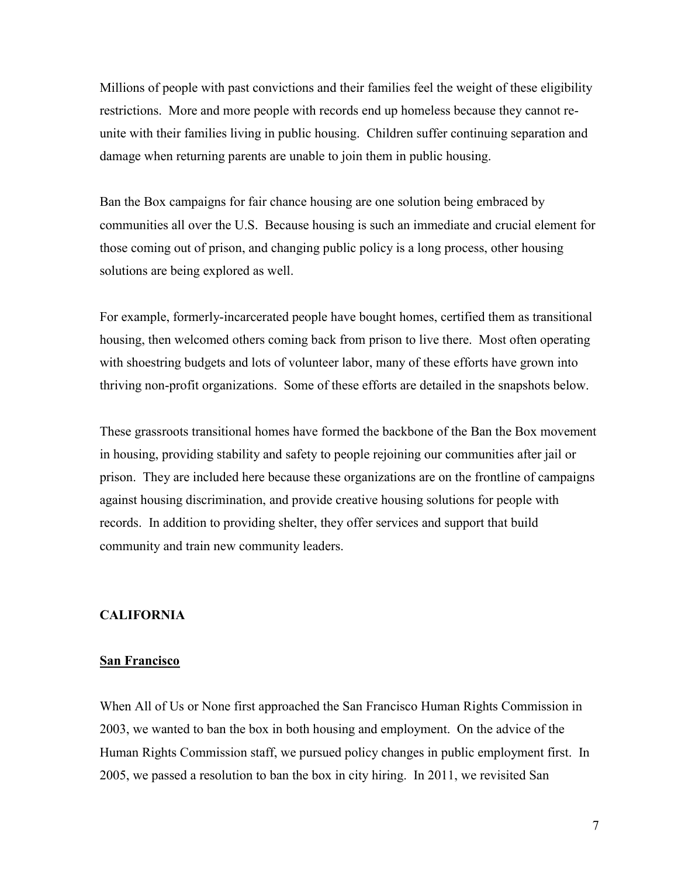Millions of people with past convictions and their families feel the weight of these eligibility restrictions. More and more people with records end up homeless because they cannot reunite with their families living in public housing. Children suffer continuing separation and damage when returning parents are unable to join them in public housing.

Ban the Box campaigns for fair chance housing are one solution being embraced by communities all over the U.S. Because housing is such an immediate and crucial element for those coming out of prison, and changing public policy is a long process, other housing solutions are being explored as well.

For example, formerly-incarcerated people have bought homes, certified them as transitional housing, then welcomed others coming back from prison to live there. Most often operating with shoestring budgets and lots of volunteer labor, many of these efforts have grown into thriving non-profit organizations. Some of these efforts are detailed in the snapshots below.

These grassroots transitional homes have formed the backbone of the Ban the Box movement in housing, providing stability and safety to people rejoining our communities after jail or prison. They are included here because these organizations are on the frontline of campaigns against housing discrimination, and provide creative housing solutions for people with records. In addition to providing shelter, they offer services and support that build community and train new community leaders.

### **CALIFORNIA**

### **San Francisco**

When All of Us or None first approached the San Francisco Human Rights Commission in 2003, we wanted to ban the box in both housing and employment. On the advice of the Human Rights Commission staff, we pursued policy changes in public employment first. In 2005, we passed a resolution to ban the box in city hiring. In 2011, we revisited San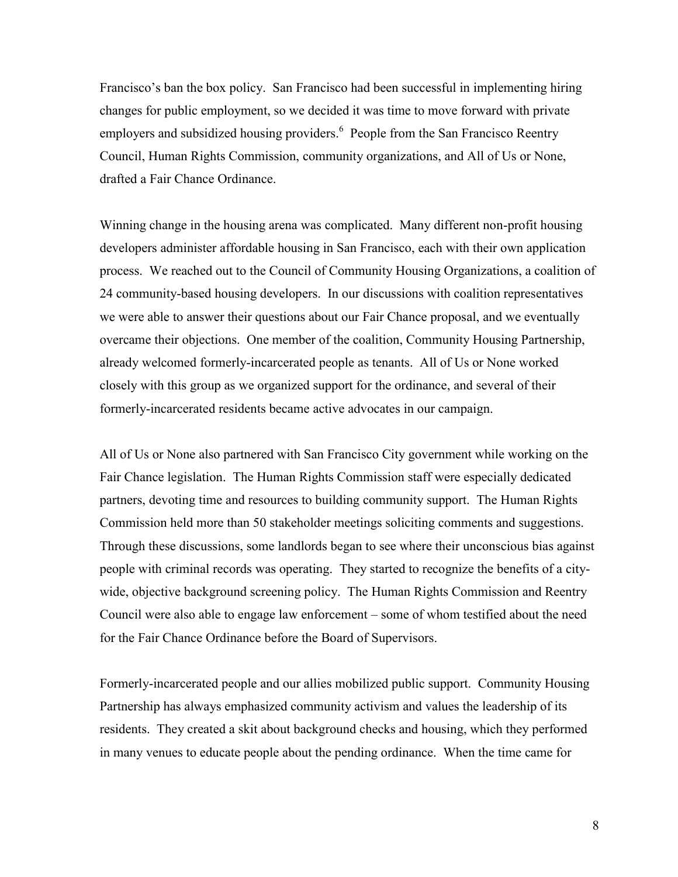Francisco's ban the box policy. San Francisco had been successful in implementing hiring changes for public employment, so we decided it was time to move forward with private employers and subsidized housing providers.<sup>6</sup> People from the San Francisco Reentry Council, Human Rights Commission, community organizations, and All of Us or None, drafted a Fair Chance Ordinance.

Winning change in the housing arena was complicated. Many different non-profit housing developers administer affordable housing in San Francisco, each with their own application process. We reached out to the Council of Community Housing Organizations, a coalition of 24 community-based housing developers. In our discussions with coalition representatives we were able to answer their questions about our Fair Chance proposal, and we eventually overcame their objections. One member of the coalition, Community Housing Partnership, already welcomed formerly-incarcerated people as tenants. All of Us or None worked closely with this group as we organized support for the ordinance, and several of their formerly-incarcerated residents became active advocates in our campaign.

All of Us or None also partnered with San Francisco City government while working on the Fair Chance legislation. The Human Rights Commission staff were especially dedicated partners, devoting time and resources to building community support. The Human Rights Commission held more than 50 stakeholder meetings soliciting comments and suggestions. Through these discussions, some landlords began to see where their unconscious bias against people with criminal records was operating. They started to recognize the benefits of a citywide, objective background screening policy. The Human Rights Commission and Reentry Council were also able to engage law enforcement – some of whom testified about the need for the Fair Chance Ordinance before the Board of Supervisors.

Formerly-incarcerated people and our allies mobilized public support. Community Housing Partnership has always emphasized community activism and values the leadership of its residents. They created a skit about background checks and housing, which they performed in many venues to educate people about the pending ordinance. When the time came for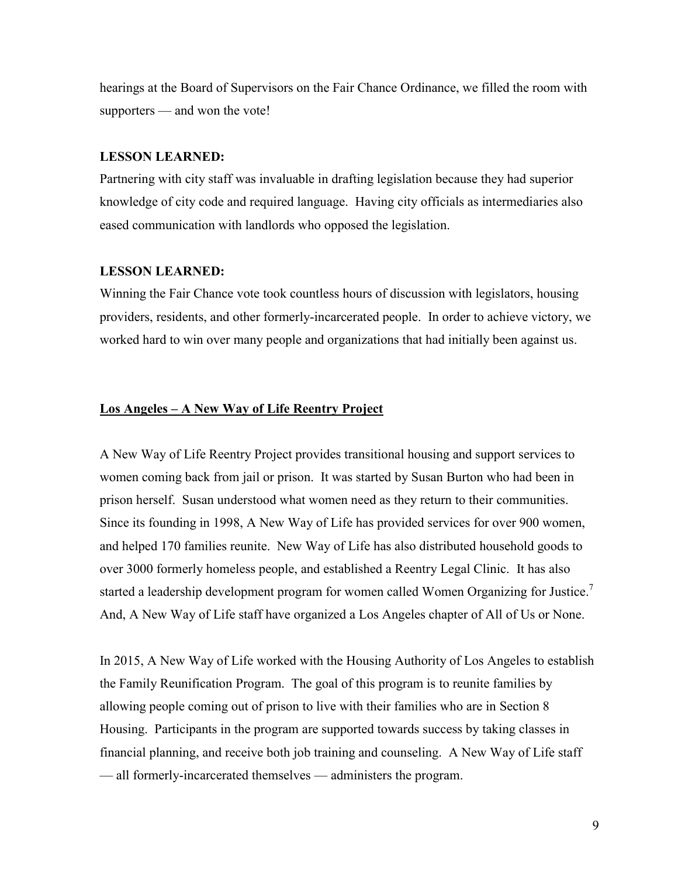hearings at the Board of Supervisors on the Fair Chance Ordinance, we filled the room with supporters — and won the vote!

#### **LESSON LEARNED:**

Partnering with city staff was invaluable in drafting legislation because they had superior knowledge of city code and required language. Having city officials as intermediaries also eased communication with landlords who opposed the legislation.

#### **LESSON LEARNED:**

Winning the Fair Chance vote took countless hours of discussion with legislators, housing providers, residents, and other formerly-incarcerated people. In order to achieve victory, we worked hard to win over many people and organizations that had initially been against us.

### **Los Angeles – A New Way of Life Reentry Project**

A New Way of Life Reentry Project provides transitional housing and support services to women coming back from jail or prison. It was started by Susan Burton who had been in prison herself. Susan understood what women need as they return to their communities. Since its founding in 1998, A New Way of Life has provided services for over 900 women, and helped 170 families reunite. New Way of Life has also distributed household goods to over 3000 formerly homeless people, and established a Reentry Legal Clinic. It has also started a leadership development program for women called Women Organizing for Justice.<sup>7</sup> And, A New Way of Life staff have organized a Los Angeles chapter of All of Us or None.

In 2015, A New Way of Life worked with the Housing Authority of Los Angeles to establish the Family Reunification Program. The goal of this program is to reunite families by allowing people coming out of prison to live with their families who are in Section 8 Housing. Participants in the program are supported towards success by taking classes in financial planning, and receive both job training and counseling. A New Way of Life staff — all formerly-incarcerated themselves — administers the program.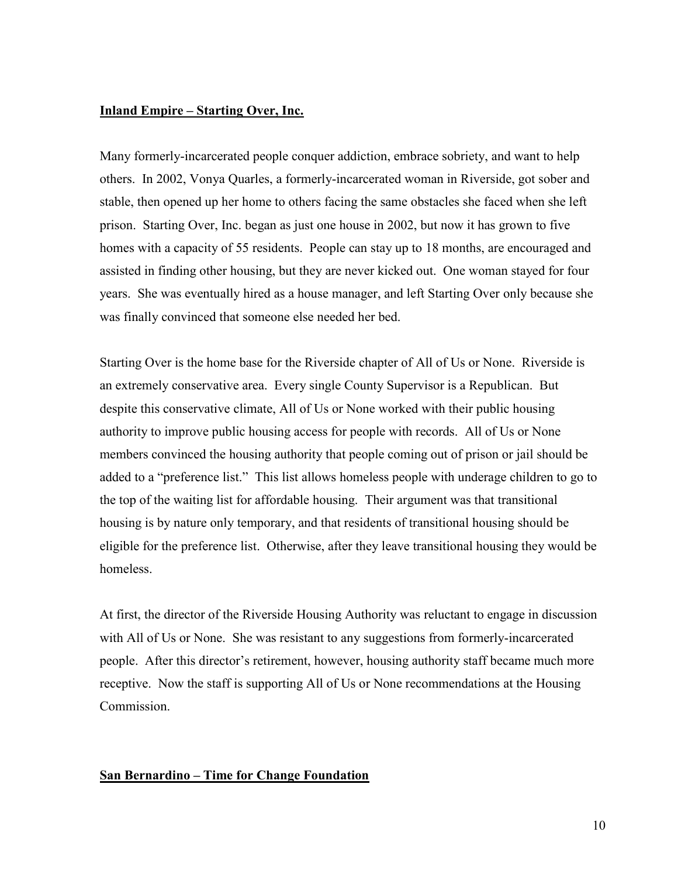### **Inland Empire – Starting Over, Inc.**

Many formerly-incarcerated people conquer addiction, embrace sobriety, and want to help others. In 2002, Vonya Quarles, a formerly-incarcerated woman in Riverside, got sober and stable, then opened up her home to others facing the same obstacles she faced when she left prison. Starting Over, Inc. began as just one house in 2002, but now it has grown to five homes with a capacity of 55 residents. People can stay up to 18 months, are encouraged and assisted in finding other housing, but they are never kicked out. One woman stayed for four years. She was eventually hired as a house manager, and left Starting Over only because she was finally convinced that someone else needed her bed.

Starting Over is the home base for the Riverside chapter of All of Us or None. Riverside is an extremely conservative area. Every single County Supervisor is a Republican. But despite this conservative climate, All of Us or None worked with their public housing authority to improve public housing access for people with records. All of Us or None members convinced the housing authority that people coming out of prison or jail should be added to a "preference list." This list allows homeless people with underage children to go to the top of the waiting list for affordable housing. Their argument was that transitional housing is by nature only temporary, and that residents of transitional housing should be eligible for the preference list. Otherwise, after they leave transitional housing they would be homeless.

At first, the director of the Riverside Housing Authority was reluctant to engage in discussion with All of Us or None. She was resistant to any suggestions from formerly-incarcerated people. After this director's retirement, however, housing authority staff became much more receptive. Now the staff is supporting All of Us or None recommendations at the Housing Commission.

### **San Bernardino – Time for Change Foundation**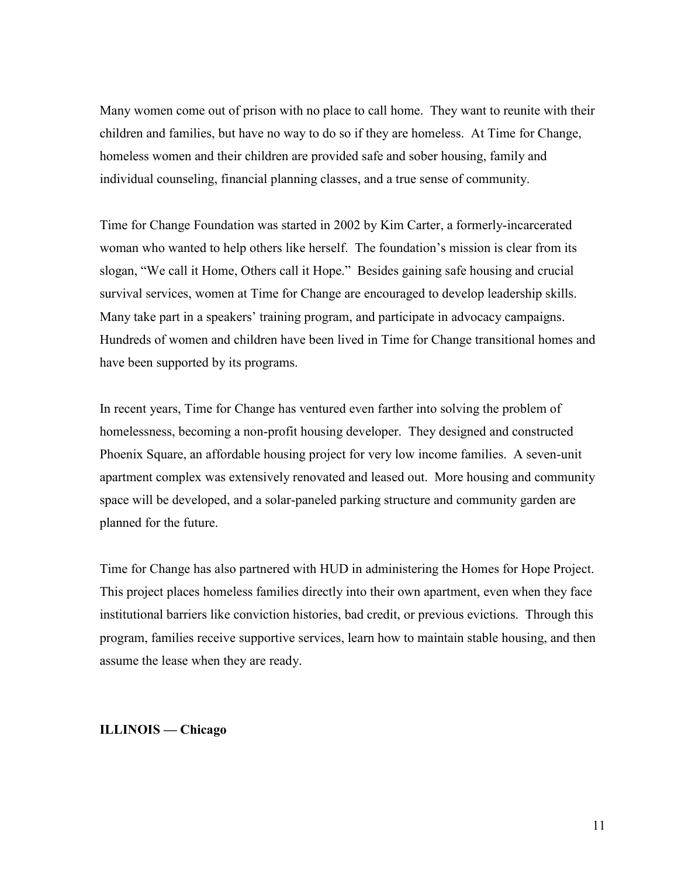Many women come out of prison with no place to call home. They want to reunite with their children and families, but have no way to do so if they are homeless. At Time for Change, homeless women and their children are provided safe and sober housing, family and individual counseling, financial planning classes, and a true sense of community.

Time for Change Foundation was started in 2002 by Kim Carter, a formerly-incarcerated woman who wanted to help others like herself. The foundation's mission is clear from its slogan, "We call it Home, Others call it Hope." Besides gaining safe housing and crucial survival services, women at Time for Change are encouraged to develop leadership skills. Many take part in a speakers' training program, and participate in advocacy campaigns. Hundreds of women and children have been lived in Time for Change transitional homes and have been supported by its programs.

In recent years, Time for Change has ventured even farther into solving the problem of homelessness, becoming a non-profit housing developer. They designed and constructed Phoenix Square, an affordable housing project for very low income families. A seven-unit apartment complex was extensively renovated and leased out. More housing and community space will be developed, and a solar-paneled parking structure and community garden are planned for the future.

Time for Change has also partnered with HUD in administering the Homes for Hope Project. This project places homeless families directly into their own apartment, even when they face institutional barriers like conviction histories, bad credit, or previous evictions. Through this program, families receive supportive services, learn how to maintain stable housing, and then assume the lease when they are ready.

### **ILLINOIS — Chicago**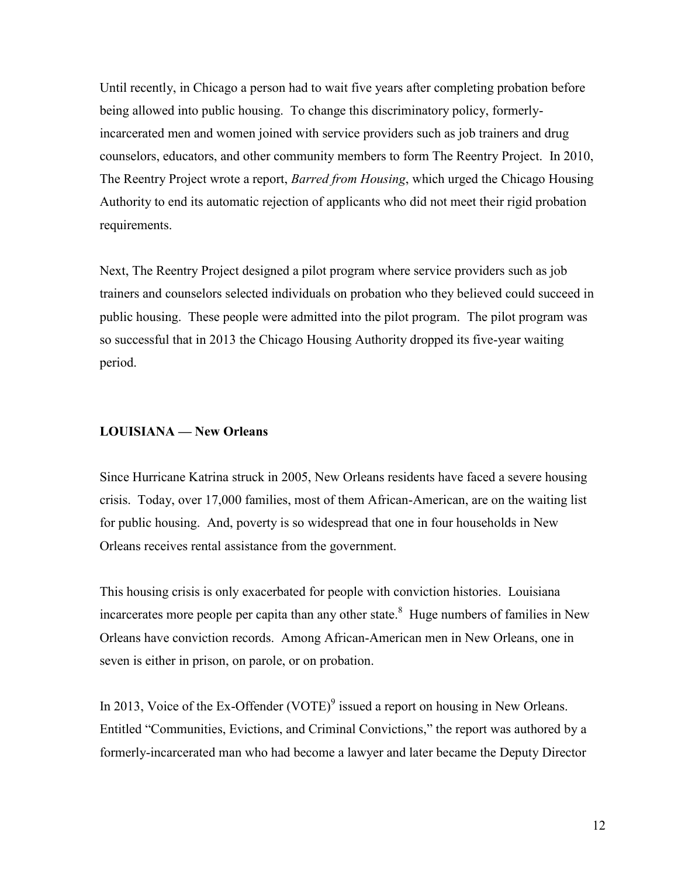Until recently, in Chicago a person had to wait five years after completing probation before being allowed into public housing. To change this discriminatory policy, formerlyincarcerated men and women joined with service providers such as job trainers and drug counselors, educators, and other community members to form The Reentry Project. In 2010, The Reentry Project wrote a report, *Barred from Housing*, which urged the Chicago Housing Authority to end its automatic rejection of applicants who did not meet their rigid probation requirements.

Next, The Reentry Project designed a pilot program where service providers such as job trainers and counselors selected individuals on probation who they believed could succeed in public housing. These people were admitted into the pilot program. The pilot program was so successful that in 2013 the Chicago Housing Authority dropped its five-year waiting period.

### **LOUISIANA — New Orleans**

Since Hurricane Katrina struck in 2005, New Orleans residents have faced a severe housing crisis. Today, over 17,000 families, most of them African-American, are on the waiting list for public housing. And, poverty is so widespread that one in four households in New Orleans receives rental assistance from the government.

This housing crisis is only exacerbated for people with conviction histories. Louisiana incarcerates more people per capita than any other state.<sup>8</sup> Huge numbers of families in New Orleans have conviction records. Among African-American men in New Orleans, one in seven is either in prison, on parole, or on probation.

In 2013, Voice of the Ex-Offender (VOTE)<sup>9</sup> issued a report on housing in New Orleans. Entitled "Communities, Evictions, and Criminal Convictions," the report was authored by a formerly-incarcerated man who had become a lawyer and later became the Deputy Director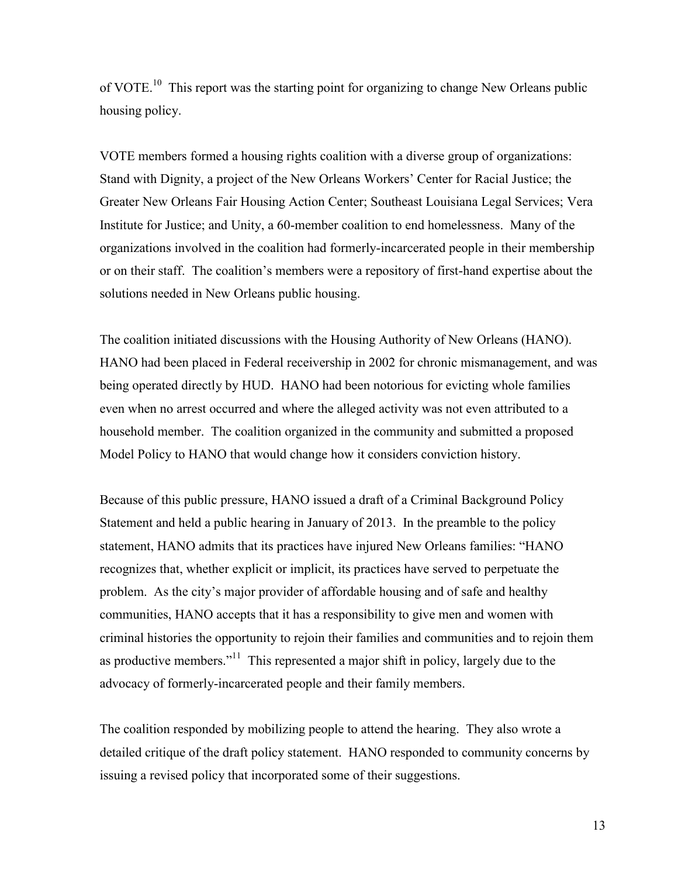of VOTE.<sup>10</sup> This report was the starting point for organizing to change New Orleans public housing policy.

VOTE members formed a housing rights coalition with a diverse group of organizations: Stand with Dignity, a project of the New Orleans Workers' Center for Racial Justice; the Greater New Orleans Fair Housing Action Center; Southeast Louisiana Legal Services; Vera Institute for Justice; and Unity, a 60-member coalition to end homelessness. Many of the organizations involved in the coalition had formerly-incarcerated people in their membership or on their staff. The coalition's members were a repository of first-hand expertise about the solutions needed in New Orleans public housing.

The coalition initiated discussions with the Housing Authority of New Orleans (HANO). HANO had been placed in Federal receivership in 2002 for chronic mismanagement, and was being operated directly by HUD. HANO had been notorious for evicting whole families even when no arrest occurred and where the alleged activity was not even attributed to a household member. The coalition organized in the community and submitted a proposed Model Policy to HANO that would change how it considers conviction history.

Because of this public pressure, HANO issued a draft of a Criminal Background Policy Statement and held a public hearing in January of 2013. In the preamble to the policy statement, HANO admits that its practices have injured New Orleans families: "HANO recognizes that, whether explicit or implicit, its practices have served to perpetuate the problem. As the city's major provider of affordable housing and of safe and healthy communities, HANO accepts that it has a responsibility to give men and women with criminal histories the opportunity to rejoin their families and communities and to rejoin them as productive members."<sup>11</sup> This represented a major shift in policy, largely due to the advocacy of formerly-incarcerated people and their family members.

The coalition responded by mobilizing people to attend the hearing. They also wrote a detailed critique of the draft policy statement. HANO responded to community concerns by issuing a revised policy that incorporated some of their suggestions.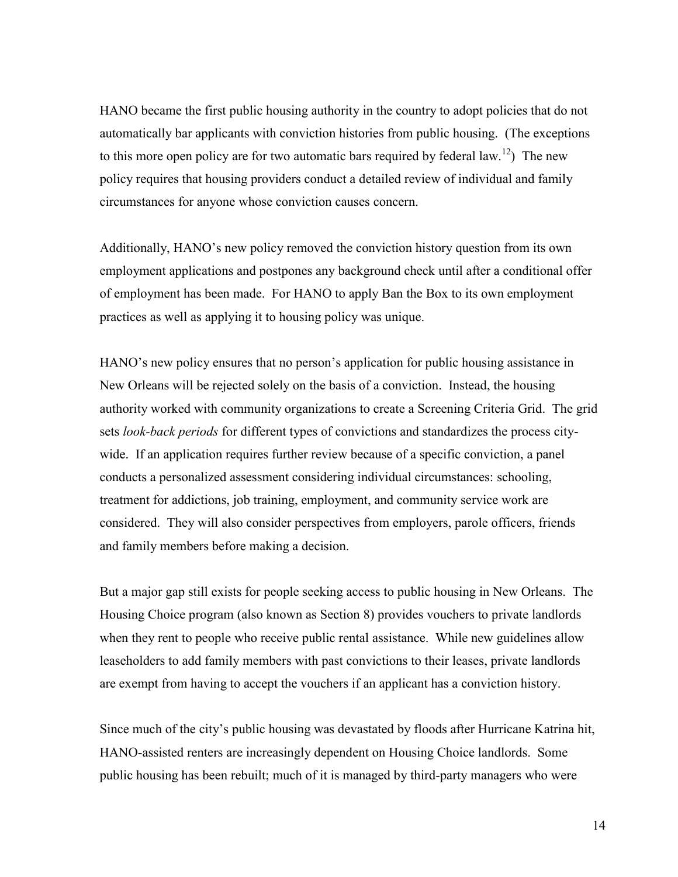HANO became the first public housing authority in the country to adopt policies that do not automatically bar applicants with conviction histories from public housing. (The exceptions to this more open policy are for two automatic bars required by federal law.<sup>12</sup>) The new policy requires that housing providers conduct a detailed review of individual and family circumstances for anyone whose conviction causes concern.

Additionally, HANO's new policy removed the conviction history question from its own employment applications and postpones any background check until after a conditional offer of employment has been made. For HANO to apply Ban the Box to its own employment practices as well as applying it to housing policy was unique.

HANO's new policy ensures that no person's application for public housing assistance in New Orleans will be rejected solely on the basis of a conviction. Instead, the housing authority worked with community organizations to create a Screening Criteria Grid. The grid sets *look-back periods* for different types of convictions and standardizes the process citywide. If an application requires further review because of a specific conviction, a panel conducts a personalized assessment considering individual circumstances: schooling, treatment for addictions, job training, employment, and community service work are considered. They will also consider perspectives from employers, parole officers, friends and family members before making a decision.

But a major gap still exists for people seeking access to public housing in New Orleans. The Housing Choice program (also known as Section 8) provides vouchers to private landlords when they rent to people who receive public rental assistance. While new guidelines allow leaseholders to add family members with past convictions to their leases, private landlords are exempt from having to accept the vouchers if an applicant has a conviction history.

Since much of the city's public housing was devastated by floods after Hurricane Katrina hit, HANO-assisted renters are increasingly dependent on Housing Choice landlords. Some public housing has been rebuilt; much of it is managed by third-party managers who were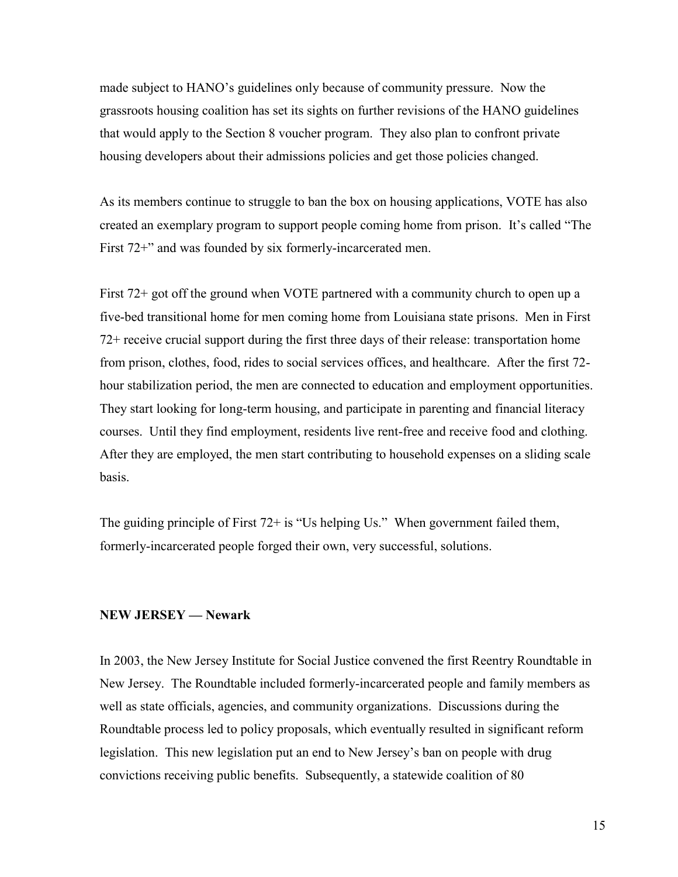made subject to HANO's guidelines only because of community pressure. Now the grassroots housing coalition has set its sights on further revisions of the HANO guidelines that would apply to the Section 8 voucher program. They also plan to confront private housing developers about their admissions policies and get those policies changed.

As its members continue to struggle to ban the box on housing applications, VOTE has also created an exemplary program to support people coming home from prison. It's called "The First 72<sup>+</sup>" and was founded by six formerly-incarcerated men.

First 72+ got off the ground when VOTE partnered with a community church to open up a five-bed transitional home for men coming home from Louisiana state prisons. Men in First 72+ receive crucial support during the first three days of their release: transportation home from prison, clothes, food, rides to social services offices, and healthcare. After the first 72 hour stabilization period, the men are connected to education and employment opportunities. They start looking for long-term housing, and participate in parenting and financial literacy courses. Until they find employment, residents live rent-free and receive food and clothing. After they are employed, the men start contributing to household expenses on a sliding scale basis.

The guiding principle of First 72+ is "Us helping Us." When government failed them, formerly-incarcerated people forged their own, very successful, solutions.

### **NEW JERSEY — Newark**

In 2003, the New Jersey Institute for Social Justice convened the first Reentry Roundtable in New Jersey. The Roundtable included formerly-incarcerated people and family members as well as state officials, agencies, and community organizations. Discussions during the Roundtable process led to policy proposals, which eventually resulted in significant reform legislation. This new legislation put an end to New Jersey's ban on people with drug convictions receiving public benefits. Subsequently, a statewide coalition of 80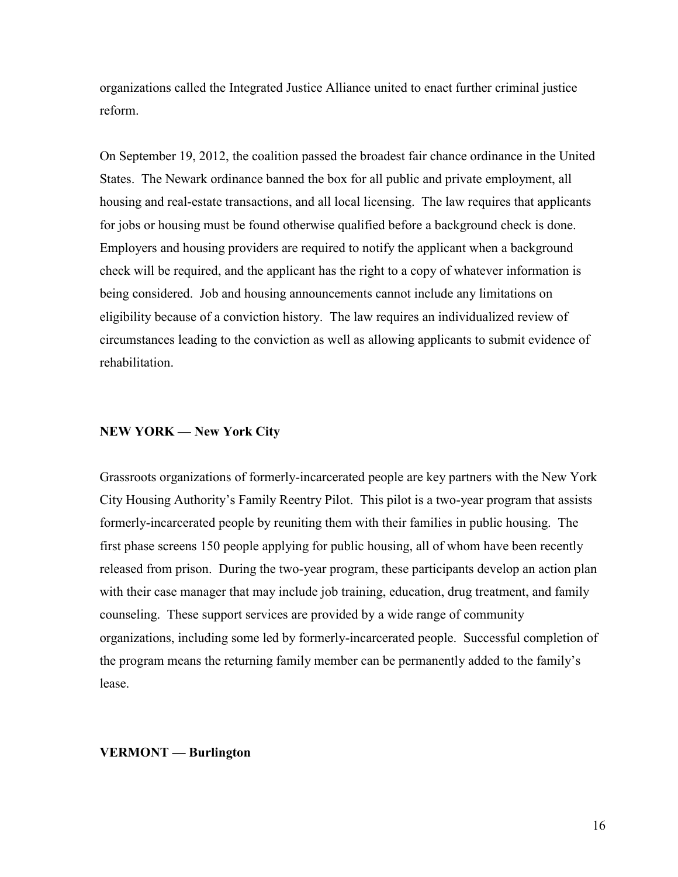organizations called the Integrated Justice Alliance united to enact further criminal justice reform.

On September 19, 2012, the coalition passed the broadest fair chance ordinance in the United States. The Newark ordinance banned the box for all public and private employment, all housing and real-estate transactions, and all local licensing. The law requires that applicants for jobs or housing must be found otherwise qualified before a background check is done. Employers and housing providers are required to notify the applicant when a background check will be required, and the applicant has the right to a copy of whatever information is being considered. Job and housing announcements cannot include any limitations on eligibility because of a conviction history. The law requires an individualized review of circumstances leading to the conviction as well as allowing applicants to submit evidence of rehabilitation.

### **NEW YORK — New York City**

Grassroots organizations of formerly-incarcerated people are key partners with the New York City Housing Authority's Family Reentry Pilot. This pilot is a two-year program that assists formerly-incarcerated people by reuniting them with their families in public housing. The first phase screens 150 people applying for public housing, all of whom have been recently released from prison. During the two-year program, these participants develop an action plan with their case manager that may include job training, education, drug treatment, and family counseling. These support services are provided by a wide range of community organizations, including some led by formerly-incarcerated people. Successful completion of the program means the returning family member can be permanently added to the family's lease.

#### **VERMONT — Burlington**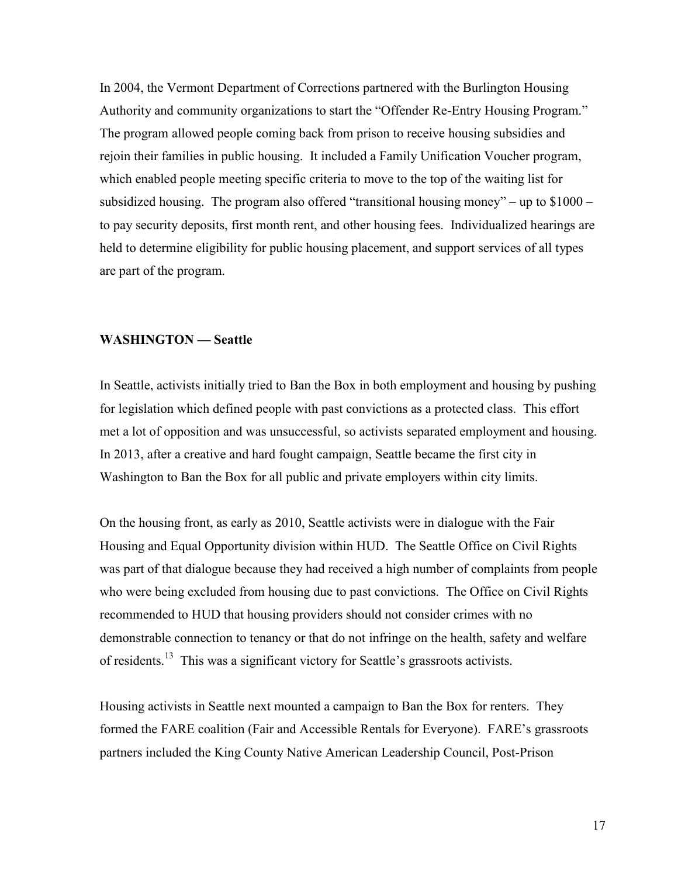In 2004, the Vermont Department of Corrections partnered with the Burlington Housing Authority and community organizations to start the "Offender Re-Entry Housing Program." The program allowed people coming back from prison to receive housing subsidies and rejoin their families in public housing. It included a Family Unification Voucher program, which enabled people meeting specific criteria to move to the top of the waiting list for subsidized housing. The program also offered "transitional housing money" – up to  $$1000$ to pay security deposits, first month rent, and other housing fees. Individualized hearings are held to determine eligibility for public housing placement, and support services of all types are part of the program.

#### **WASHINGTON — Seattle**

In Seattle, activists initially tried to Ban the Box in both employment and housing by pushing for legislation which defined people with past convictions as a protected class. This effort met a lot of opposition and was unsuccessful, so activists separated employment and housing. In 2013, after a creative and hard fought campaign, Seattle became the first city in Washington to Ban the Box for all public and private employers within city limits.

On the housing front, as early as 2010, Seattle activists were in dialogue with the Fair Housing and Equal Opportunity division within HUD. The Seattle Office on Civil Rights was part of that dialogue because they had received a high number of complaints from people who were being excluded from housing due to past convictions. The Office on Civil Rights recommended to HUD that housing providers should not consider crimes with no demonstrable connection to tenancy or that do not infringe on the health, safety and welfare of residents.<sup>13</sup> This was a significant victory for Seattle's grassroots activists.

Housing activists in Seattle next mounted a campaign to Ban the Box for renters. They formed the FARE coalition (Fair and Accessible Rentals for Everyone). FARE's grassroots partners included the King County Native American Leadership Council, Post-Prison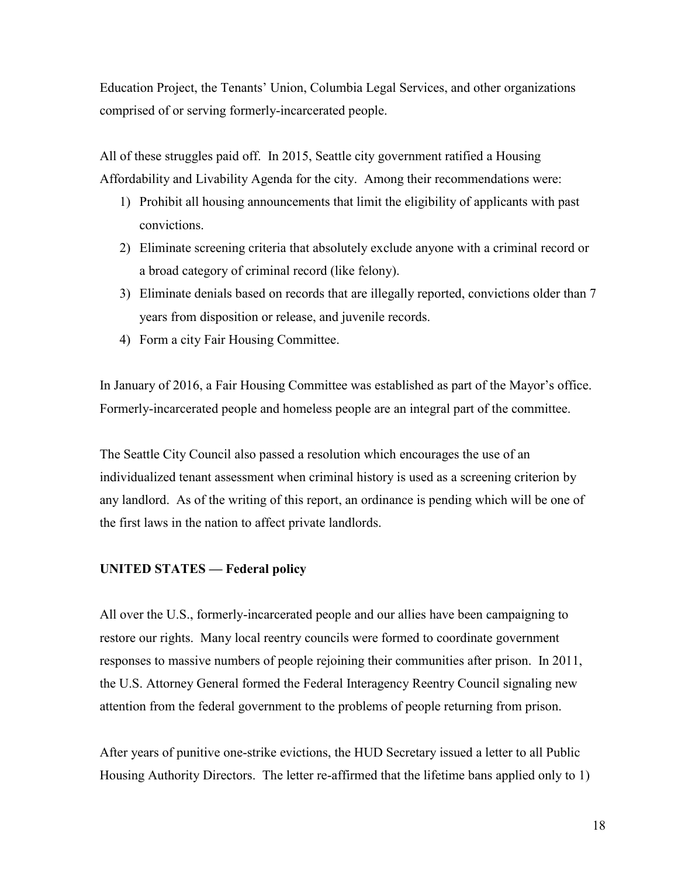Education Project, the Tenants' Union, Columbia Legal Services, and other organizations comprised of or serving formerly-incarcerated people.

All of these struggles paid off. In 2015, Seattle city government ratified a Housing Affordability and Livability Agenda for the city. Among their recommendations were:

- 1) Prohibit all housing announcements that limit the eligibility of applicants with past convictions.
- 2) Eliminate screening criteria that absolutely exclude anyone with a criminal record or a broad category of criminal record (like felony).
- 3) Eliminate denials based on records that are illegally reported, convictions older than 7 years from disposition or release, and juvenile records.
- 4) Form a city Fair Housing Committee.

In January of 2016, a Fair Housing Committee was established as part of the Mayor's office. Formerly-incarcerated people and homeless people are an integral part of the committee.

The Seattle City Council also passed a resolution which encourages the use of an individualized tenant assessment when criminal history is used as a screening criterion by any landlord. As of the writing of this report, an ordinance is pending which will be one of the first laws in the nation to affect private landlords.

### **UNITED STATES — Federal policy**

All over the U.S., formerly-incarcerated people and our allies have been campaigning to restore our rights. Many local reentry councils were formed to coordinate government responses to massive numbers of people rejoining their communities after prison. In 2011, the U.S. Attorney General formed the Federal Interagency Reentry Council signaling new attention from the federal government to the problems of people returning from prison.

After years of punitive one-strike evictions, the HUD Secretary issued a letter to all Public Housing Authority Directors. The letter re-affirmed that the lifetime bans applied only to 1)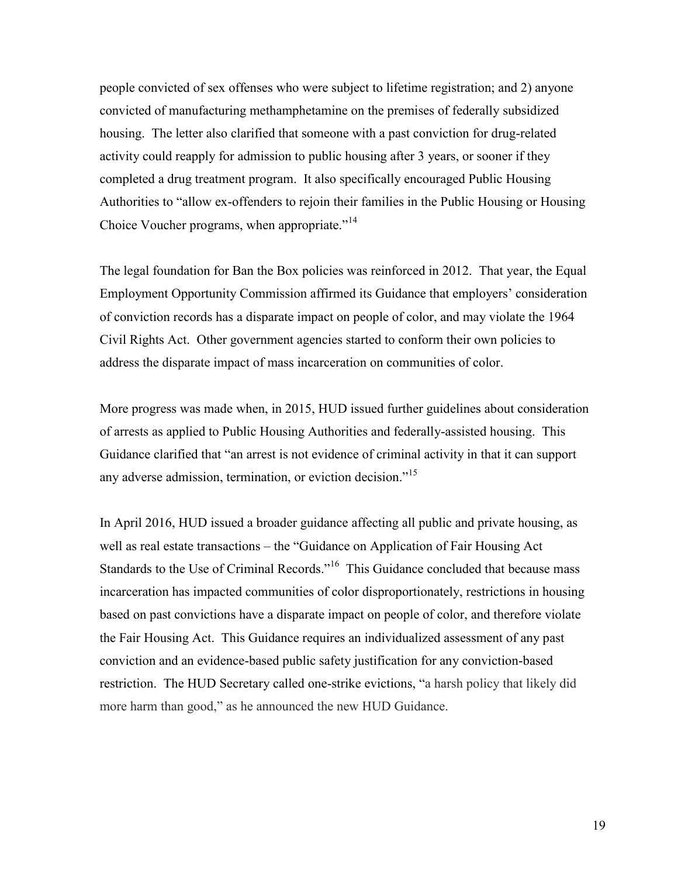people convicted of sex offenses who were subject to lifetime registration; and 2) anyone convicted of manufacturing methamphetamine on the premises of federally subsidized housing. The letter also clarified that someone with a past conviction for drug-related activity could reapply for admission to public housing after 3 years, or sooner if they completed a drug treatment program. It also specifically encouraged Public Housing Authorities to "allow ex-offenders to rejoin their families in the Public Housing or Housing Choice Voucher programs, when appropriate."<sup>14</sup>

The legal foundation for Ban the Box policies was reinforced in 2012. That year, the Equal Employment Opportunity Commission affirmed its Guidance that employers' consideration of conviction records has a disparate impact on people of color, and may violate the 1964 Civil Rights Act. Other government agencies started to conform their own policies to address the disparate impact of mass incarceration on communities of color.

More progress was made when, in 2015, HUD issued further guidelines about consideration of arrests as applied to Public Housing Authorities and federally-assisted housing. This Guidance clarified that "an arrest is not evidence of criminal activity in that it can support any adverse admission, termination, or eviction decision."<sup>15</sup>

In April 2016, HUD issued a broader guidance affecting all public and private housing, as well as real estate transactions – the "Guidance on Application of Fair Housing Act Standards to the Use of Criminal Records."<sup>16</sup> This Guidance concluded that because mass incarceration has impacted communities of color disproportionately, restrictions in housing based on past convictions have a disparate impact on people of color, and therefore violate the Fair Housing Act. This Guidance requires an individualized assessment of any past conviction and an evidence-based public safety justification for any conviction-based restriction. The HUD Secretary called one-strike evictions, "a harsh policy that likely did more harm than good," as he announced the new HUD Guidance.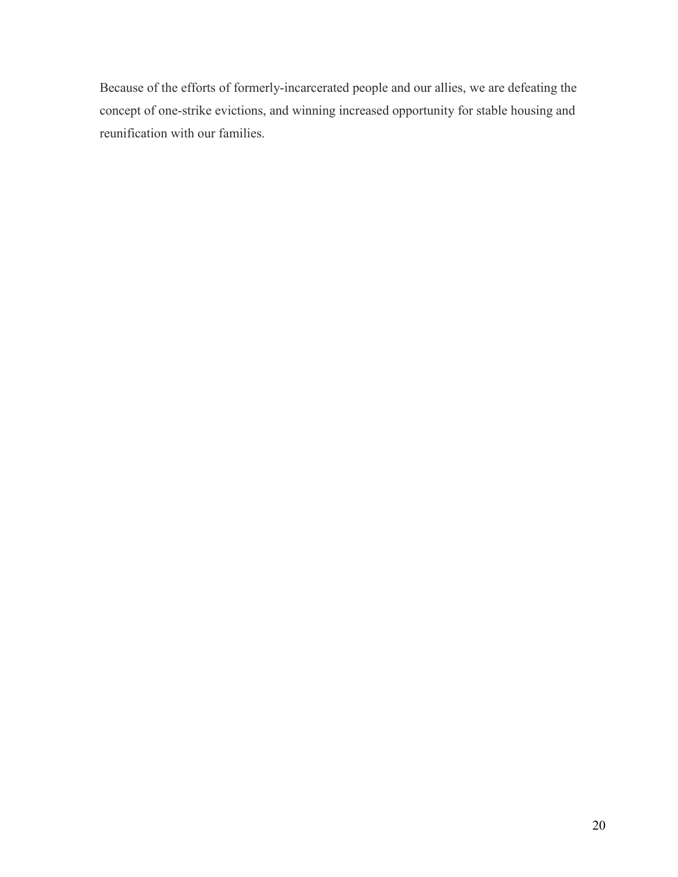Because of the efforts of formerly-incarcerated people and our allies, we are defeating the concept of one-strike evictions, and winning increased opportunity for stable housing and reunification with our families.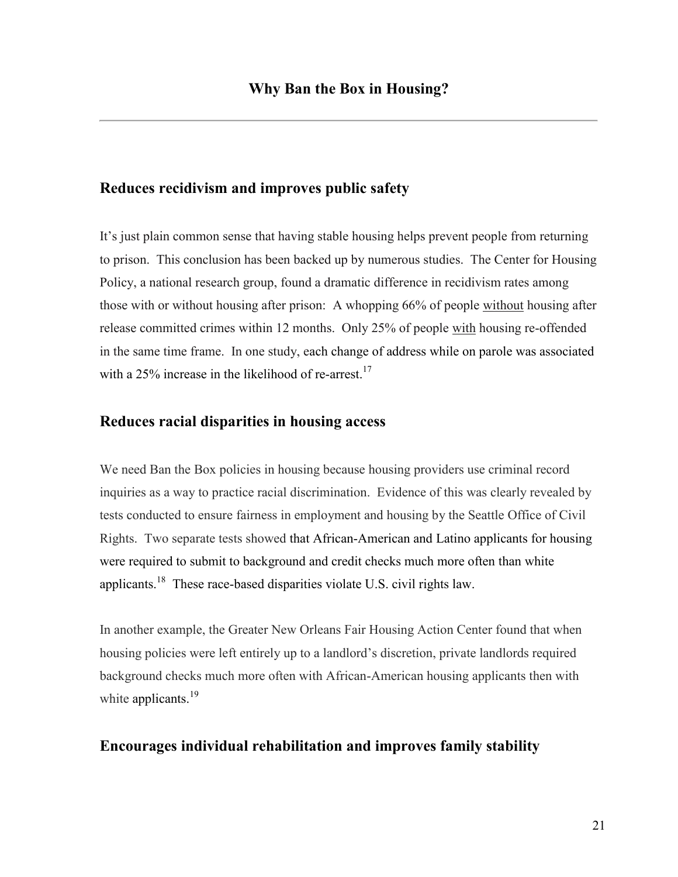# **Reduces recidivism and improves public safety**

It's just plain common sense that having stable housing helps prevent people from returning to prison. This conclusion has been backed up by numerous studies. The Center for Housing Policy, a national research group, found a dramatic difference in recidivism rates among those with or without housing after prison: A whopping 66% of people without housing after release committed crimes within 12 months. Only 25% of people with housing re-offended in the same time frame. In one study, each change of address while on parole was associated with a 25% increase in the likelihood of re-arrest.<sup>17</sup>

# **Reduces racial disparities in housing access**

We need Ban the Box policies in housing because housing providers use criminal record inquiries as a way to practice racial discrimination. Evidence of this was clearly revealed by tests conducted to ensure fairness in employment and housing by the Seattle Office of Civil Rights. Two separate tests showed that African-American and Latino applicants for housing were required to submit to background and credit checks much more often than white applicants.<sup>18</sup> These race-based disparities violate U.S. civil rights law.

In another example, the Greater New Orleans Fair Housing Action Center found that when housing policies were left entirely up to a landlord's discretion, private landlords required background checks much more often with African-American housing applicants then with white applicants.<sup>19</sup>

# **Encourages individual rehabilitation and improves family stability**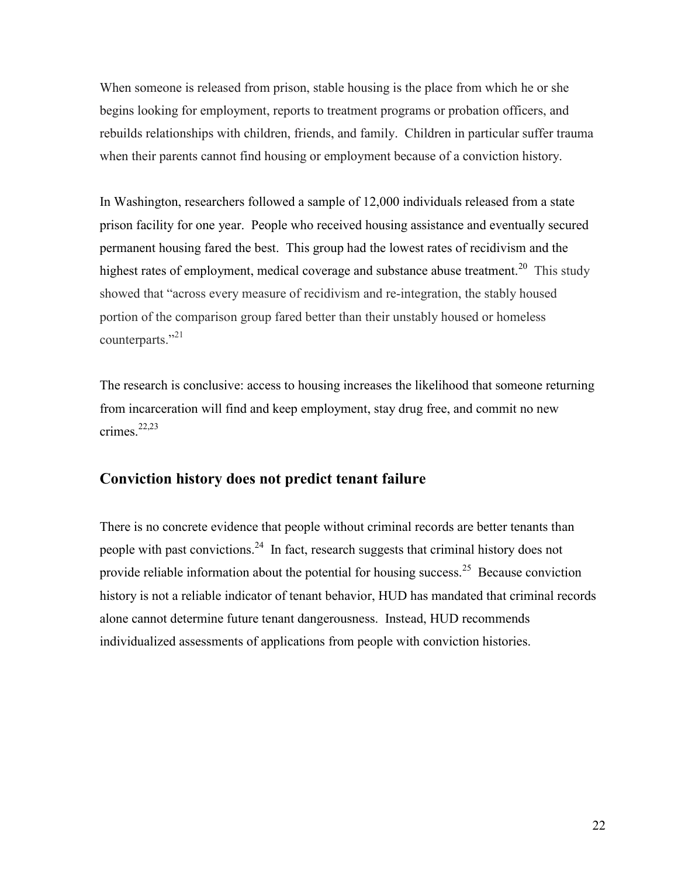When someone is released from prison, stable housing is the place from which he or she begins looking for employment, reports to treatment programs or probation officers, and rebuilds relationships with children, friends, and family. Children in particular suffer trauma when their parents cannot find housing or employment because of a conviction history.

In Washington, researchers followed a sample of 12,000 individuals released from a state prison facility for one year. People who received housing assistance and eventually secured permanent housing fared the best. This group had the lowest rates of recidivism and the highest rates of employment, medical coverage and substance abuse treatment.<sup>20</sup> This study showed that "across every measure of recidivism and re-integration, the stably housed portion of the comparison group fared better than their unstably housed or homeless counterparts."<sup>21</sup>

The research is conclusive: access to housing increases the likelihood that someone returning from incarceration will find and keep employment, stay drug free, and commit no new crimes. 22,23

# **Conviction history does not predict tenant failure**

There is no concrete evidence that people without criminal records are better tenants than people with past convictions.<sup>24</sup> In fact, research suggests that criminal history does not provide reliable information about the potential for housing success.<sup>25</sup> Because conviction history is not a reliable indicator of tenant behavior, HUD has mandated that criminal records alone cannot determine future tenant dangerousness. Instead, HUD recommends individualized assessments of applications from people with conviction histories.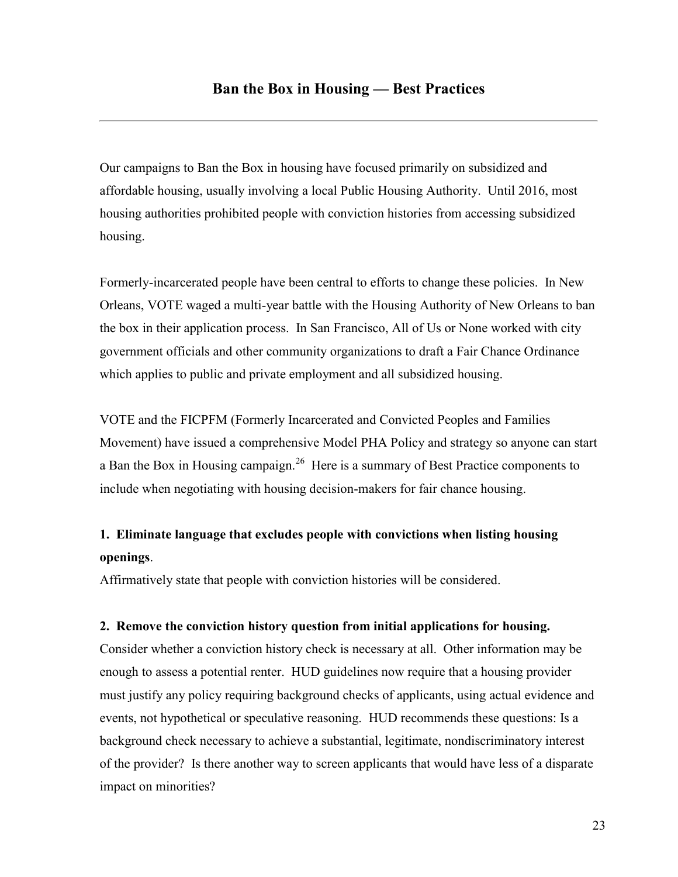Our campaigns to Ban the Box in housing have focused primarily on subsidized and affordable housing, usually involving a local Public Housing Authority. Until 2016, most housing authorities prohibited people with conviction histories from accessing subsidized housing.

Formerly-incarcerated people have been central to efforts to change these policies. In New Orleans, VOTE waged a multi-year battle with the Housing Authority of New Orleans to ban the box in their application process. In San Francisco, All of Us or None worked with city government officials and other community organizations to draft a Fair Chance Ordinance which applies to public and private employment and all subsidized housing.

VOTE and the FICPFM (Formerly Incarcerated and Convicted Peoples and Families Movement) have issued a comprehensive Model PHA Policy and strategy so anyone can start a Ban the Box in Housing campaign.<sup>26</sup> Here is a summary of Best Practice components to include when negotiating with housing decision-makers for fair chance housing.

# **1. Eliminate language that excludes people with convictions when listing housing openings**.

Affirmatively state that people with conviction histories will be considered.

### **2. Remove the conviction history question from initial applications for housing.**

Consider whether a conviction history check is necessary at all. Other information may be enough to assess a potential renter. HUD guidelines now require that a housing provider must justify any policy requiring background checks of applicants, using actual evidence and events, not hypothetical or speculative reasoning. HUD recommends these questions: Is a background check necessary to achieve a substantial, legitimate, nondiscriminatory interest of the provider? Is there another way to screen applicants that would have less of a disparate impact on minorities?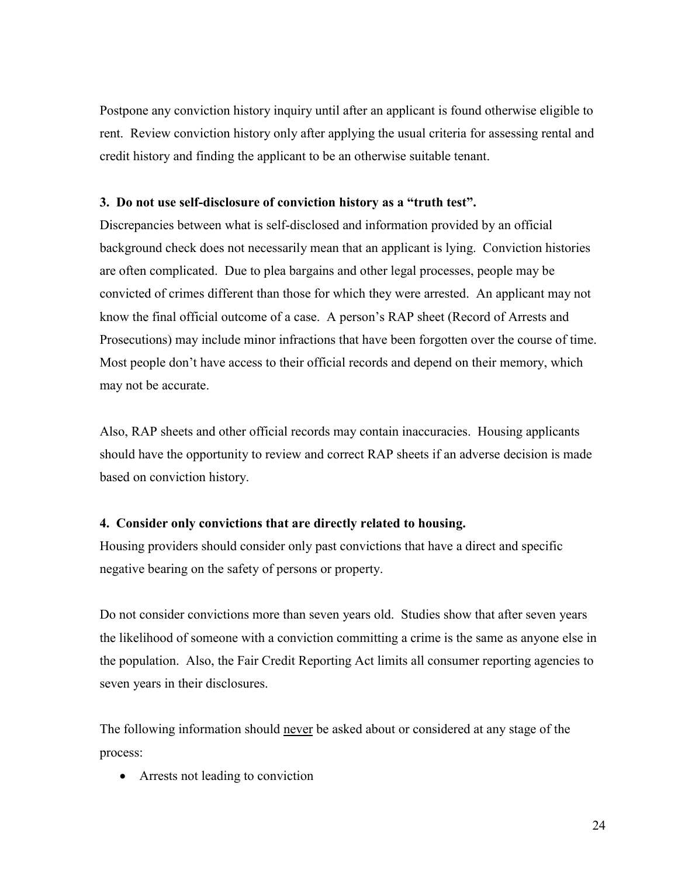Postpone any conviction history inquiry until after an applicant is found otherwise eligible to rent. Review conviction history only after applying the usual criteria for assessing rental and credit history and finding the applicant to be an otherwise suitable tenant.

### **3. Do not use self-disclosure of conviction history as a "truth test".**

Discrepancies between what is self-disclosed and information provided by an official background check does not necessarily mean that an applicant is lying. Conviction histories are often complicated. Due to plea bargains and other legal processes, people may be convicted of crimes different than those for which they were arrested. An applicant may not know the final official outcome of a case. A person's RAP sheet (Record of Arrests and Prosecutions) may include minor infractions that have been forgotten over the course of time. Most people don't have access to their official records and depend on their memory, which may not be accurate.

Also, RAP sheets and other official records may contain inaccuracies. Housing applicants should have the opportunity to review and correct RAP sheets if an adverse decision is made based on conviction history.

# **4. Consider only convictions that are directly related to housing.**

Housing providers should consider only past convictions that have a direct and specific negative bearing on the safety of persons or property.

Do not consider convictions more than seven years old. Studies show that after seven years the likelihood of someone with a conviction committing a crime is the same as anyone else in the population. Also, the Fair Credit Reporting Act limits all consumer reporting agencies to seven years in their disclosures.

The following information should never be asked about or considered at any stage of the process:

Arrests not leading to conviction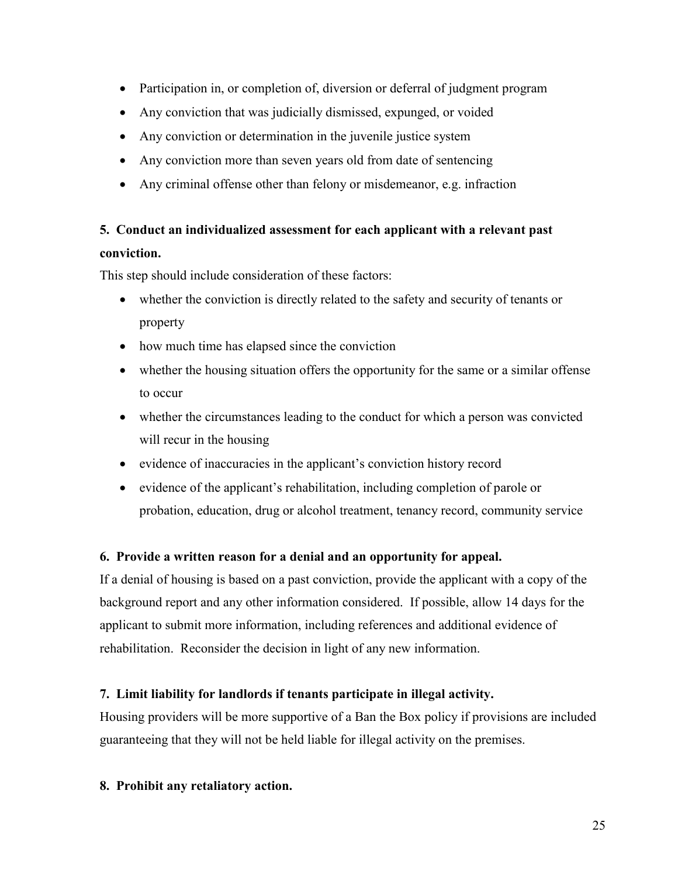- Participation in, or completion of, diversion or deferral of judgment program
- Any conviction that was judicially dismissed, expunged, or voided
- Any conviction or determination in the juvenile justice system
- Any conviction more than seven years old from date of sentencing
- Any criminal offense other than felony or misdemeanor, e.g. infraction

# **5. Conduct an individualized assessment for each applicant with a relevant past**

# **conviction.**

This step should include consideration of these factors:

- whether the conviction is directly related to the safety and security of tenants or property
- how much time has elapsed since the conviction
- whether the housing situation offers the opportunity for the same or a similar offense to occur
- whether the circumstances leading to the conduct for which a person was convicted will recur in the housing
- evidence of inaccuracies in the applicant's conviction history record
- evidence of the applicant's rehabilitation, including completion of parole or probation, education, drug or alcohol treatment, tenancy record, community service

# **6. Provide a written reason for a denial and an opportunity for appeal.**

If a denial of housing is based on a past conviction, provide the applicant with a copy of the background report and any other information considered. If possible, allow 14 days for the applicant to submit more information, including references and additional evidence of rehabilitation. Reconsider the decision in light of any new information.

# **7. Limit liability for landlords if tenants participate in illegal activity.**

Housing providers will be more supportive of a Ban the Box policy if provisions are included guaranteeing that they will not be held liable for illegal activity on the premises.

**8. Prohibit any retaliatory action.**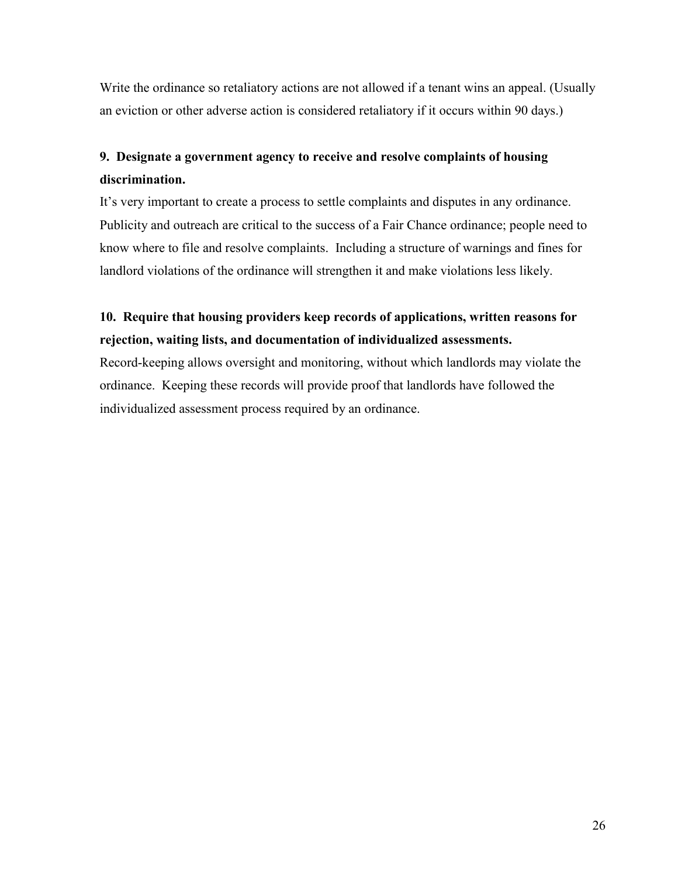Write the ordinance so retaliatory actions are not allowed if a tenant wins an appeal. (Usually an eviction or other adverse action is considered retaliatory if it occurs within 90 days.)

# **9. Designate a government agency to receive and resolve complaints of housing discrimination.**

It's very important to create a process to settle complaints and disputes in any ordinance. Publicity and outreach are critical to the success of a Fair Chance ordinance; people need to know where to file and resolve complaints. Including a structure of warnings and fines for landlord violations of the ordinance will strengthen it and make violations less likely.

# **10. Require that housing providers keep records of applications, written reasons for rejection, waiting lists, and documentation of individualized assessments.**

Record-keeping allows oversight and monitoring, without which landlords may violate the ordinance. Keeping these records will provide proof that landlords have followed the individualized assessment process required by an ordinance.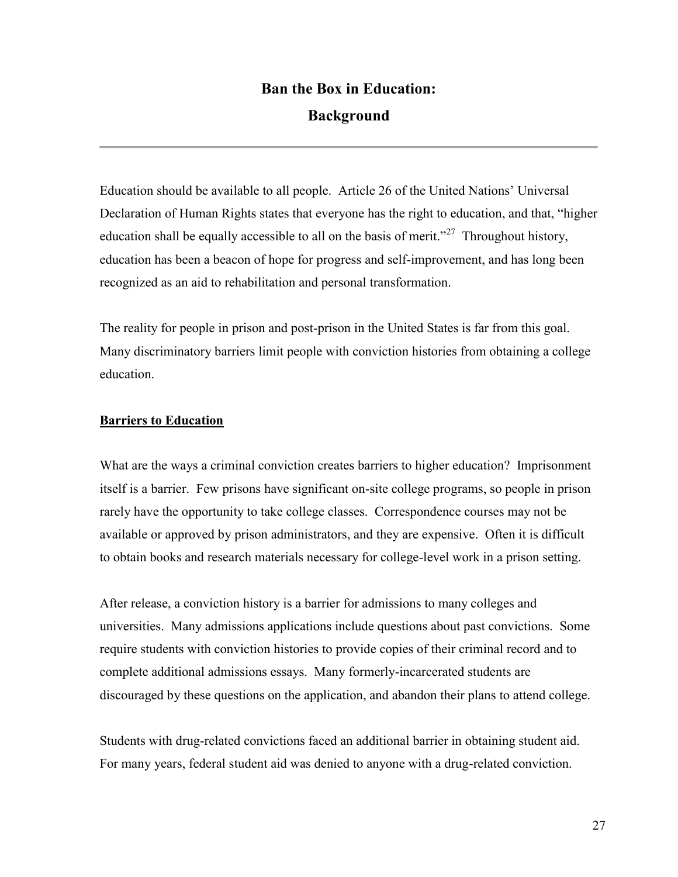# **Ban the Box in Education: Background**

Education should be available to all people. Article 26 of the United Nations' Universal Declaration of Human Rights states that everyone has the right to education, and that, "higher education shall be equally accessible to all on the basis of merit."<sup>27</sup> Throughout history, education has been a beacon of hope for progress and self-improvement, and has long been recognized as an aid to rehabilitation and personal transformation.

The reality for people in prison and post-prison in the United States is far from this goal. Many discriminatory barriers limit people with conviction histories from obtaining a college education.

# **Barriers to Education**

What are the ways a criminal conviction creates barriers to higher education? Imprisonment itself is a barrier. Few prisons have significant on-site college programs, so people in prison rarely have the opportunity to take college classes. Correspondence courses may not be available or approved by prison administrators, and they are expensive. Often it is difficult to obtain books and research materials necessary for college-level work in a prison setting.

After release, a conviction history is a barrier for admissions to many colleges and universities. Many admissions applications include questions about past convictions. Some require students with conviction histories to provide copies of their criminal record and to complete additional admissions essays. Many formerly-incarcerated students are discouraged by these questions on the application, and abandon their plans to attend college.

Students with drug-related convictions faced an additional barrier in obtaining student aid. For many years, federal student aid was denied to anyone with a drug-related conviction.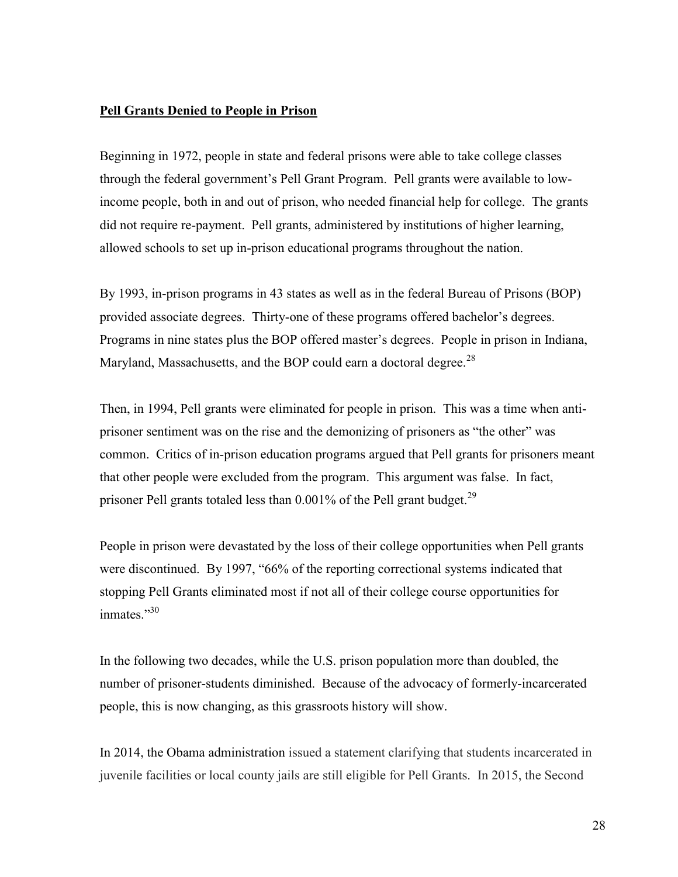### **Pell Grants Denied to People in Prison**

Beginning in 1972, people in state and federal prisons were able to take college classes through the federal government's Pell Grant Program. Pell grants were available to lowincome people, both in and out of prison, who needed financial help for college. The grants did not require re-payment. Pell grants, administered by institutions of higher learning, allowed schools to set up in-prison educational programs throughout the nation.

By 1993, in-prison programs in 43 states as well as in the federal Bureau of Prisons (BOP) provided associate degrees. Thirty-one of these programs offered bachelor's degrees. Programs in nine states plus the BOP offered master's degrees. People in prison in Indiana, Maryland, Massachusetts, and the BOP could earn a doctoral degree.<sup>28</sup>

Then, in 1994, Pell grants were eliminated for people in prison. This was a time when antiprisoner sentiment was on the rise and the demonizing of prisoners as "the other" was common. Critics of in-prison education programs argued that Pell grants for prisoners meant that other people were excluded from the program. This argument was false. In fact, prisoner Pell grants totaled less than  $0.001\%$  of the Pell grant budget.<sup>29</sup>

People in prison were devastated by the loss of their college opportunities when Pell grants were discontinued. By 1997, "66% of the reporting correctional systems indicated that stopping Pell Grants eliminated most if not all of their college course opportunities for inmates." $30$ 

In the following two decades, while the U.S. prison population more than doubled, the number of prisoner-students diminished. Because of the advocacy of formerly-incarcerated people, this is now changing, as this grassroots history will show.

In 2014, the Obama administration issued a statement clarifying that students incarcerated in juvenile facilities or local county jails are still eligible for Pell Grants. In 2015, the Second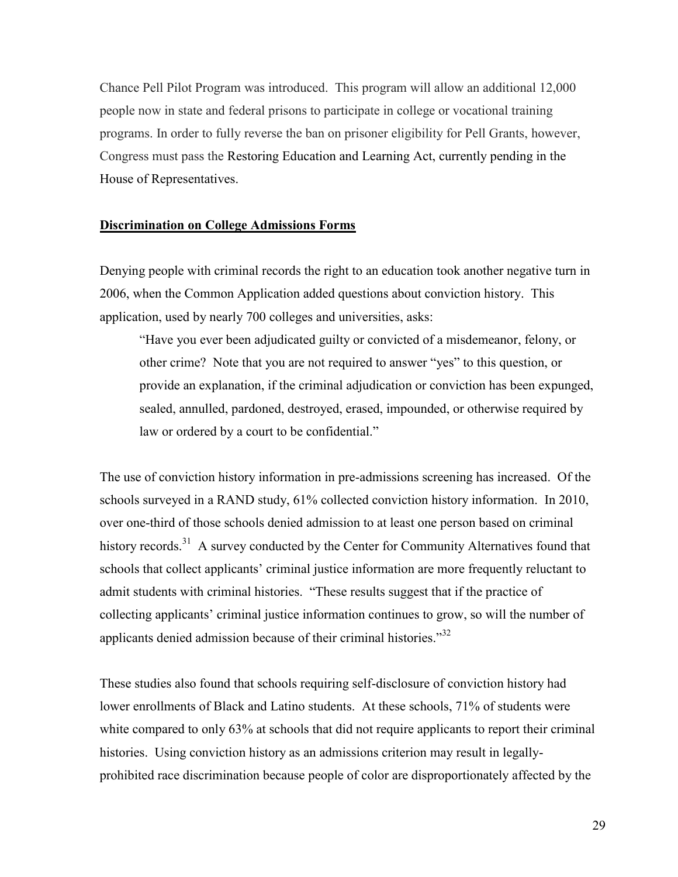Chance Pell Pilot Program was introduced. This program will allow an additional 12,000 people now in state and federal prisons to participate in college or vocational training programs. In order to fully reverse the ban on prisoner eligibility for Pell Grants, however, Congress must pass the Restoring Education and Learning Act, currently pending in the House of Representatives.

#### **Discrimination on College Admissions Forms**

Denying people with criminal records the right to an education took another negative turn in 2006, when the Common Application added questions about conviction history. This application, used by nearly 700 colleges and universities, asks:

"Have you ever been adjudicated guilty or convicted of a misdemeanor, felony, or other crime? Note that you are not required to answer "yes" to this question, or provide an explanation, if the criminal adjudication or conviction has been expunged, sealed, annulled, pardoned, destroyed, erased, impounded, or otherwise required by law or ordered by a court to be confidential."

The use of conviction history information in pre-admissions screening has increased. Of the schools surveyed in a RAND study, 61% collected conviction history information. In 2010, over one-third of those schools denied admission to at least one person based on criminal history records.<sup>31</sup> A survey conducted by the Center for Community Alternatives found that schools that collect applicants' criminal justice information are more frequently reluctant to admit students with criminal histories. "These results suggest that if the practice of collecting applicants' criminal justice information continues to grow, so will the number of applicants denied admission because of their criminal histories. $32$ 

These studies also found that schools requiring self-disclosure of conviction history had lower enrollments of Black and Latino students. At these schools, 71% of students were white compared to only 63% at schools that did not require applicants to report their criminal histories. Using conviction history as an admissions criterion may result in legallyprohibited race discrimination because people of color are disproportionately affected by the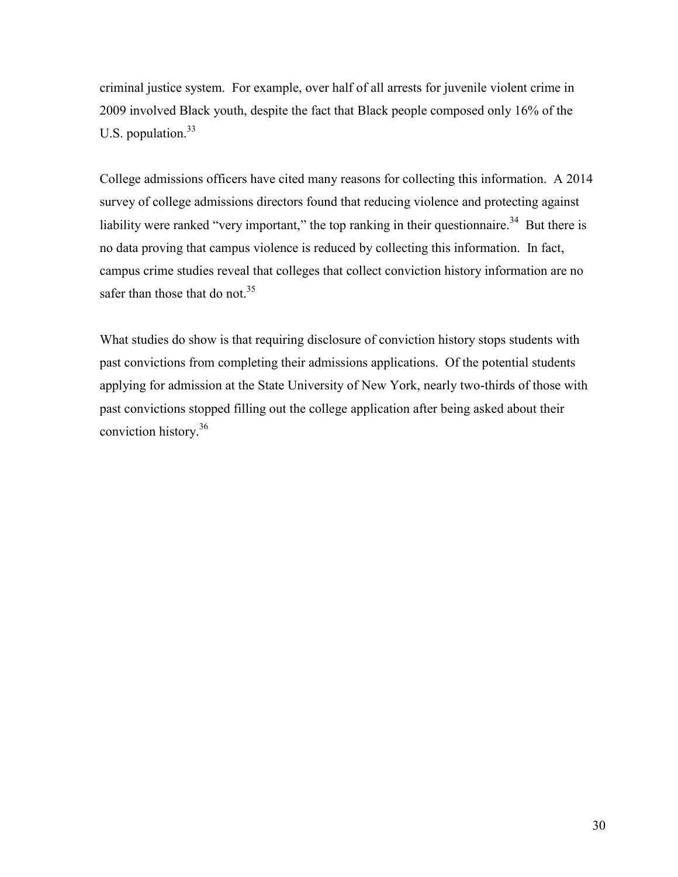criminal justice system. For example, over half of all arrests for juvenile violent crime in 2009 involved Black youth, despite the fact that Black people composed only 16% of the U.S. population. $33$ 

College admissions officers have cited many reasons for collecting this information. A 2014 survey of college admissions directors found that reducing violence and protecting against liability were ranked "very important," the top ranking in their questionnaire.<sup>34</sup> But there is no data proving that campus violence is reduced by collecting this information. In fact, campus crime studies reveal that colleges that collect conviction history information are no safer than those that do not.<sup>35</sup>

What studies do show is that requiring disclosure of conviction history stops students with past convictions from completing their admissions applications. Of the potential students applying for admission at the State University of New York, nearly two-thirds of those with past convictions stopped filling out the college application after being asked about their conviction history. 36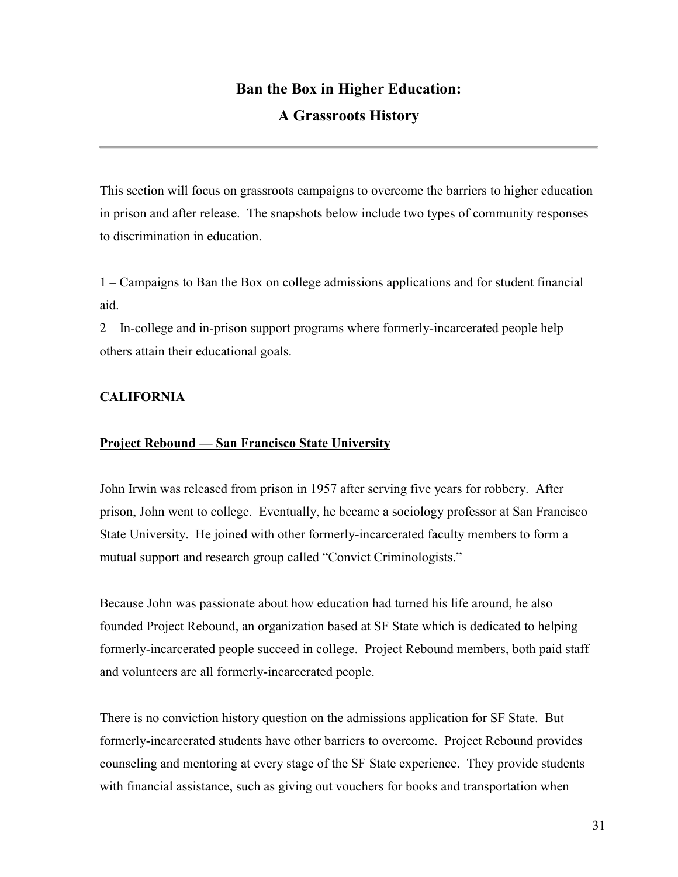# **Ban the Box in Higher Education:**

# **A Grassroots History**

This section will focus on grassroots campaigns to overcome the barriers to higher education in prison and after release. The snapshots below include two types of community responses to discrimination in education.

1 – Campaigns to Ban the Box on college admissions applications and for student financial aid.

2 – In-college and in-prison support programs where formerly-incarcerated people help others attain their educational goals.

# **CALIFORNIA**

### **Project Rebound — San Francisco State University**

John Irwin was released from prison in 1957 after serving five years for robbery. After prison, John went to college. Eventually, he became a sociology professor at San Francisco State University. He joined with other formerly-incarcerated faculty members to form a mutual support and research group called "Convict Criminologists."

Because John was passionate about how education had turned his life around, he also founded Project Rebound, an organization based at SF State which is dedicated to helping formerly-incarcerated people succeed in college. Project Rebound members, both paid staff and volunteers are all formerly-incarcerated people.

There is no conviction history question on the admissions application for SF State. But formerly-incarcerated students have other barriers to overcome. Project Rebound provides counseling and mentoring at every stage of the SF State experience. They provide students with financial assistance, such as giving out vouchers for books and transportation when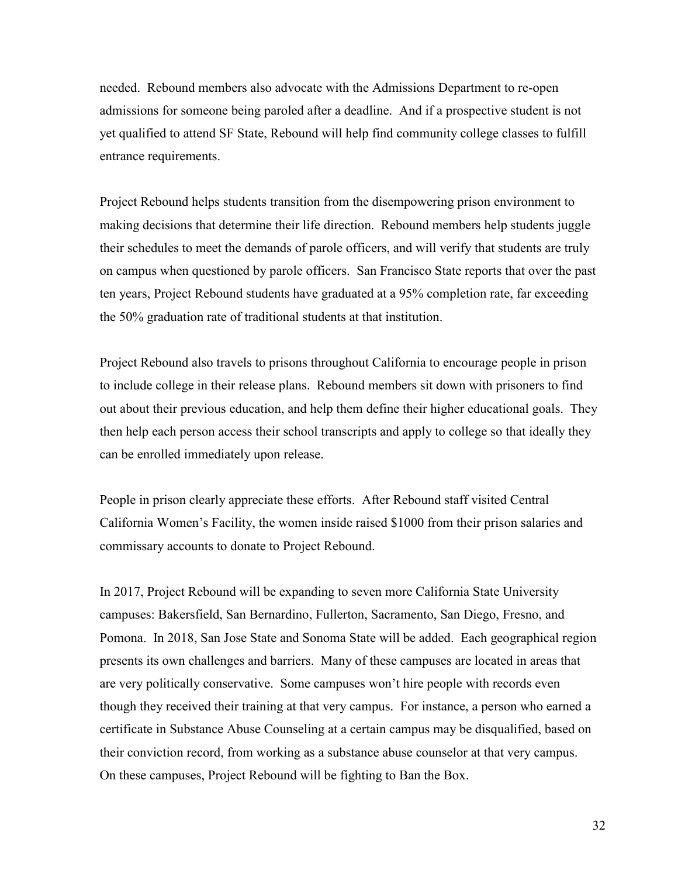needed. Rebound members also advocate with the Admissions Department to re-open admissions for someone being paroled after a deadline. And if a prospective student is not yet qualified to attend SF State, Rebound will help find community college classes to fulfill entrance requirements.

Project Rebound helps students transition from the disempowering prison environment to making decisions that determine their life direction. Rebound members help students juggle their schedules to meet the demands of parole officers, and will verify that students are truly on campus when questioned by parole officers. San Francisco State reports that over the past ten years, Project Rebound students have graduated at a 95% completion rate, far exceeding the 50% graduation rate of traditional students at that institution.

Project Rebound also travels to prisons throughout California to encourage people in prison to include college in their release plans. Rebound members sit down with prisoners to find out about their previous education, and help them define their higher educational goals. They then help each person access their school transcripts and apply to college so that ideally they can be enrolled immediately upon release.

People in prison clearly appreciate these efforts. After Rebound staff visited Central California Women's Facility, the women inside raised \$1000 from their prison salaries and commissary accounts to donate to Project Rebound.

In 2017, Project Rebound will be expanding to seven more California State University campuses: Bakersfield, San Bernardino, Fullerton, Sacramento, San Diego, Fresno, and Pomona. In 2018, San Jose State and Sonoma State will be added. Each geographical region presents its own challenges and barriers. Many of these campuses are located in areas that are very politically conservative. Some campuses won't hire people with records even though they received their training at that very campus. For instance, a person who earned a certificate in Substance Abuse Counseling at a certain campus may be disqualified, based on their conviction record, from working as a substance abuse counselor at that very campus. On these campuses, Project Rebound will be fighting to Ban the Box.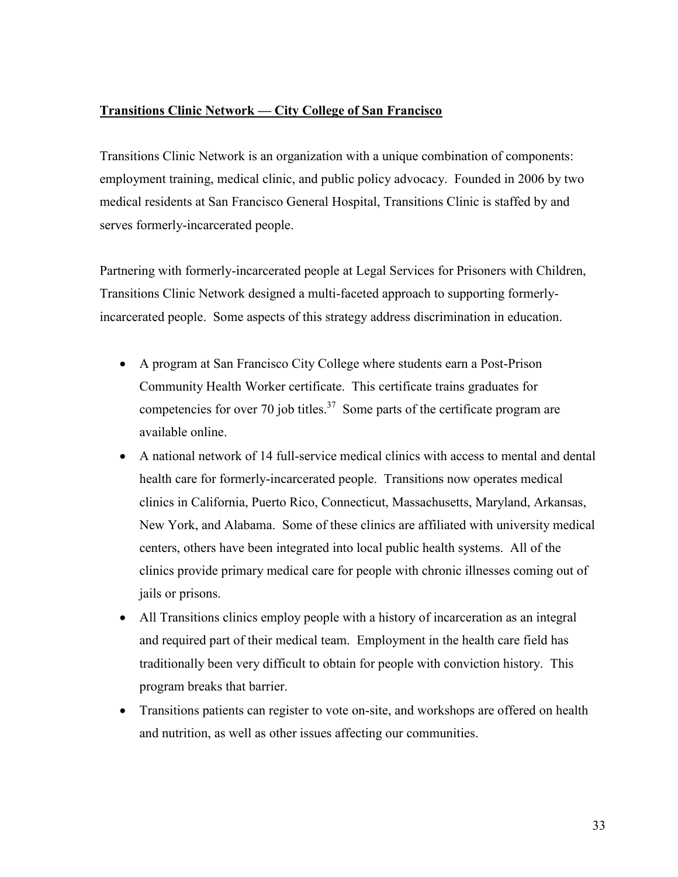### **Transitions Clinic Network — City College of San Francisco**

Transitions Clinic Network is an organization with a unique combination of components: employment training, medical clinic, and public policy advocacy. Founded in 2006 by two medical residents at San Francisco General Hospital, Transitions Clinic is staffed by and serves formerly-incarcerated people.

Partnering with formerly-incarcerated people at Legal Services for Prisoners with Children, Transitions Clinic Network designed a multi-faceted approach to supporting formerlyincarcerated people. Some aspects of this strategy address discrimination in education.

- A program at San Francisco City College where students earn a Post-Prison Community Health Worker certificate. This certificate trains graduates for competencies for over 70 job titles.<sup>37</sup> Some parts of the certificate program are available online.
- A national network of 14 full-service medical clinics with access to mental and dental health care for formerly-incarcerated people. Transitions now operates medical clinics in California, Puerto Rico, Connecticut, Massachusetts, Maryland, Arkansas, New York, and Alabama. Some of these clinics are affiliated with university medical centers, others have been integrated into local public health systems. All of the clinics provide primary medical care for people with chronic illnesses coming out of jails or prisons.
- All Transitions clinics employ people with a history of incarceration as an integral and required part of their medical team. Employment in the health care field has traditionally been very difficult to obtain for people with conviction history. This program breaks that barrier.
- Transitions patients can register to vote on-site, and workshops are offered on health and nutrition, as well as other issues affecting our communities.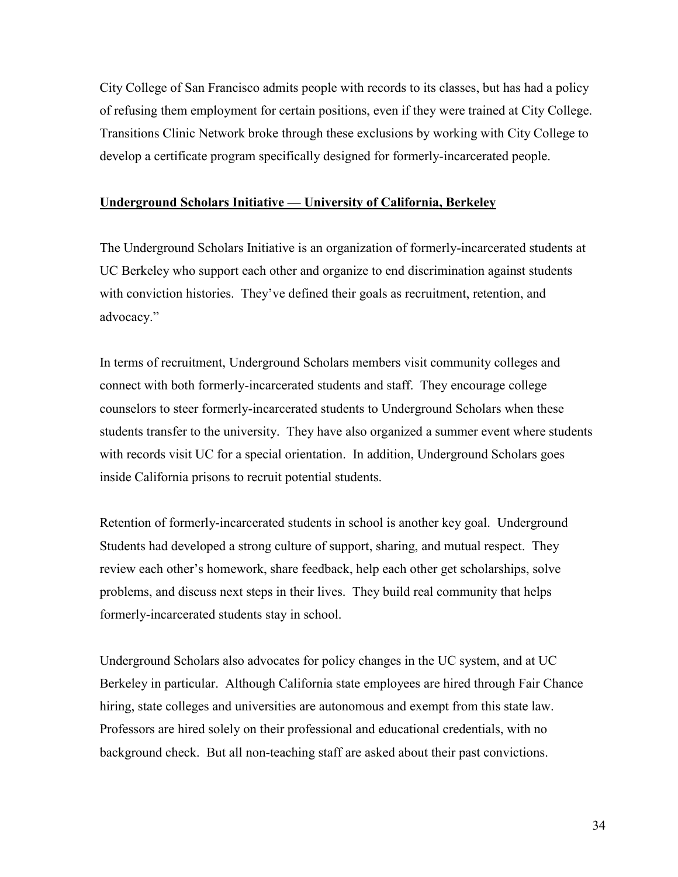City College of San Francisco admits people with records to its classes, but has had a policy of refusing them employment for certain positions, even if they were trained at City College. Transitions Clinic Network broke through these exclusions by working with City College to develop a certificate program specifically designed for formerly-incarcerated people.

### **Underground Scholars Initiative — University of California, Berkeley**

The Underground Scholars Initiative is an organization of formerly-incarcerated students at UC Berkeley who support each other and organize to end discrimination against students with conviction histories. They've defined their goals as recruitment, retention, and advocacy."

In terms of recruitment, Underground Scholars members visit community colleges and connect with both formerly-incarcerated students and staff. They encourage college counselors to steer formerly-incarcerated students to Underground Scholars when these students transfer to the university. They have also organized a summer event where students with records visit UC for a special orientation. In addition, Underground Scholars goes inside California prisons to recruit potential students.

Retention of formerly-incarcerated students in school is another key goal. Underground Students had developed a strong culture of support, sharing, and mutual respect. They review each other's homework, share feedback, help each other get scholarships, solve problems, and discuss next steps in their lives. They build real community that helps formerly-incarcerated students stay in school.

Underground Scholars also advocates for policy changes in the UC system, and at UC Berkeley in particular. Although California state employees are hired through Fair Chance hiring, state colleges and universities are autonomous and exempt from this state law. Professors are hired solely on their professional and educational credentials, with no background check. But all non-teaching staff are asked about their past convictions.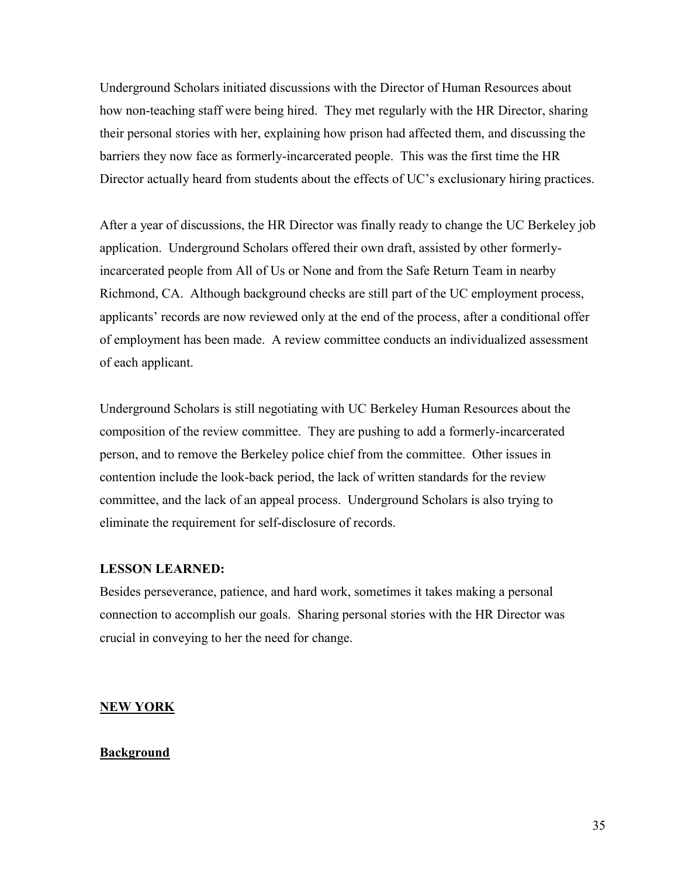Underground Scholars initiated discussions with the Director of Human Resources about how non-teaching staff were being hired. They met regularly with the HR Director, sharing their personal stories with her, explaining how prison had affected them, and discussing the barriers they now face as formerly-incarcerated people. This was the first time the HR Director actually heard from students about the effects of UC's exclusionary hiring practices.

After a year of discussions, the HR Director was finally ready to change the UC Berkeley job application. Underground Scholars offered their own draft, assisted by other formerlyincarcerated people from All of Us or None and from the Safe Return Team in nearby Richmond, CA. Although background checks are still part of the UC employment process, applicants' records are now reviewed only at the end of the process, after a conditional offer of employment has been made. A review committee conducts an individualized assessment of each applicant.

Underground Scholars is still negotiating with UC Berkeley Human Resources about the composition of the review committee. They are pushing to add a formerly-incarcerated person, and to remove the Berkeley police chief from the committee. Other issues in contention include the look-back period, the lack of written standards for the review committee, and the lack of an appeal process. Underground Scholars is also trying to eliminate the requirement for self-disclosure of records.

#### **LESSON LEARNED:**

Besides perseverance, patience, and hard work, sometimes it takes making a personal connection to accomplish our goals. Sharing personal stories with the HR Director was crucial in conveying to her the need for change.

#### **NEW YORK**

#### **Background**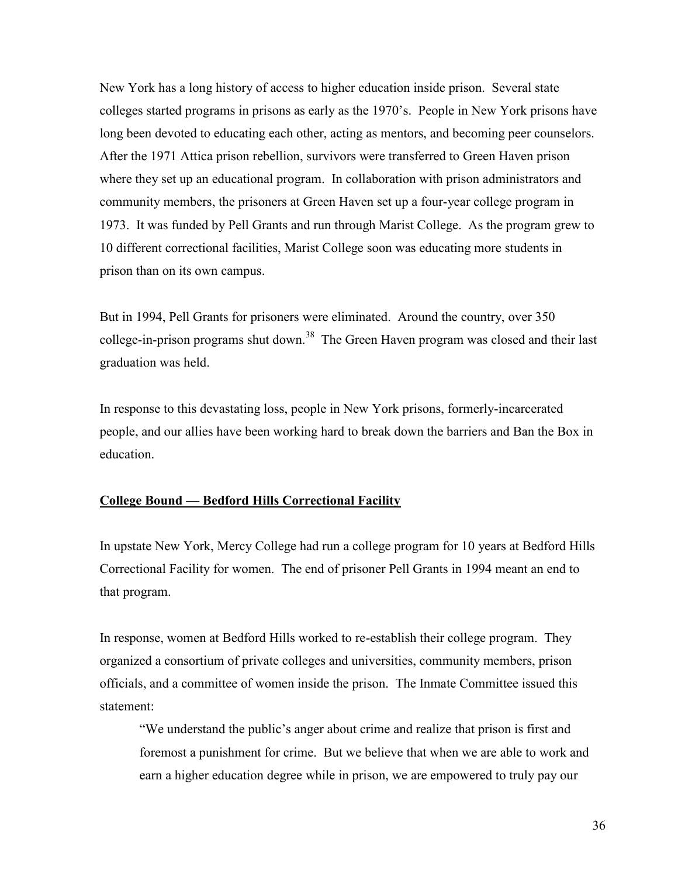New York has a long history of access to higher education inside prison. Several state colleges started programs in prisons as early as the 1970's. People in New York prisons have long been devoted to educating each other, acting as mentors, and becoming peer counselors. After the 1971 Attica prison rebellion, survivors were transferred to Green Haven prison where they set up an educational program. In collaboration with prison administrators and community members, the prisoners at Green Haven set up a four-year college program in 1973. It was funded by Pell Grants and run through Marist College. As the program grew to 10 different correctional facilities, Marist College soon was educating more students in prison than on its own campus.

But in 1994, Pell Grants for prisoners were eliminated. Around the country, over 350 college-in-prison programs shut down.<sup>38</sup> The Green Haven program was closed and their last graduation was held.

In response to this devastating loss, people in New York prisons, formerly-incarcerated people, and our allies have been working hard to break down the barriers and Ban the Box in education.

#### **College Bound — Bedford Hills Correctional Facility**

In upstate New York, Mercy College had run a college program for 10 years at Bedford Hills Correctional Facility for women. The end of prisoner Pell Grants in 1994 meant an end to that program.

In response, women at Bedford Hills worked to re-establish their college program. They organized a consortium of private colleges and universities, community members, prison officials, and a committee of women inside the prison. The Inmate Committee issued this statement:

"We understand the public's anger about crime and realize that prison is first and foremost a punishment for crime. But we believe that when we are able to work and earn a higher education degree while in prison, we are empowered to truly pay our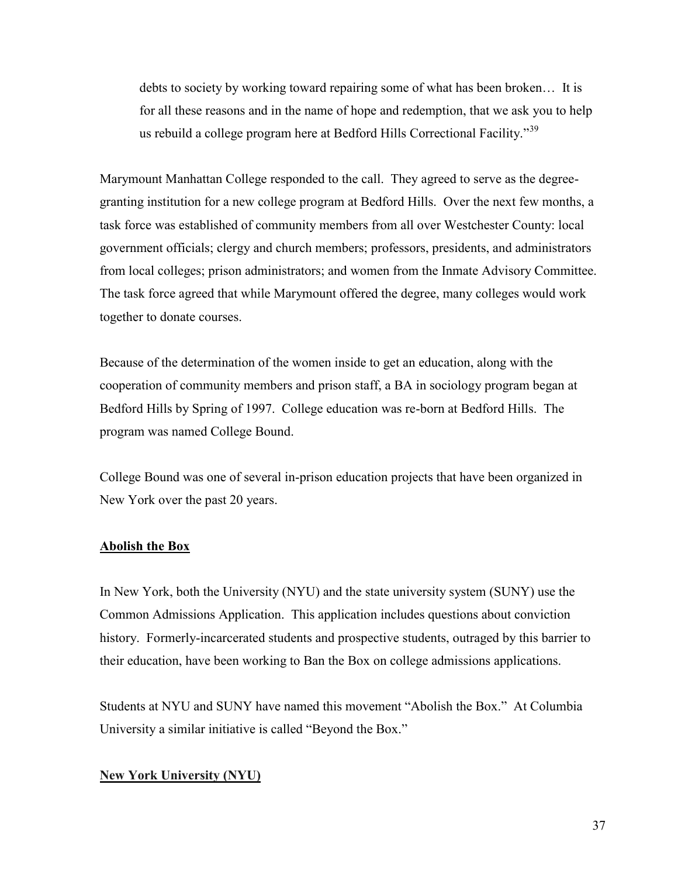debts to society by working toward repairing some of what has been broken… It is for all these reasons and in the name of hope and redemption, that we ask you to help us rebuild a college program here at Bedford Hills Correctional Facility."<sup>39</sup>

Marymount Manhattan College responded to the call. They agreed to serve as the degreegranting institution for a new college program at Bedford Hills. Over the next few months, a task force was established of community members from all over Westchester County: local government officials; clergy and church members; professors, presidents, and administrators from local colleges; prison administrators; and women from the Inmate Advisory Committee. The task force agreed that while Marymount offered the degree, many colleges would work together to donate courses.

Because of the determination of the women inside to get an education, along with the cooperation of community members and prison staff, a BA in sociology program began at Bedford Hills by Spring of 1997. College education was re-born at Bedford Hills. The program was named College Bound.

College Bound was one of several in-prison education projects that have been organized in New York over the past 20 years.

#### **Abolish the Box**

In New York, both the University (NYU) and the state university system (SUNY) use the Common Admissions Application. This application includes questions about conviction history. Formerly-incarcerated students and prospective students, outraged by this barrier to their education, have been working to Ban the Box on college admissions applications.

Students at NYU and SUNY have named this movement "Abolish the Box." At Columbia University a similar initiative is called "Beyond the Box."

#### **New York University (NYU)**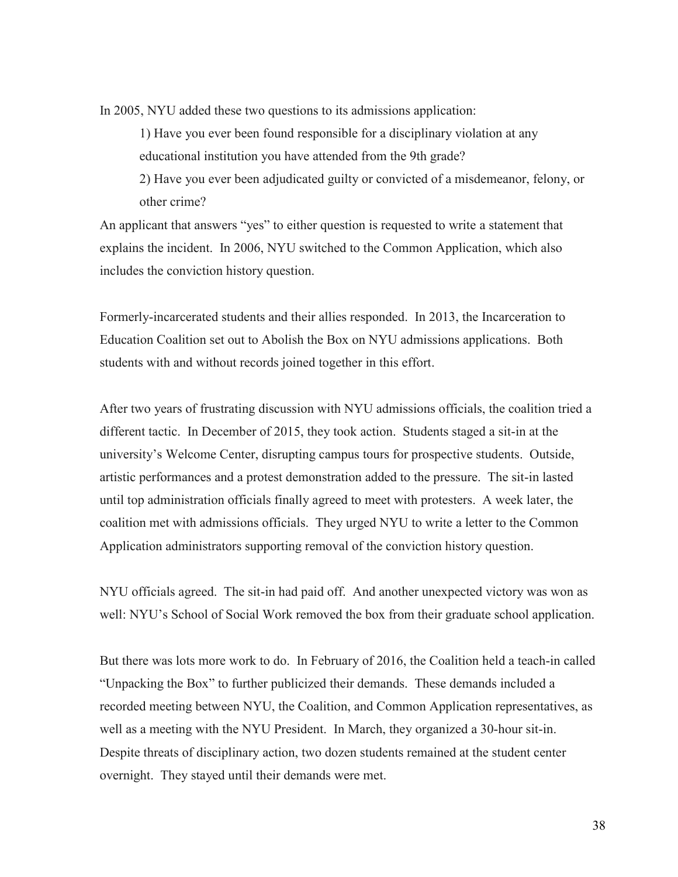In 2005, NYU added these two questions to its admissions application:

1) Have you ever been found responsible for a disciplinary violation at any educational institution you have attended from the 9th grade? 2) Have you ever been adjudicated guilty or convicted of a misdemeanor, felony, or other crime?

An applicant that answers "yes" to either question is requested to write a statement that explains the incident. In 2006, NYU switched to the Common Application, which also includes the conviction history question.

Formerly-incarcerated students and their allies responded. In 2013, the Incarceration to Education Coalition set out to Abolish the Box on NYU admissions applications. Both students with and without records joined together in this effort.

After two years of frustrating discussion with NYU admissions officials, the coalition tried a different tactic. In December of 2015, they took action. Students staged a sit-in at the university's Welcome Center, disrupting campus tours for prospective students. Outside, artistic performances and a protest demonstration added to the pressure. The sit-in lasted until top administration officials finally agreed to meet with protesters. A week later, the coalition met with admissions officials. They urged NYU to write a letter to the Common Application administrators supporting removal of the conviction history question.

NYU officials agreed. The sit-in had paid off. And another unexpected victory was won as well: NYU's School of Social Work removed the box from their graduate school application.

But there was lots more work to do. In February of 2016, the Coalition held a teach-in called "Unpacking the Box" to further publicized their demands. These demands included a recorded meeting between NYU, the Coalition, and Common Application representatives, as well as a meeting with the NYU President. In March, they organized a 30-hour sit-in. Despite threats of disciplinary action, two dozen students remained at the student center overnight. They stayed until their demands were met.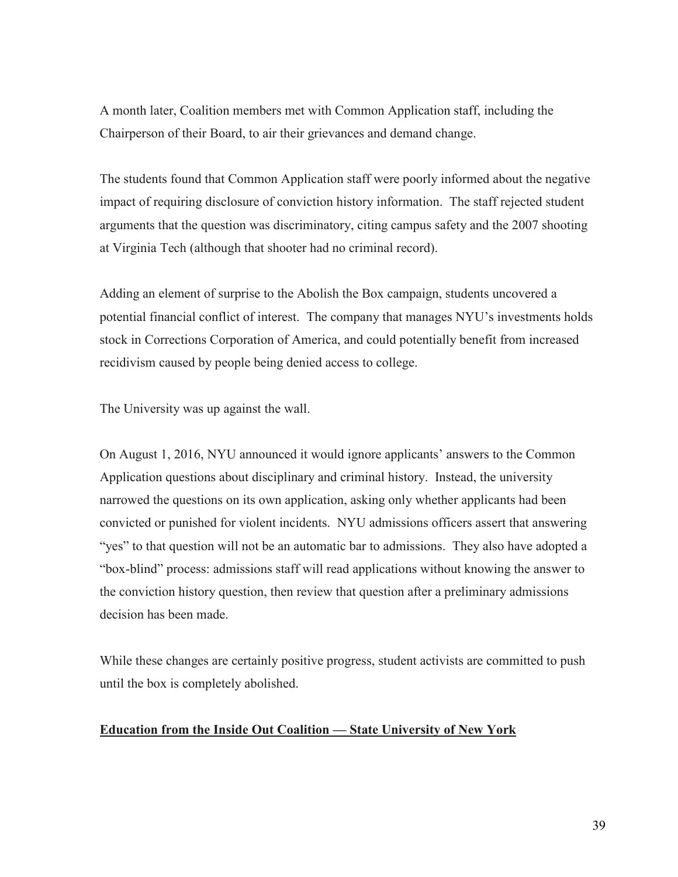A month later, Coalition members met with Common Application staff, including the Chairperson of their Board, to air their grievances and demand change.

The students found that Common Application staff were poorly informed about the negative impact of requiring disclosure of conviction history information. The staff rejected student arguments that the question was discriminatory, citing campus safety and the 2007 shooting at Virginia Tech (although that shooter had no criminal record).

Adding an element of surprise to the Abolish the Box campaign, students uncovered a potential financial conflict of interest. The company that manages NYU's investments holds stock in Corrections Corporation of America, and could potentially benefit from increased recidivism caused by people being denied access to college.

The University was up against the wall.

On August 1, 2016, NYU announced it would ignore applicants' answers to the Common Application questions about disciplinary and criminal history. Instead, the university narrowed the questions on its own application, asking only whether applicants had been convicted or punished for violent incidents. NYU admissions officers assert that answering "yes" to that question will not be an automatic bar to admissions. They also have adopted a "box-blind" process: admissions staff will read applications without knowing the answer to the conviction history question, then review that question after a preliminary admissions decision has been made.

While these changes are certainly positive progress, student activists are committed to push until the box is completely abolished.

#### **Education from the Inside Out Coalition — State University of New York**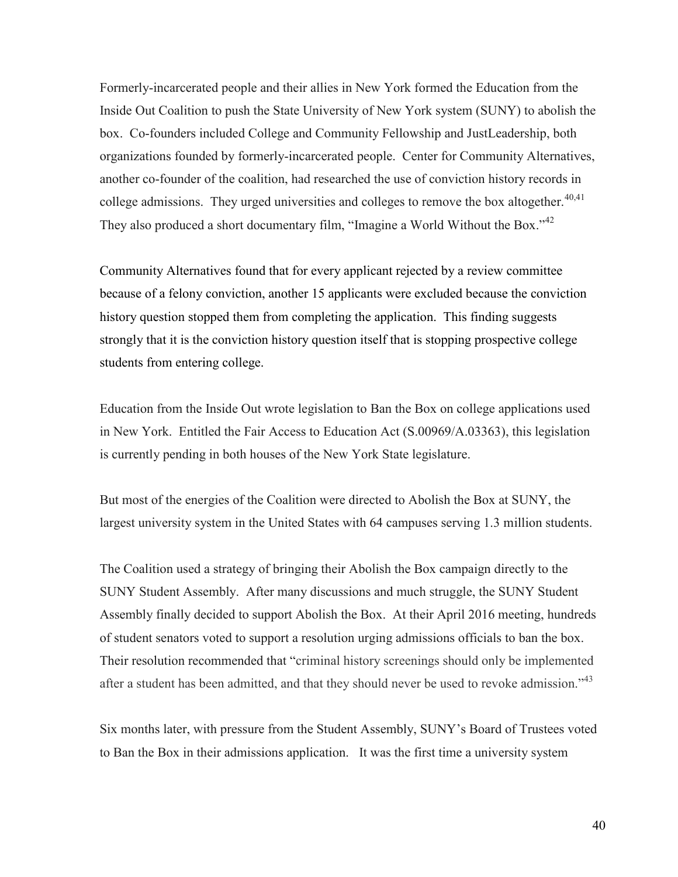Formerly-incarcerated people and their allies in New York formed the Education from the Inside Out Coalition to push the State University of New York system (SUNY) to abolish the box. Co-founders included College and Community Fellowship and JustLeadership, both organizations founded by formerly-incarcerated people. Center for Community Alternatives, another co-founder of the coalition, had researched the use of conviction history records in college admissions. They urged universities and colleges to remove the box altogether. $40,41$ They also produced a short documentary film, "Imagine a World Without the Box."<sup>42</sup>

Community Alternatives found that for every applicant rejected by a review committee because of a felony conviction, another 15 applicants were excluded because the conviction history question stopped them from completing the application. This finding suggests strongly that it is the conviction history question itself that is stopping prospective college students from entering college.

Education from the Inside Out wrote legislation to Ban the Box on college applications used in New York. Entitled the Fair Access to Education Act (S.00969/A.03363), this legislation is currently pending in both houses of the New York State legislature.

But most of the energies of the Coalition were directed to Abolish the Box at SUNY, the largest university system in the United States with 64 campuses serving 1.3 million students.

The Coalition used a strategy of bringing their Abolish the Box campaign directly to the SUNY Student Assembly. After many discussions and much struggle, the SUNY Student Assembly finally decided to support Abolish the Box. At their April 2016 meeting, hundreds of student senators voted to support a resolution urging admissions officials to ban the box. Their resolution recommended that "criminal history screenings should only be implemented after a student has been admitted, and that they should never be used to revoke admission." $43$ 

Six months later, with pressure from the Student Assembly, SUNY's Board of Trustees voted to Ban the Box in their admissions application. It was the first time a university system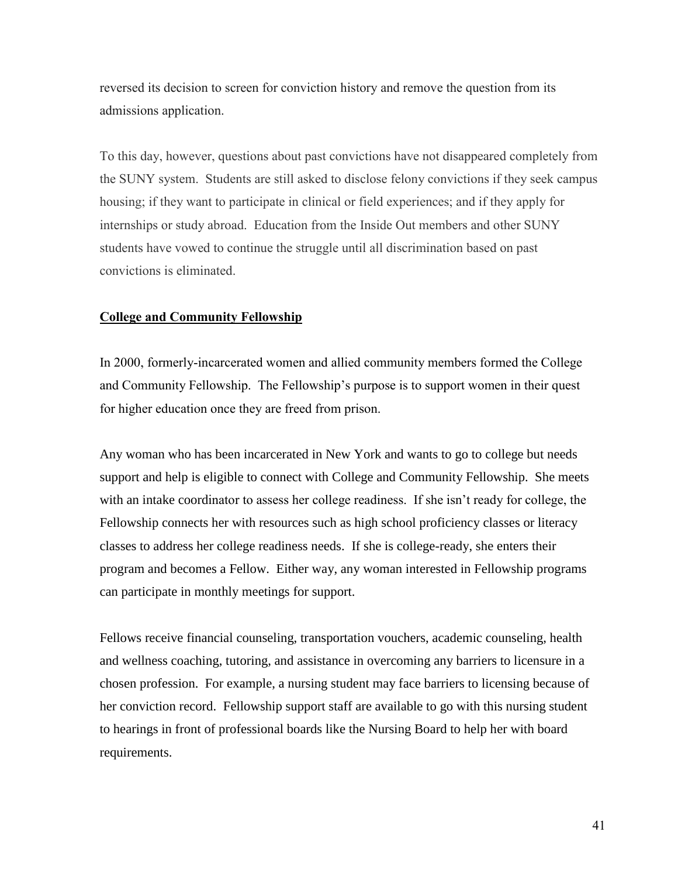reversed its decision to screen for conviction history and remove the question from its admissions application.

To this day, however, questions about past convictions have not disappeared completely from the SUNY system. Students are still asked to disclose felony convictions if they seek campus housing; if they want to participate in clinical or field experiences; and if they apply for internships or study abroad. Education from the Inside Out members and other SUNY students have vowed to continue the struggle until all discrimination based on past convictions is eliminated.

#### **College and Community Fellowship**

In 2000, formerly-incarcerated women and allied community members formed the College and Community Fellowship. The Fellowship's purpose is to support women in their quest for higher education once they are freed from prison.

Any woman who has been incarcerated in New York and wants to go to college but needs support and help is eligible to connect with College and Community Fellowship. She meets with an intake coordinator to assess her college readiness. If she isn't ready for college, the Fellowship connects her with resources such as high school proficiency classes or literacy classes to address her college readiness needs. If she is college-ready, she enters their program and becomes a Fellow. Either way, any woman interested in Fellowship programs can participate in monthly meetings for support.

Fellows receive financial counseling, transportation vouchers, academic counseling, health and wellness coaching, tutoring, and assistance in overcoming any barriers to licensure in a chosen profession. For example, a nursing student may face barriers to licensing because of her conviction record. Fellowship support staff are available to go with this nursing student to hearings in front of professional boards like the Nursing Board to help her with board requirements.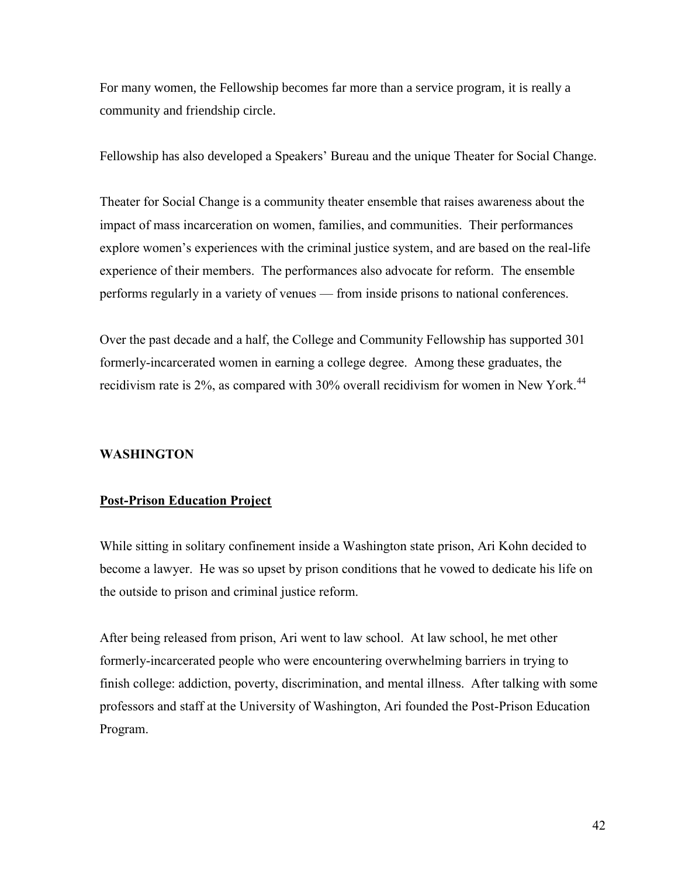For many women, the Fellowship becomes far more than a service program, it is really a community and friendship circle.

Fellowship has also developed a Speakers' Bureau and the unique Theater for Social Change.

Theater for Social Change is a community theater ensemble that raises awareness about the impact of mass incarceration on women, families, and communities. Their performances explore women's experiences with the criminal justice system, and are based on the real-life experience of their members. The performances also advocate for reform. The ensemble performs regularly in a variety of venues — from inside prisons to national conferences.

Over the past decade and a half, the College and Community Fellowship has supported 301 formerly-incarcerated women in earning a college degree. Among these graduates, the recidivism rate is 2%, as compared with 30% overall recidivism for women in New York.<sup>44</sup>

#### **WASHINGTON**

#### **Post-Prison Education Project**

While sitting in solitary confinement inside a Washington state prison, Ari Kohn decided to become a lawyer. He was so upset by prison conditions that he vowed to dedicate his life on the outside to prison and criminal justice reform.

After being released from prison, Ari went to law school. At law school, he met other formerly-incarcerated people who were encountering overwhelming barriers in trying to finish college: addiction, poverty, discrimination, and mental illness. After talking with some professors and staff at the University of Washington, Ari founded the Post-Prison Education Program.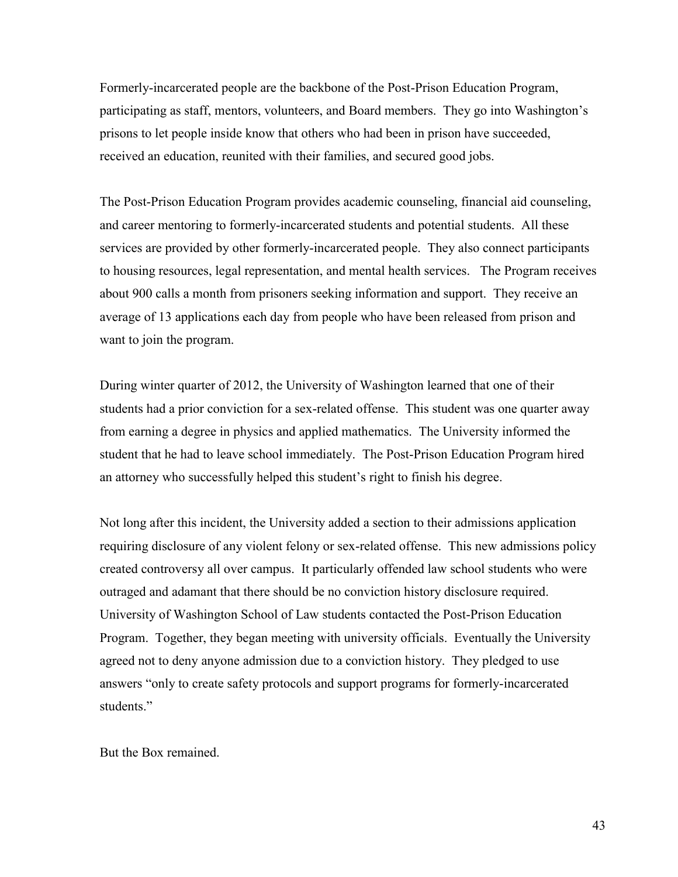Formerly-incarcerated people are the backbone of the Post-Prison Education Program, participating as staff, mentors, volunteers, and Board members. They go into Washington's prisons to let people inside know that others who had been in prison have succeeded, received an education, reunited with their families, and secured good jobs.

The Post-Prison Education Program provides academic counseling, financial aid counseling, and career mentoring to formerly-incarcerated students and potential students. All these services are provided by other formerly-incarcerated people. They also connect participants to housing resources, legal representation, and mental health services. The Program receives about 900 calls a month from prisoners seeking information and support. They receive an average of 13 applications each day from people who have been released from prison and want to join the program.

During winter quarter of 2012, the University of Washington learned that one of their students had a prior conviction for a sex-related offense. This student was one quarter away from earning a degree in physics and applied mathematics. The University informed the student that he had to leave school immediately. The Post-Prison Education Program hired an attorney who successfully helped this student's right to finish his degree.

Not long after this incident, the University added a section to their admissions application requiring disclosure of any violent felony or sex-related offense. This new admissions policy created controversy all over campus. It particularly offended law school students who were outraged and adamant that there should be no conviction history disclosure required. University of Washington School of Law students contacted the Post-Prison Education Program. Together, they began meeting with university officials. Eventually the University agreed not to deny anyone admission due to a conviction history. They pledged to use answers "only to create safety protocols and support programs for formerly-incarcerated students."

But the Box remained.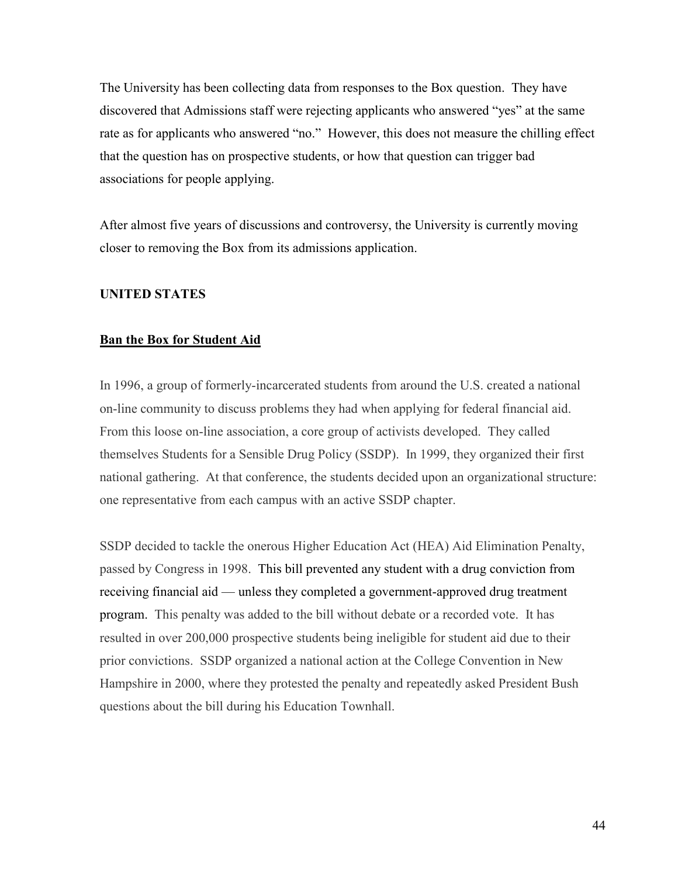The University has been collecting data from responses to the Box question. They have discovered that Admissions staff were rejecting applicants who answered "yes" at the same rate as for applicants who answered "no." However, this does not measure the chilling effect that the question has on prospective students, or how that question can trigger bad associations for people applying.

After almost five years of discussions and controversy, the University is currently moving closer to removing the Box from its admissions application.

#### **UNITED STATES**

#### **Ban the Box for Student Aid**

In 1996, a group of formerly-incarcerated students from around the U.S. created a national on-line community to discuss problems they had when applying for federal financial aid. From this loose on-line association, a core group of activists developed. They called themselves Students for a Sensible Drug Policy (SSDP). In 1999, they organized their first national gathering. At that conference, the students decided upon an organizational structure: one representative from each campus with an active SSDP chapter.

SSDP decided to tackle the onerous Higher Education Act (HEA) Aid Elimination Penalty, passed by Congress in 1998. This bill prevented any student with a drug conviction from receiving financial aid — unless they completed a government-approved drug treatment program. This penalty was added to the bill without debate or a recorded vote. It has resulted in over 200,000 prospective students being ineligible for student aid due to their prior convictions. SSDP organized a national action at the College Convention in New Hampshire in 2000, where they protested the penalty and repeatedly asked President Bush questions about the bill during his Education Townhall.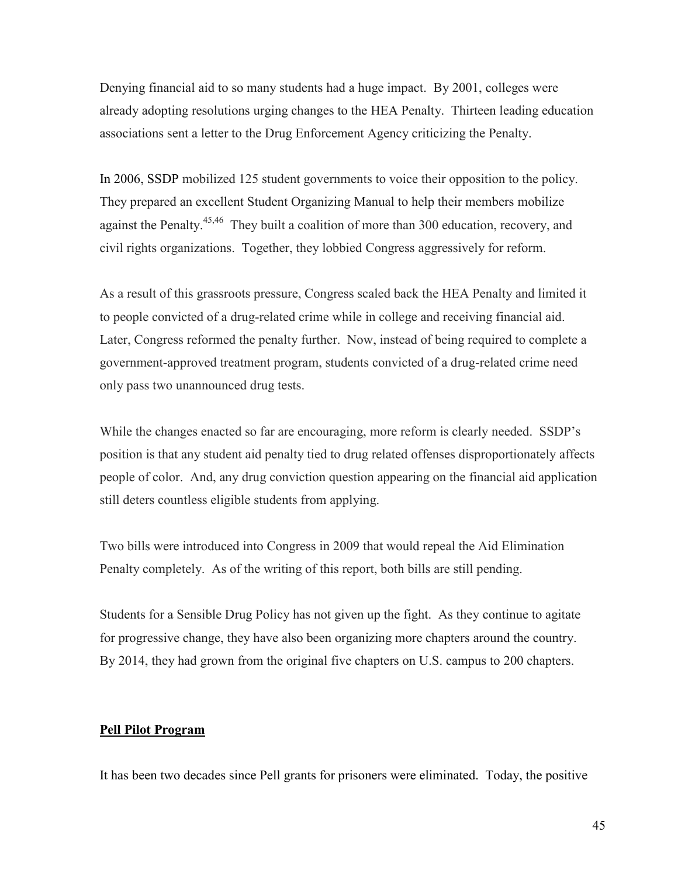Denying financial aid to so many students had a huge impact. By 2001, colleges were already adopting resolutions urging changes to the HEA Penalty. Thirteen leading education associations sent a letter to the Drug Enforcement Agency criticizing the Penalty.

In 2006, SSDP mobilized 125 student governments to voice their opposition to the policy. They prepared an excellent Student Organizing Manual to help their members mobilize against the Penalty.<sup>45,46</sup> They built a coalition of more than 300 education, recovery, and civil rights organizations. Together, they lobbied Congress aggressively for reform.

As a result of this grassroots pressure, Congress scaled back the HEA Penalty and limited it to people convicted of a drug-related crime while in college and receiving financial aid. Later, Congress reformed the penalty further. Now, instead of being required to complete a government-approved treatment program, students convicted of a drug-related crime need only pass two unannounced drug tests.

While the changes enacted so far are encouraging, more reform is clearly needed. SSDP's position is that any student aid penalty tied to drug related offenses disproportionately affects people of color. And, any drug conviction question appearing on the financial aid application still deters countless eligible students from applying.

Two bills were introduced into Congress in 2009 that would repeal the Aid Elimination Penalty completely. As of the writing of this report, both bills are still pending.

Students for a Sensible Drug Policy has not given up the fight. As they continue to agitate for progressive change, they have also been organizing more chapters around the country. By 2014, they had grown from the original five chapters on U.S. campus to 200 chapters.

#### **Pell Pilot Program**

It has been two decades since Pell grants for prisoners were eliminated. Today, the positive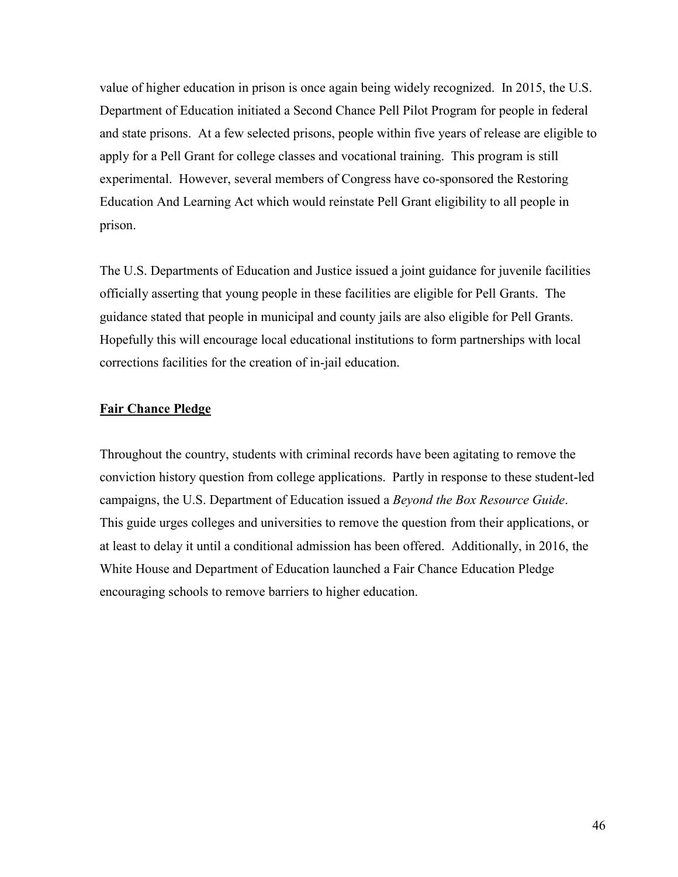value of higher education in prison is once again being widely recognized. In 2015, the U.S. Department of Education initiated a Second Chance Pell Pilot Program for people in federal and state prisons. At a few selected prisons, people within five years of release are eligible to apply for a Pell Grant for college classes and vocational training. This program is still experimental. However, several members of Congress have co-sponsored the Restoring Education And Learning Act which would reinstate Pell Grant eligibility to all people in prison.

The U.S. Departments of Education and Justice issued a joint guidance for juvenile facilities officially asserting that young people in these facilities are eligible for Pell Grants. The guidance stated that people in municipal and county jails are also eligible for Pell Grants. Hopefully this will encourage local educational institutions to form partnerships with local corrections facilities for the creation of in-jail education.

#### **Fair Chance Pledge**

Throughout the country, students with criminal records have been agitating to remove the conviction history question from college applications. Partly in response to these student-led campaigns, the U.S. Department of Education issued a *Beyond the Box Resource Guide*. This guide urges colleges and universities to remove the question from their applications, or at least to delay it until a conditional admission has been offered. Additionally, in 2016, the White House and Department of Education launched a Fair Chance Education Pledge encouraging schools to remove barriers to higher education.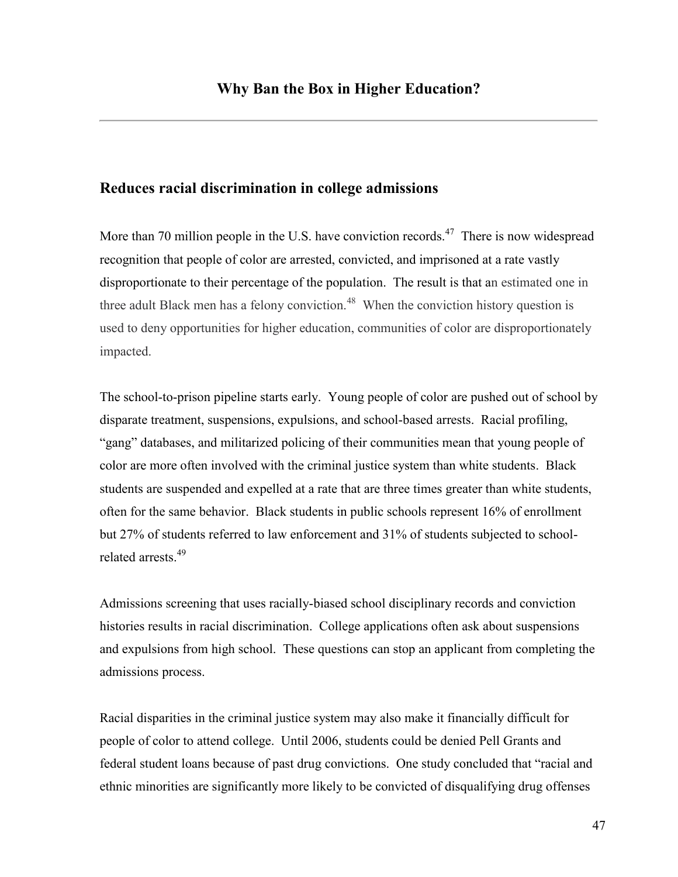### **Reduces racial discrimination in college admissions**

More than 70 million people in the U.S. have conviction records. $47$  There is now widespread recognition that people of color are arrested, convicted, and imprisoned at a rate vastly disproportionate to their percentage of the population. The result is that an estimated one in three adult Black men has a felony conviction.<sup>48</sup> When the conviction history question is used to deny opportunities for higher education, communities of color are disproportionately impacted.

The school-to-prison pipeline starts early. Young people of color are pushed out of school by disparate treatment, suspensions, expulsions, and school-based arrests. Racial profiling, "gang" databases, and militarized policing of their communities mean that young people of color are more often involved with the criminal justice system than white students. Black students are suspended and expelled at a rate that are three times greater than white students, often for the same behavior. Black students in public schools represent 16% of enrollment but 27% of students referred to law enforcement and 31% of students subjected to schoolrelated arrests.<sup>49</sup>

Admissions screening that uses racially-biased school disciplinary records and conviction histories results in racial discrimination. College applications often ask about suspensions and expulsions from high school. These questions can stop an applicant from completing the admissions process.

Racial disparities in the criminal justice system may also make it financially difficult for people of color to attend college. Until 2006, students could be denied Pell Grants and federal student loans because of past drug convictions. One study concluded that "racial and ethnic minorities are significantly more likely to be convicted of disqualifying drug offenses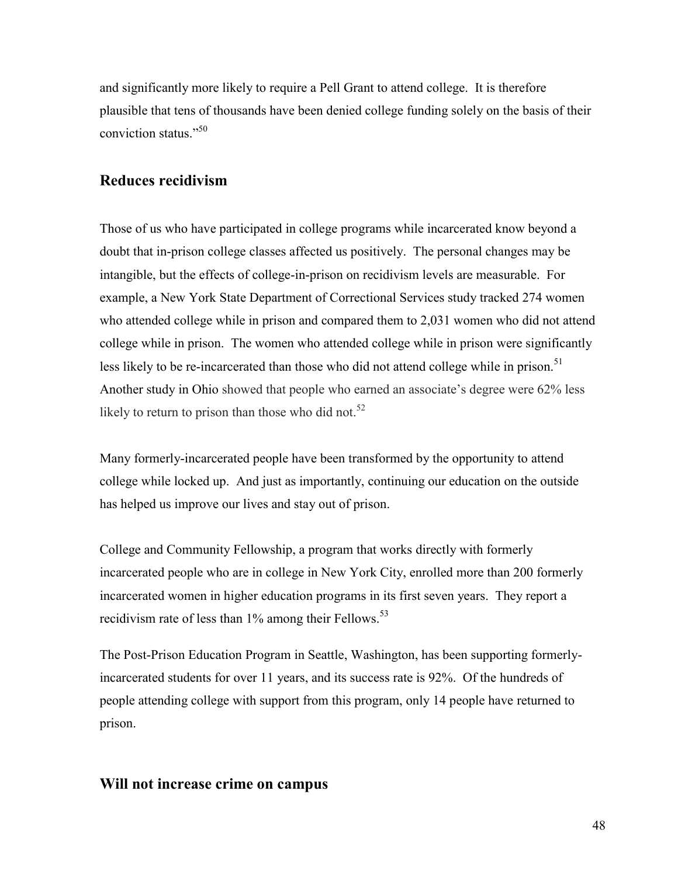and significantly more likely to require a Pell Grant to attend college. It is therefore plausible that tens of thousands have been denied college funding solely on the basis of their conviction status."<sup>50</sup>

# **Reduces recidivism**

Those of us who have participated in college programs while incarcerated know beyond a doubt that in-prison college classes affected us positively. The personal changes may be intangible, but the effects of college-in-prison on recidivism levels are measurable. For example, a New York State Department of Correctional Services study tracked 274 women who attended college while in prison and compared them to 2,031 women who did not attend college while in prison. The women who attended college while in prison were significantly less likely to be re-incarcerated than those who did not attend college while in prison.<sup>51</sup> Another study in Ohio showed that people who earned an associate's degree were 62% less likely to return to prison than those who did not. $52$ 

Many formerly-incarcerated people have been transformed by the opportunity to attend college while locked up. And just as importantly, continuing our education on the outside has helped us improve our lives and stay out of prison.

College and Community Fellowship, a program that works directly with formerly incarcerated people who are in college in New York City, enrolled more than 200 formerly incarcerated women in higher education programs in its first seven years. They report a recidivism rate of less than  $1\%$  among their Fellows.<sup>53</sup>

The Post-Prison Education Program in Seattle, Washington, has been supporting formerlyincarcerated students for over 11 years, and its success rate is 92%. Of the hundreds of people attending college with support from this program, only 14 people have returned to prison.

# **Will not increase crime on campus**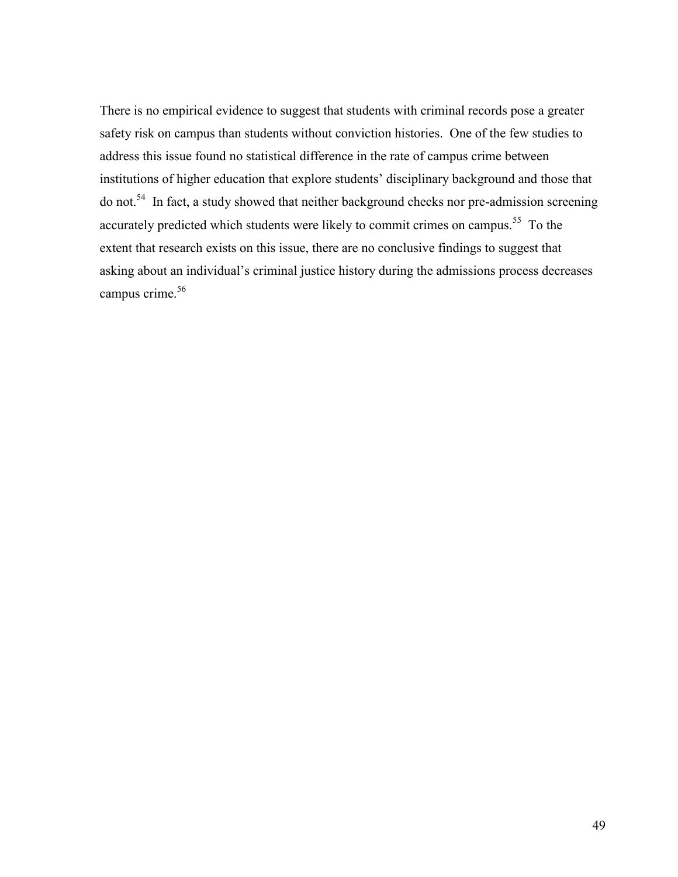There is no empirical evidence to suggest that students with criminal records pose a greater safety risk on campus than students without conviction histories. One of the few studies to address this issue found no statistical difference in the rate of campus crime between institutions of higher education that explore students' disciplinary background and those that do not.<sup>54</sup> In fact, a study showed that neither background checks nor pre-admission screening accurately predicted which students were likely to commit crimes on campus.<sup>55</sup> To the extent that research exists on this issue, there are no conclusive findings to suggest that asking about an individual's criminal justice history during the admissions process decreases campus crime.<sup>56</sup>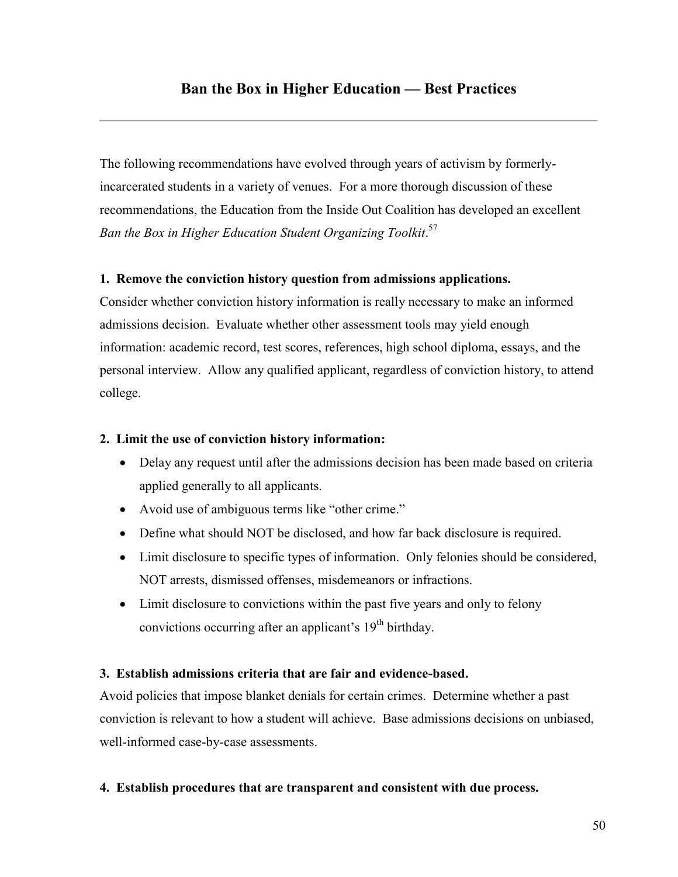The following recommendations have evolved through years of activism by formerlyincarcerated students in a variety of venues. For a more thorough discussion of these recommendations, the Education from the Inside Out Coalition has developed an excellent *Ban the Box in Higher Education Student Organizing Toolkit*. 57

### **1. Remove the conviction history question from admissions applications.**

Consider whether conviction history information is really necessary to make an informed admissions decision. Evaluate whether other assessment tools may yield enough information: academic record, test scores, references, high school diploma, essays, and the personal interview. Allow any qualified applicant, regardless of conviction history, to attend college.

### **2. Limit the use of conviction history information:**

- Delay any request until after the admissions decision has been made based on criteria applied generally to all applicants.
- Avoid use of ambiguous terms like "other crime."
- Define what should NOT be disclosed, and how far back disclosure is required.
- Limit disclosure to specific types of information. Only felonies should be considered, NOT arrests, dismissed offenses, misdemeanors or infractions.
- Limit disclosure to convictions within the past five years and only to felony convictions occurring after an applicant's  $19<sup>th</sup>$  birthday.

### **3. Establish admissions criteria that are fair and evidence-based.**

Avoid policies that impose blanket denials for certain crimes. Determine whether a past conviction is relevant to how a student will achieve. Base admissions decisions on unbiased, well-informed case-by-case assessments.

#### **4. Establish procedures that are transparent and consistent with due process.**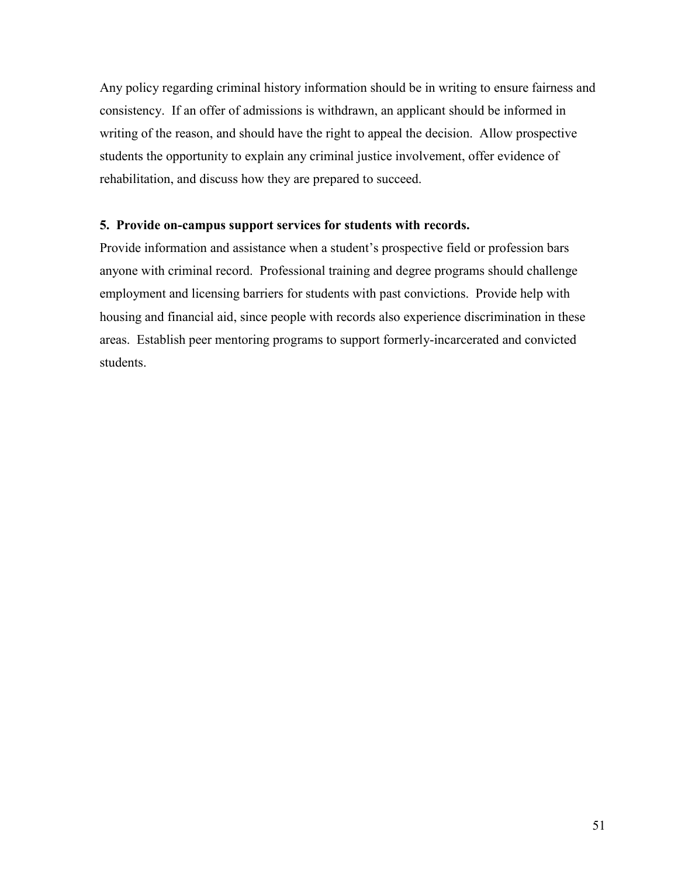Any policy regarding criminal history information should be in writing to ensure fairness and consistency. If an offer of admissions is withdrawn, an applicant should be informed in writing of the reason, and should have the right to appeal the decision. Allow prospective students the opportunity to explain any criminal justice involvement, offer evidence of rehabilitation, and discuss how they are prepared to succeed.

#### **5. Provide on-campus support services for students with records.**

Provide information and assistance when a student's prospective field or profession bars anyone with criminal record. Professional training and degree programs should challenge employment and licensing barriers for students with past convictions. Provide help with housing and financial aid, since people with records also experience discrimination in these areas. Establish peer mentoring programs to support formerly-incarcerated and convicted students.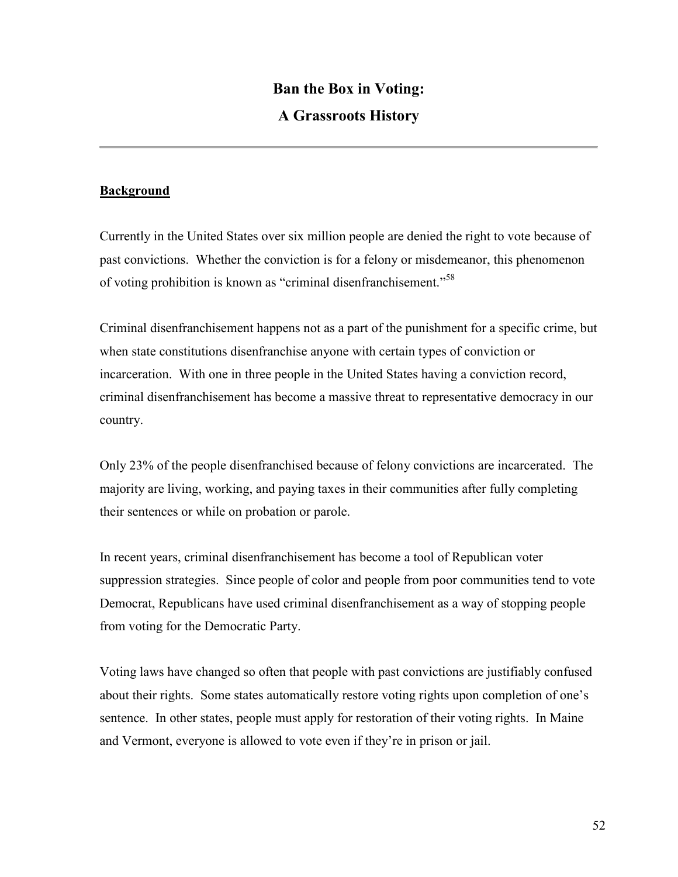# **Ban the Box in Voting: A Grassroots History**

### **Background**

Currently in the United States over six million people are denied the right to vote because of past convictions. Whether the conviction is for a felony or misdemeanor, this phenomenon of voting prohibition is known as "criminal disenfranchisement."<sup>58</sup>

Criminal disenfranchisement happens not as a part of the punishment for a specific crime, but when state constitutions disenfranchise anyone with certain types of conviction or incarceration. With one in three people in the United States having a conviction record, criminal disenfranchisement has become a massive threat to representative democracy in our country.

Only 23% of the people disenfranchised because of felony convictions are incarcerated. The majority are living, working, and paying taxes in their communities after fully completing their sentences or while on probation or parole.

In recent years, criminal disenfranchisement has become a tool of Republican voter suppression strategies. Since people of color and people from poor communities tend to vote Democrat, Republicans have used criminal disenfranchisement as a way of stopping people from voting for the Democratic Party.

Voting laws have changed so often that people with past convictions are justifiably confused about their rights. Some states automatically restore voting rights upon completion of one's sentence. In other states, people must apply for restoration of their voting rights. In Maine and Vermont, everyone is allowed to vote even if they're in prison or jail.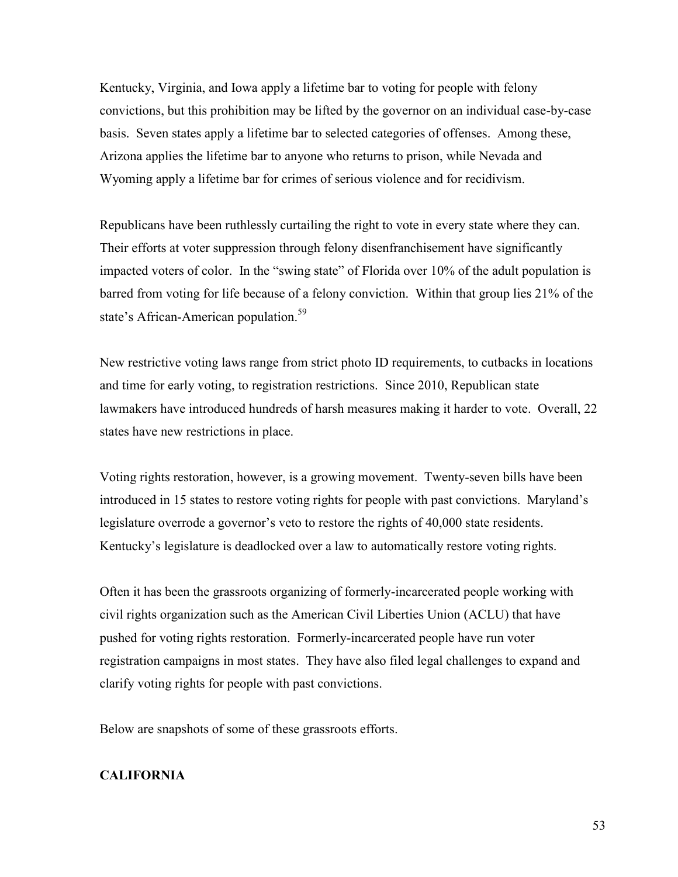Kentucky, Virginia, and Iowa apply a lifetime bar to voting for people with felony convictions, but this prohibition may be lifted by the governor on an individual case-by-case basis. Seven states apply a lifetime bar to selected categories of offenses. Among these, Arizona applies the lifetime bar to anyone who returns to prison, while Nevada and Wyoming apply a lifetime bar for crimes of serious violence and for recidivism.

Republicans have been ruthlessly curtailing the right to vote in every state where they can. Their efforts at voter suppression through felony disenfranchisement have significantly impacted voters of color. In the "swing state" of Florida over 10% of the adult population is barred from voting for life because of a felony conviction. Within that group lies 21% of the state's African-American population.<sup>59</sup>

New restrictive voting laws range from strict photo ID requirements, to cutbacks in locations and time for early voting, to registration restrictions. Since 2010, Republican state lawmakers have introduced hundreds of harsh measures making it harder to vote. Overall, 22 states have new restrictions in place.

Voting rights restoration, however, is a growing movement. Twenty-seven bills have been introduced in 15 states to restore voting rights for people with past convictions. Maryland's legislature overrode a governor's veto to restore the rights of 40,000 state residents. Kentucky's legislature is deadlocked over a law to automatically restore voting rights.

Often it has been the grassroots organizing of formerly-incarcerated people working with civil rights organization such as the American Civil Liberties Union (ACLU) that have pushed for voting rights restoration. Formerly-incarcerated people have run voter registration campaigns in most states. They have also filed legal challenges to expand and clarify voting rights for people with past convictions.

Below are snapshots of some of these grassroots efforts.

#### **CALIFORNIA**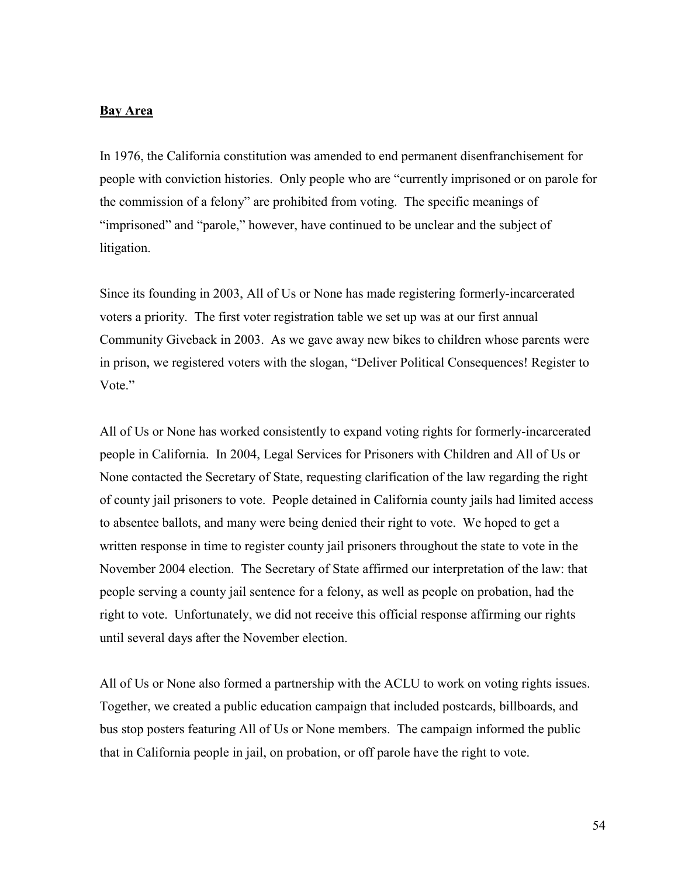#### **Bay Area**

In 1976, the California constitution was amended to end permanent disenfranchisement for people with conviction histories. Only people who are "currently imprisoned or on parole for the commission of a felony" are prohibited from voting. The specific meanings of "imprisoned" and "parole," however, have continued to be unclear and the subject of litigation.

Since its founding in 2003, All of Us or None has made registering formerly-incarcerated voters a priority. The first voter registration table we set up was at our first annual Community Giveback in 2003. As we gave away new bikes to children whose parents were in prison, we registered voters with the slogan, "Deliver Political Consequences! Register to Vote."

All of Us or None has worked consistently to expand voting rights for formerly-incarcerated people in California. In 2004, Legal Services for Prisoners with Children and All of Us or None contacted the Secretary of State, requesting clarification of the law regarding the right of county jail prisoners to vote. People detained in California county jails had limited access to absentee ballots, and many were being denied their right to vote. We hoped to get a written response in time to register county jail prisoners throughout the state to vote in the November 2004 election. The Secretary of State affirmed our interpretation of the law: that people serving a county jail sentence for a felony, as well as people on probation, had the right to vote. Unfortunately, we did not receive this official response affirming our rights until several days after the November election.

All of Us or None also formed a partnership with the ACLU to work on voting rights issues. Together, we created a public education campaign that included postcards, billboards, and bus stop posters featuring All of Us or None members. The campaign informed the public that in California people in jail, on probation, or off parole have the right to vote.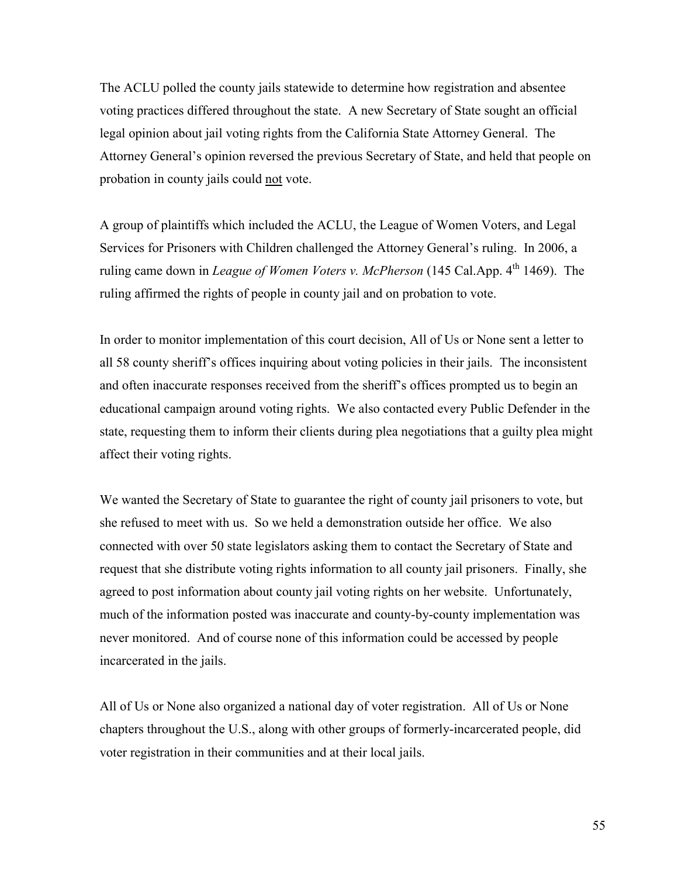The ACLU polled the county jails statewide to determine how registration and absentee voting practices differed throughout the state. A new Secretary of State sought an official legal opinion about jail voting rights from the California State Attorney General. The Attorney General's opinion reversed the previous Secretary of State, and held that people on probation in county jails could not vote.

A group of plaintiffs which included the ACLU, the League of Women Voters, and Legal Services for Prisoners with Children challenged the Attorney General's ruling. In 2006, a ruling came down in *League of Women Voters v. McPherson* (145 Cal.App. 4<sup>th</sup> 1469). The ruling affirmed the rights of people in county jail and on probation to vote.

In order to monitor implementation of this court decision, All of Us or None sent a letter to all 58 county sheriff's offices inquiring about voting policies in their jails. The inconsistent and often inaccurate responses received from the sheriff's offices prompted us to begin an educational campaign around voting rights. We also contacted every Public Defender in the state, requesting them to inform their clients during plea negotiations that a guilty plea might affect their voting rights.

We wanted the Secretary of State to guarantee the right of county jail prisoners to vote, but she refused to meet with us. So we held a demonstration outside her office. We also connected with over 50 state legislators asking them to contact the Secretary of State and request that she distribute voting rights information to all county jail prisoners. Finally, she agreed to post information about county jail voting rights on her website. Unfortunately, much of the information posted was inaccurate and county-by-county implementation was never monitored. And of course none of this information could be accessed by people incarcerated in the jails.

All of Us or None also organized a national day of voter registration. All of Us or None chapters throughout the U.S., along with other groups of formerly-incarcerated people, did voter registration in their communities and at their local jails.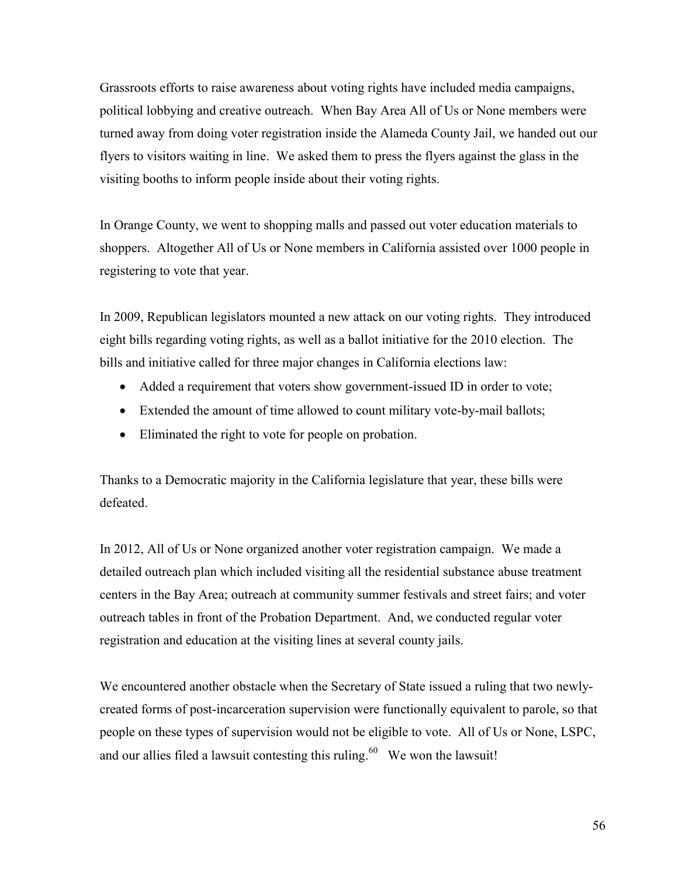Grassroots efforts to raise awareness about voting rights have included media campaigns, political lobbying and creative outreach. When Bay Area All of Us or None members were turned away from doing voter registration inside the Alameda County Jail, we handed out our flyers to visitors waiting in line. We asked them to press the flyers against the glass in the visiting booths to inform people inside about their voting rights.

In Orange County, we went to shopping malls and passed out voter education materials to shoppers. Altogether All of Us or None members in California assisted over 1000 people in registering to vote that year.

In 2009, Republican legislators mounted a new attack on our voting rights. They introduced eight bills regarding voting rights, as well as a ballot initiative for the 2010 election. The bills and initiative called for three major changes in California elections law:

- Added a requirement that voters show government-issued ID in order to vote;
- Extended the amount of time allowed to count military vote-by-mail ballots;
- Eliminated the right to vote for people on probation.

Thanks to a Democratic majority in the California legislature that year, these bills were defeated.

In 2012, All of Us or None organized another voter registration campaign. We made a detailed outreach plan which included visiting all the residential substance abuse treatment centers in the Bay Area; outreach at community summer festivals and street fairs; and voter outreach tables in front of the Probation Department. And, we conducted regular voter registration and education at the visiting lines at several county jails.

We encountered another obstacle when the Secretary of State issued a ruling that two newlycreated forms of post-incarceration supervision were functionally equivalent to parole, so that people on these types of supervision would not be eligible to vote. All of Us or None, LSPC, and our allies filed a lawsuit contesting this ruling.  $60$  We won the lawsuit!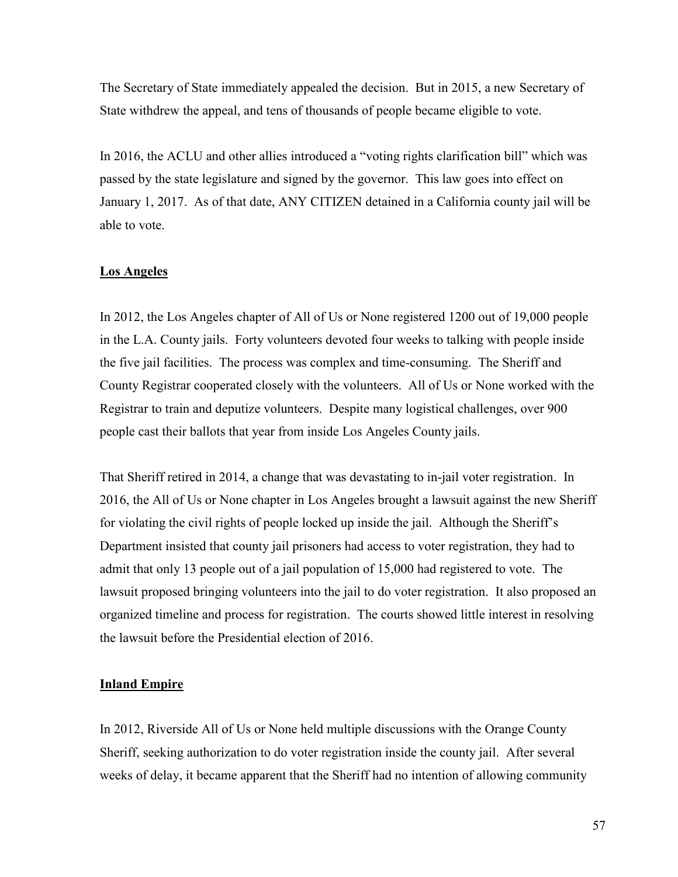The Secretary of State immediately appealed the decision. But in 2015, a new Secretary of State withdrew the appeal, and tens of thousands of people became eligible to vote.

In 2016, the ACLU and other allies introduced a "voting rights clarification bill" which was passed by the state legislature and signed by the governor. This law goes into effect on January 1, 2017. As of that date, ANY CITIZEN detained in a California county jail will be able to vote.

#### **Los Angeles**

In 2012, the Los Angeles chapter of All of Us or None registered 1200 out of 19,000 people in the L.A. County jails. Forty volunteers devoted four weeks to talking with people inside the five jail facilities. The process was complex and time-consuming. The Sheriff and County Registrar cooperated closely with the volunteers. All of Us or None worked with the Registrar to train and deputize volunteers. Despite many logistical challenges, over 900 people cast their ballots that year from inside Los Angeles County jails.

That Sheriff retired in 2014, a change that was devastating to in-jail voter registration. In 2016, the All of Us or None chapter in Los Angeles brought a lawsuit against the new Sheriff for violating the civil rights of people locked up inside the jail. Although the Sheriff's Department insisted that county jail prisoners had access to voter registration, they had to admit that only 13 people out of a jail population of 15,000 had registered to vote. The lawsuit proposed bringing volunteers into the jail to do voter registration. It also proposed an organized timeline and process for registration. The courts showed little interest in resolving the lawsuit before the Presidential election of 2016.

#### **Inland Empire**

In 2012, Riverside All of Us or None held multiple discussions with the Orange County Sheriff, seeking authorization to do voter registration inside the county jail. After several weeks of delay, it became apparent that the Sheriff had no intention of allowing community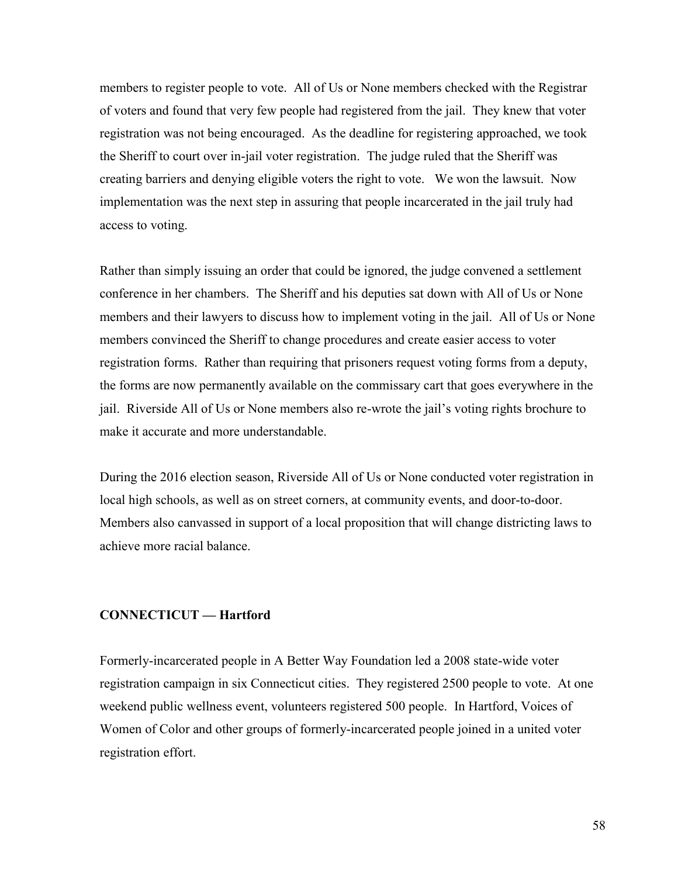members to register people to vote. All of Us or None members checked with the Registrar of voters and found that very few people had registered from the jail. They knew that voter registration was not being encouraged. As the deadline for registering approached, we took the Sheriff to court over in-jail voter registration. The judge ruled that the Sheriff was creating barriers and denying eligible voters the right to vote. We won the lawsuit. Now implementation was the next step in assuring that people incarcerated in the jail truly had access to voting.

Rather than simply issuing an order that could be ignored, the judge convened a settlement conference in her chambers. The Sheriff and his deputies sat down with All of Us or None members and their lawyers to discuss how to implement voting in the jail. All of Us or None members convinced the Sheriff to change procedures and create easier access to voter registration forms. Rather than requiring that prisoners request voting forms from a deputy, the forms are now permanently available on the commissary cart that goes everywhere in the jail. Riverside All of Us or None members also re-wrote the jail's voting rights brochure to make it accurate and more understandable.

During the 2016 election season, Riverside All of Us or None conducted voter registration in local high schools, as well as on street corners, at community events, and door-to-door. Members also canvassed in support of a local proposition that will change districting laws to achieve more racial balance.

#### **CONNECTICUT — Hartford**

Formerly-incarcerated people in A Better Way Foundation led a 2008 state-wide voter registration campaign in six Connecticut cities. They registered 2500 people to vote. At one weekend public wellness event, volunteers registered 500 people. In Hartford, Voices of Women of Color and other groups of formerly-incarcerated people joined in a united voter registration effort.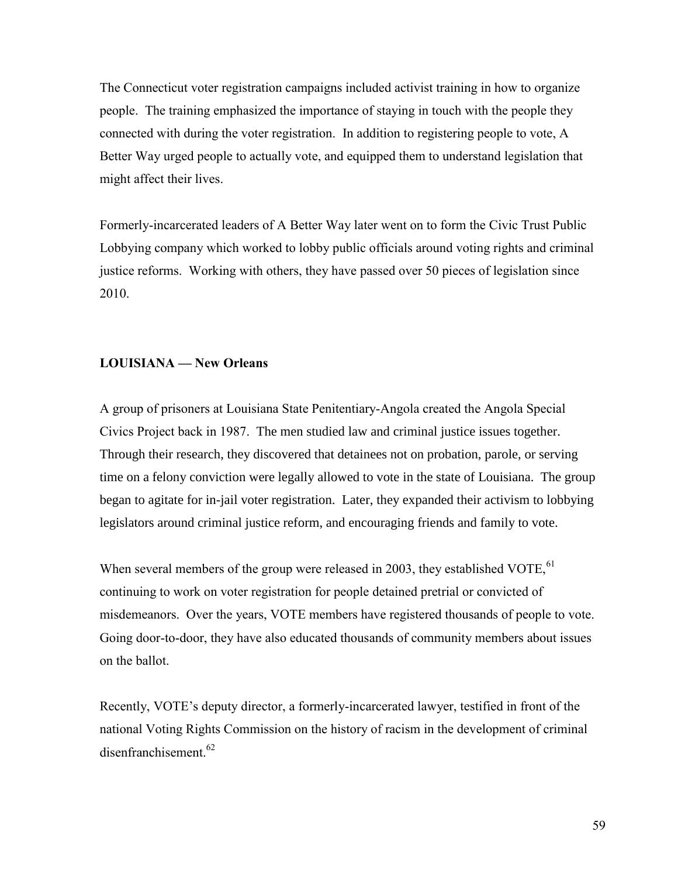The Connecticut voter registration campaigns included activist training in how to organize people. The training emphasized the importance of staying in touch with the people they connected with during the voter registration. In addition to registering people to vote, A Better Way urged people to actually vote, and equipped them to understand legislation that might affect their lives.

Formerly-incarcerated leaders of A Better Way later went on to form the Civic Trust Public Lobbying company which worked to lobby public officials around voting rights and criminal justice reforms. Working with others, they have passed over 50 pieces of legislation since 2010.

#### **LOUISIANA — New Orleans**

A group of prisoners at Louisiana State Penitentiary-Angola created the Angola Special Civics Project back in 1987. The men studied law and criminal justice issues together. Through their research, they discovered that detainees not on probation, parole, or serving time on a felony conviction were legally allowed to vote in the state of Louisiana. The group began to agitate for in-jail voter registration. Later, they expanded their activism to lobbying legislators around criminal justice reform, and encouraging friends and family to vote.

When several members of the group were released in 2003, they established VOTE, <sup>61</sup> continuing to work on voter registration for people detained pretrial or convicted of misdemeanors. Over the years, VOTE members have registered thousands of people to vote. Going door-to-door, they have also educated thousands of community members about issues on the ballot.

Recently, VOTE's deputy director, a formerly-incarcerated lawyer, testified in front of the national Voting Rights Commission on the history of racism in the development of criminal disenfranchisement.<sup>62</sup>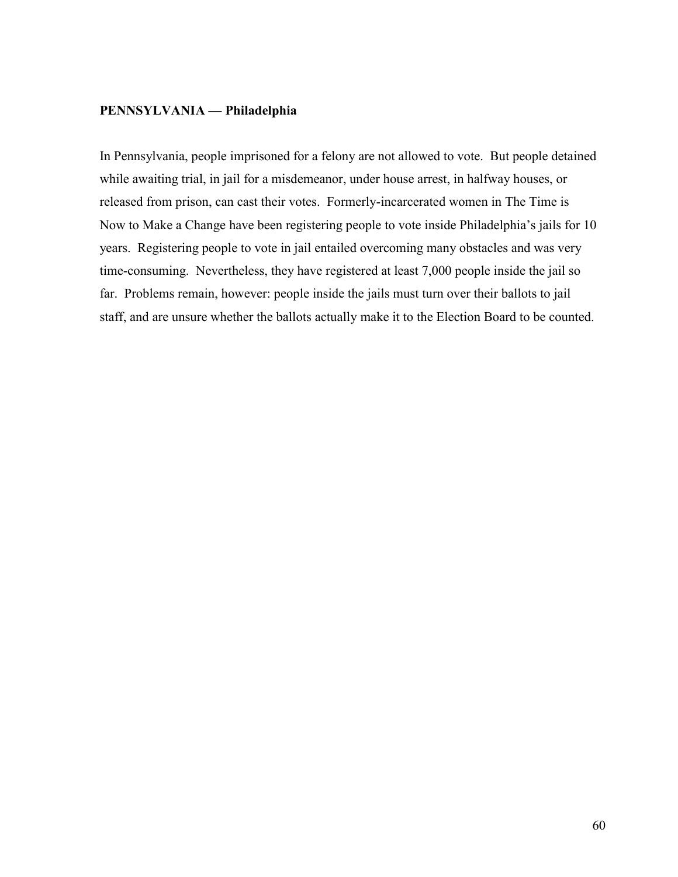#### **PENNSYLVANIA — Philadelphia**

In Pennsylvania, people imprisoned for a felony are not allowed to vote. But people detained while awaiting trial, in jail for a misdemeanor, under house arrest, in halfway houses, or released from prison, can cast their votes. Formerly-incarcerated women in The Time is Now to Make a Change have been registering people to vote inside Philadelphia's jails for 10 years. Registering people to vote in jail entailed overcoming many obstacles and was very time-consuming. Nevertheless, they have registered at least 7,000 people inside the jail so far. Problems remain, however: people inside the jails must turn over their ballots to jail staff, and are unsure whether the ballots actually make it to the Election Board to be counted.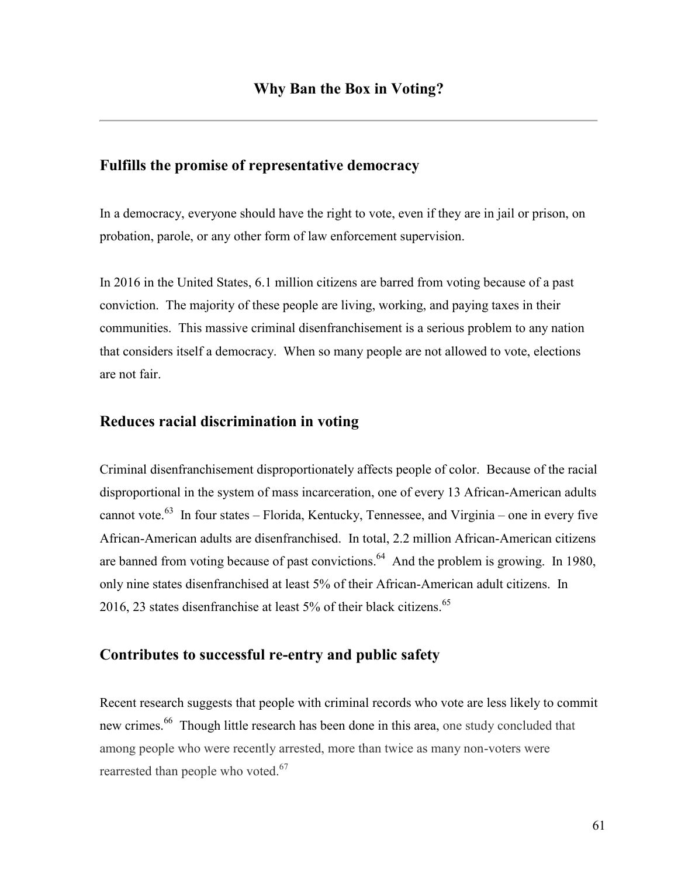## **Fulfills the promise of representative democracy**

In a democracy, everyone should have the right to vote, even if they are in jail or prison, on probation, parole, or any other form of law enforcement supervision.

In 2016 in the United States, 6.1 million citizens are barred from voting because of a past conviction. The majority of these people are living, working, and paying taxes in their communities. This massive criminal disenfranchisement is a serious problem to any nation that considers itself a democracy. When so many people are not allowed to vote, elections are not fair.

# **Reduces racial discrimination in voting**

Criminal disenfranchisement disproportionately affects people of color. Because of the racial disproportional in the system of mass incarceration, one of every 13 African-American adults cannot vote.<sup>63</sup> In four states – Florida, Kentucky, Tennessee, and Virginia – one in every five African-American adults are disenfranchised. In total, 2.2 million African-American citizens are banned from voting because of past convictions.<sup>64</sup> And the problem is growing. In 1980, only nine states disenfranchised at least 5% of their African-American adult citizens. In 2016, 23 states disenfranchise at least  $5\%$  of their black citizens.<sup>65</sup>

# **Contributes to successful re-entry and public safety**

Recent research suggests that people with criminal records who vote are less likely to commit new crimes.<sup>66</sup> Though little research has been done in this area, one study concluded that among people who were recently arrested, more than twice as many non-voters were rearrested than people who voted. $67$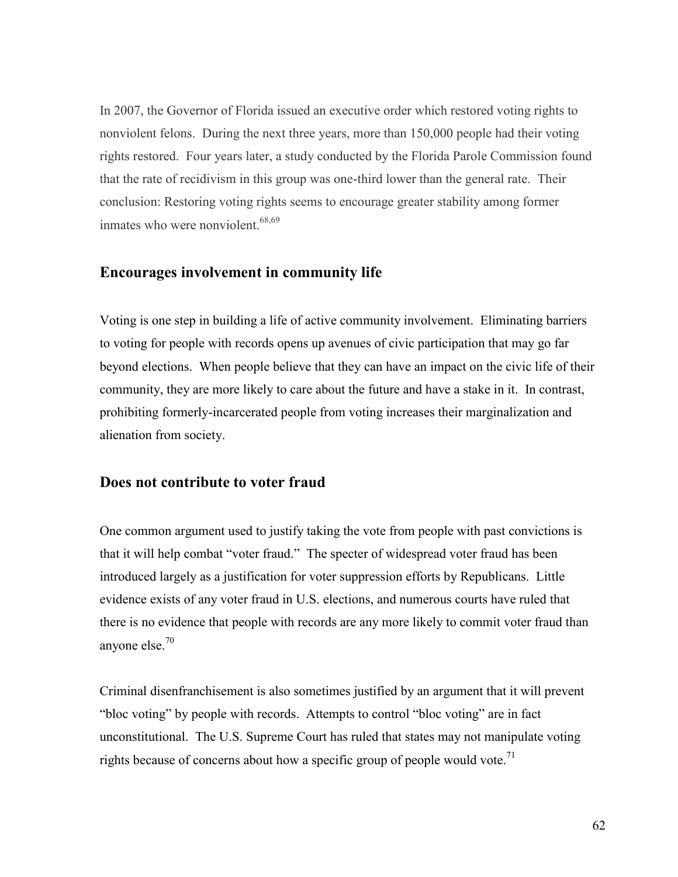In 2007, the Governor of Florida issued an executive order which restored voting rights to nonviolent felons. During the next three years, more than 150,000 people had their voting rights restored. Four years later, a study conducted by the Florida Parole Commission found that the rate of recidivism in this group was one-third lower than the general rate. Their conclusion: Restoring voting rights seems to encourage greater stability among former inmates who were nonviolent.<sup>68,69</sup>

#### **Encourages involvement in community life**

Voting is one step in building a life of active community involvement. Eliminating barriers to voting for people with records opens up avenues of civic participation that may go far beyond elections. When people believe that they can have an impact on the civic life of their community, they are more likely to care about the future and have a stake in it. In contrast, prohibiting formerly-incarcerated people from voting increases their marginalization and alienation from society.

#### **Does not contribute to voter fraud**

One common argument used to justify taking the vote from people with past convictions is that it will help combat "voter fraud." The specter of widespread voter fraud has been introduced largely as a justification for voter suppression efforts by Republicans. Little evidence exists of any voter fraud in U.S. elections, and numerous courts have ruled that there is no evidence that people with records are any more likely to commit voter fraud than anyone else.<sup>70</sup>

Criminal disenfranchisement is also sometimes justified by an argument that it will prevent "bloc voting" by people with records. Attempts to control "bloc voting" are in fact unconstitutional. The U.S. Supreme Court has ruled that states may not manipulate voting rights because of concerns about how a specific group of people would vote.<sup>71</sup>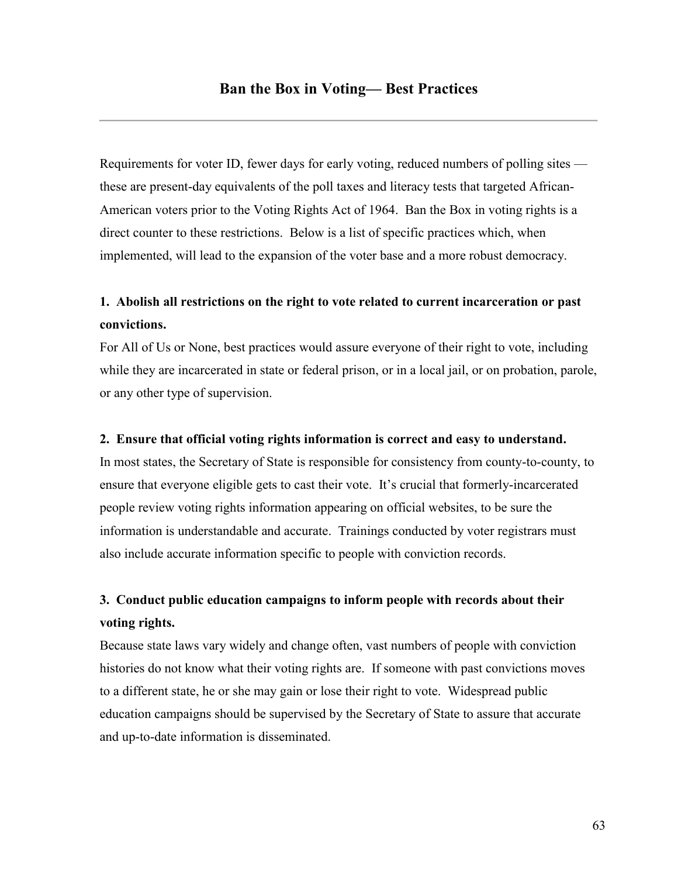Requirements for voter ID, fewer days for early voting, reduced numbers of polling sites these are present-day equivalents of the poll taxes and literacy tests that targeted African-American voters prior to the Voting Rights Act of 1964. Ban the Box in voting rights is a direct counter to these restrictions. Below is a list of specific practices which, when implemented, will lead to the expansion of the voter base and a more robust democracy.

# **1. Abolish all restrictions on the right to vote related to current incarceration or past convictions.**

For All of Us or None, best practices would assure everyone of their right to vote, including while they are incarcerated in state or federal prison, or in a local jail, or on probation, parole, or any other type of supervision.

#### **2. Ensure that official voting rights information is correct and easy to understand.**

In most states, the Secretary of State is responsible for consistency from county-to-county, to ensure that everyone eligible gets to cast their vote. It's crucial that formerly-incarcerated people review voting rights information appearing on official websites, to be sure the information is understandable and accurate. Trainings conducted by voter registrars must also include accurate information specific to people with conviction records.

# **3. Conduct public education campaigns to inform people with records about their voting rights.**

Because state laws vary widely and change often, vast numbers of people with conviction histories do not know what their voting rights are. If someone with past convictions moves to a different state, he or she may gain or lose their right to vote. Widespread public education campaigns should be supervised by the Secretary of State to assure that accurate and up-to-date information is disseminated.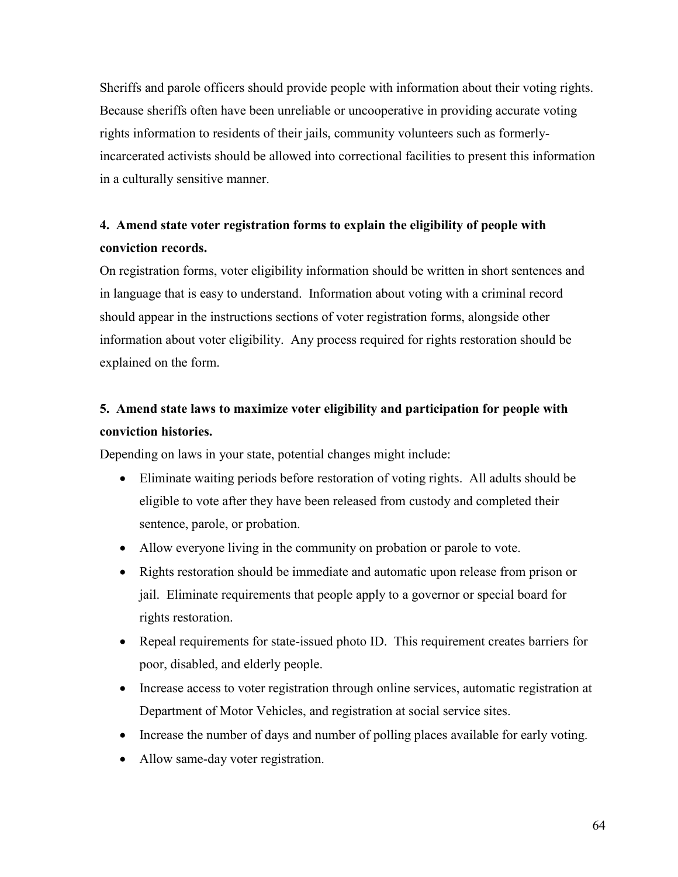Sheriffs and parole officers should provide people with information about their voting rights. Because sheriffs often have been unreliable or uncooperative in providing accurate voting rights information to residents of their jails, community volunteers such as formerlyincarcerated activists should be allowed into correctional facilities to present this information in a culturally sensitive manner.

# **4. Amend state voter registration forms to explain the eligibility of people with conviction records.**

On registration forms, voter eligibility information should be written in short sentences and in language that is easy to understand. Information about voting with a criminal record should appear in the instructions sections of voter registration forms, alongside other information about voter eligibility. Any process required for rights restoration should be explained on the form.

# **5. Amend state laws to maximize voter eligibility and participation for people with conviction histories.**

Depending on laws in your state, potential changes might include:

- Eliminate waiting periods before restoration of voting rights. All adults should be eligible to vote after they have been released from custody and completed their sentence, parole, or probation.
- Allow everyone living in the community on probation or parole to vote.
- Rights restoration should be immediate and automatic upon release from prison or jail. Eliminate requirements that people apply to a governor or special board for rights restoration.
- Repeal requirements for state-issued photo ID. This requirement creates barriers for poor, disabled, and elderly people.
- Increase access to voter registration through online services, automatic registration at Department of Motor Vehicles, and registration at social service sites.
- Increase the number of days and number of polling places available for early voting.
- Allow same-day voter registration.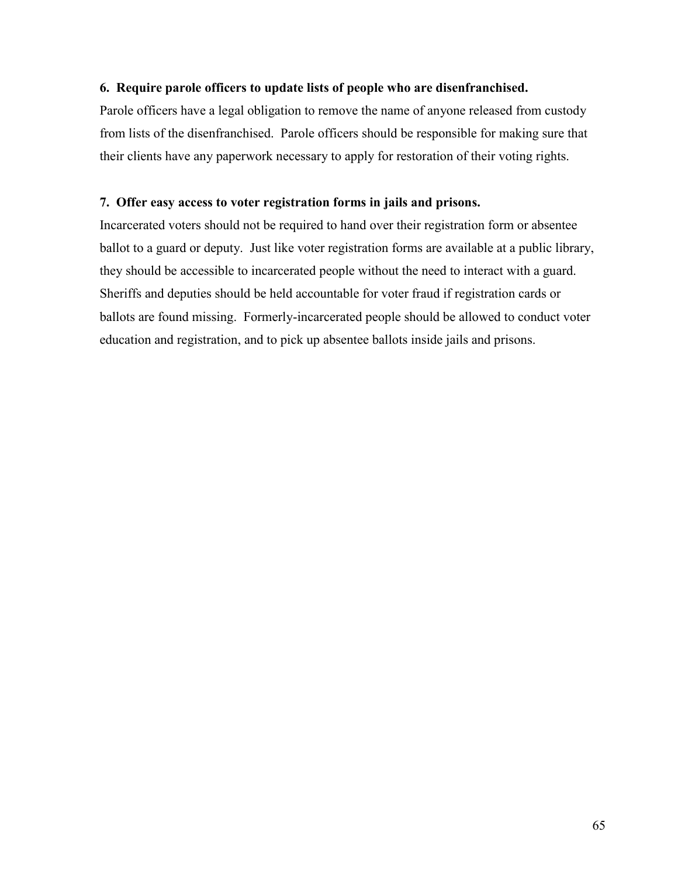#### **6. Require parole officers to update lists of people who are disenfranchised.**

Parole officers have a legal obligation to remove the name of anyone released from custody from lists of the disenfranchised. Parole officers should be responsible for making sure that their clients have any paperwork necessary to apply for restoration of their voting rights.

#### **7. Offer easy access to voter registration forms in jails and prisons.**

Incarcerated voters should not be required to hand over their registration form or absentee ballot to a guard or deputy. Just like voter registration forms are available at a public library, they should be accessible to incarcerated people without the need to interact with a guard. Sheriffs and deputies should be held accountable for voter fraud if registration cards or ballots are found missing. Formerly-incarcerated people should be allowed to conduct voter education and registration, and to pick up absentee ballots inside jails and prisons.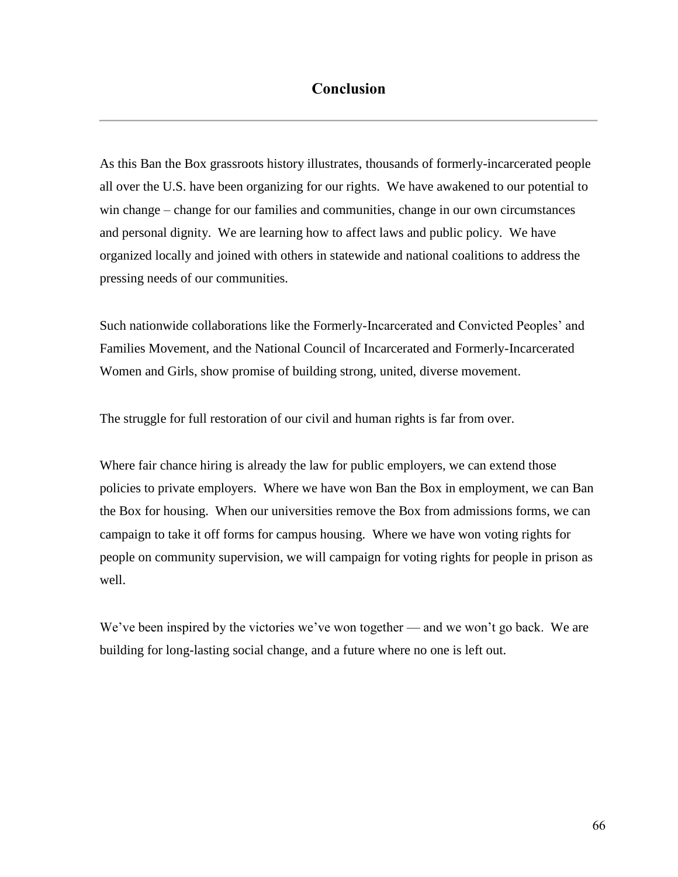# **Conclusion**

As this Ban the Box grassroots history illustrates, thousands of formerly-incarcerated people all over the U.S. have been organizing for our rights. We have awakened to our potential to win change – change for our families and communities, change in our own circumstances and personal dignity. We are learning how to affect laws and public policy. We have organized locally and joined with others in statewide and national coalitions to address the pressing needs of our communities.

Such nationwide collaborations like the Formerly-Incarcerated and Convicted Peoples' and Families Movement, and the National Council of Incarcerated and Formerly-Incarcerated Women and Girls, show promise of building strong, united, diverse movement.

The struggle for full restoration of our civil and human rights is far from over.

Where fair chance hiring is already the law for public employers, we can extend those policies to private employers. Where we have won Ban the Box in employment, we can Ban the Box for housing. When our universities remove the Box from admissions forms, we can campaign to take it off forms for campus housing. Where we have won voting rights for people on community supervision, we will campaign for voting rights for people in prison as well.

We've been inspired by the victories we've won together — and we won't go back. We are building for long-lasting social change, and a future where no one is left out.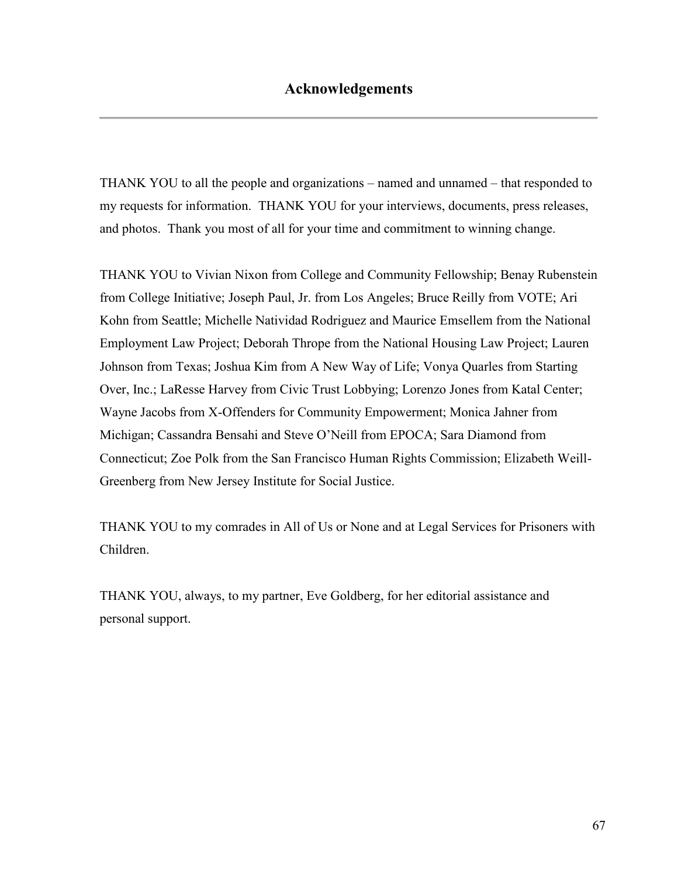THANK YOU to all the people and organizations – named and unnamed – that responded to my requests for information. THANK YOU for your interviews, documents, press releases, and photos. Thank you most of all for your time and commitment to winning change.

THANK YOU to Vivian Nixon from College and Community Fellowship; Benay Rubenstein from College Initiative; Joseph Paul, Jr. from Los Angeles; Bruce Reilly from VOTE; Ari Kohn from Seattle; Michelle Natividad Rodriguez and Maurice Emsellem from the National Employment Law Project; Deborah Thrope from the National Housing Law Project; Lauren Johnson from Texas; Joshua Kim from A New Way of Life; Vonya Quarles from Starting Over, Inc.; LaResse Harvey from Civic Trust Lobbying; Lorenzo Jones from Katal Center; Wayne Jacobs from X-Offenders for Community Empowerment; Monica Jahner from Michigan; Cassandra Bensahi and Steve O'Neill from EPOCA; Sara Diamond from Connecticut; Zoe Polk from the San Francisco Human Rights Commission; Elizabeth Weill-Greenberg from New Jersey Institute for Social Justice.

THANK YOU to my comrades in All of Us or None and at Legal Services for Prisoners with Children.

THANK YOU, always, to my partner, Eve Goldberg, for her editorial assistance and personal support.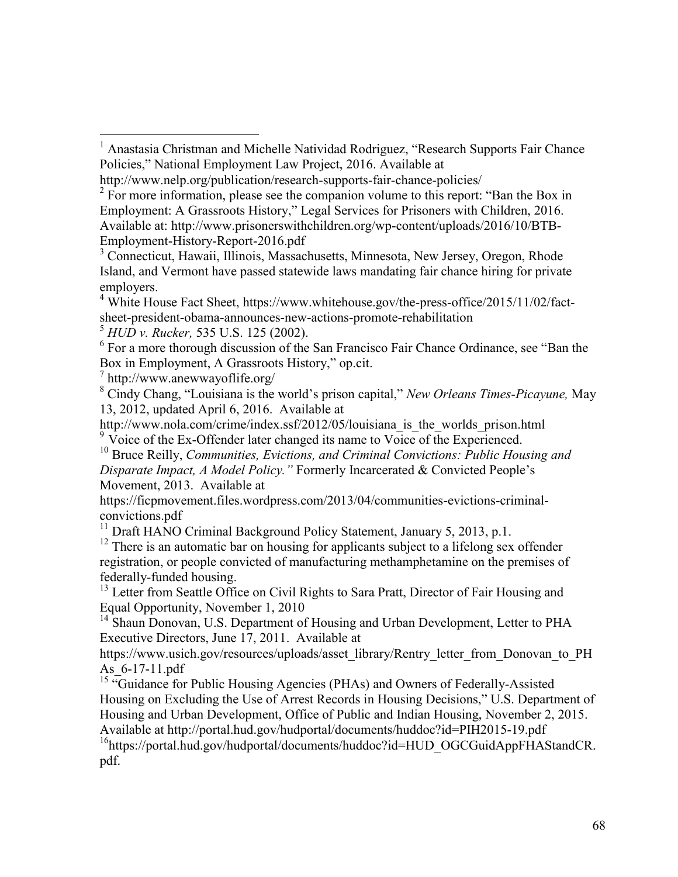<sup>5</sup> *HUD v. Rucker,* 535 U.S. 125 (2002).

<sup>6</sup> For a more thorough discussion of the San Francisco Fair Chance Ordinance, see "Ban the Box in Employment, A Grassroots History," op.cit.

7 http://www.anewwayoflife.org/

 $\overline{a}$ 

<sup>8</sup> Cindy Chang, "Louisiana is the world's prison capital," *New Orleans Times-Picayune,* May 13, 2012, updated April 6, 2016. Available at

http://www.nola.com/crime/index.ssf/2012/05/louisiana\_is\_the\_worlds\_prison.html  $9 \overline{1}$  Voice of the Ex-Offender later changed its name to Voice of the Experienced.

<sup>10</sup> Bruce Reilly, *Communities, Evictions, and Criminal Convictions: Public Housing and Disparate Impact, A Model Policy."* Formerly Incarcerated & Convicted People's Movement, 2013. Available at

https://ficpmovement.files.wordpress.com/2013/04/communities-evictions-criminalconvictions.pdf

<sup>11</sup> Draft HANO Criminal Background Policy Statement, January 5, 2013, p.1.

 $12$  There is an automatic bar on housing for applicants subject to a lifelong sex offender registration, or people convicted of manufacturing methamphetamine on the premises of federally-funded housing.

<sup>13</sup> Letter from Seattle Office on Civil Rights to Sara Pratt, Director of Fair Housing and Equal Opportunity, November 1, 2010

<sup>14</sup> Shaun Donovan, U.S. Department of Housing and Urban Development, Letter to PHA Executive Directors, June 17, 2011. Available at

https://www.usich.gov/resources/uploads/asset\_library/Rentry\_letter\_from\_Donovan\_to\_PH\_ As\_6-17-11.pdf

<sup>15 "</sup>Guidance for Public Housing Agencies (PHAs) and Owners of Federally-Assisted Housing on Excluding the Use of Arrest Records in Housing Decisions," U.S. Department of Housing and Urban Development, Office of Public and Indian Housing, November 2, 2015. Available at http://portal.hud.gov/hudportal/documents/huddoc?id=PIH2015-19.pdf

<sup>16</sup>https://portal.hud.gov/hudportal/documents/huddoc?id=HUD\_OGCGuidAppFHAStandCR. pdf.

<sup>&</sup>lt;sup>1</sup> Anastasia Christman and Michelle Natividad Rodriguez, "Research Supports Fair Chance Policies," National Employment Law Project, 2016. Available at

http://www.nelp.org/publication/research-supports-fair-chance-policies/

 $2^2$  For more information, please see the companion volume to this report: "Ban the Box in Employment: A Grassroots History," Legal Services for Prisoners with Children, 2016. Available at: http://www.prisonerswithchildren.org/wp-content/uploads/2016/10/BTB-Employment-History-Report-2016.pdf

<sup>&</sup>lt;sup>3</sup> Connecticut, Hawaii, Illinois, Massachusetts, Minnesota, New Jersey, Oregon, Rhode Island, and Vermont have passed statewide laws mandating fair chance hiring for private employers.

 $4$  White House Fact Sheet, https://www.whitehouse.gov/the-press-office/2015/11/02/factsheet-president-obama-announces-new-actions-promote-rehabilitation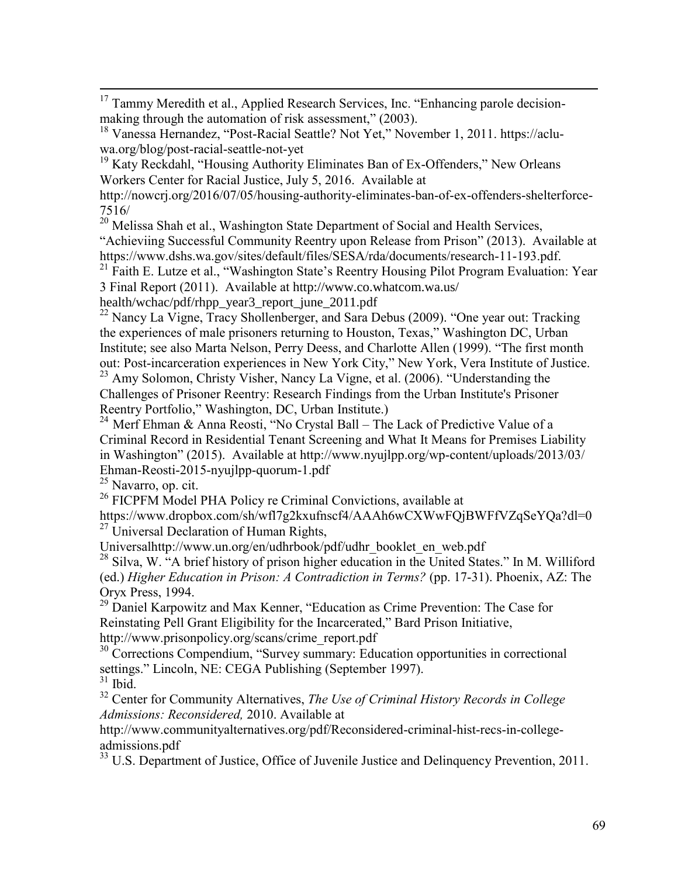$\overline{a}$  $17$  Tammy Meredith et al., Applied Research Services, Inc. "Enhancing parole decisionmaking through the automation of risk assessment," (2003).

<sup>19</sup> Katy Reckdahl, "Housing Authority Eliminates Ban of Ex-Offenders," New Orleans Workers Center for Racial Justice, July 5, 2016. Available at

http://nowcrj.org/2016/07/05/housing-authority-eliminates-ban-of-ex-offenders-shelterforce-7516/

<sup>20</sup> Melissa Shah et al., Washington State Department of Social and Health Services,

"Achieviing Successful Community Reentry upon Release from Prison" (2013). Available at https://www.dshs.wa.gov/sites/default/files/SESA/rda/documents/research-11-193.pdf.

<sup>21</sup> Faith E. Lutze et al., "Washington State's Reentry Housing Pilot Program Evaluation: Year 3 Final Report (2011). Available at http://www.co.whatcom.wa.us/

health/wchac/pdf/rhpp\_year3\_report\_june\_2011.pdf

 $^{22}$  Nancy La Vigne, Tracy Shollenberger, and Sara Debus (2009). "One year out: Tracking the experiences of male prisoners returning to Houston, Texas," Washington DC, Urban Institute; see also Marta Nelson, Perry Deess, and Charlotte Allen (1999). "The first month out: Post-incarceration experiences in New York City," New York, Vera Institute of Justice. <sup>23</sup> Amy Solomon, Christy Visher, Nancy La Vigne, et al. (2006). "Understanding the Challenges of Prisoner Reentry: Research Findings from the Urban Institute's Prisoner

Reentry Portfolio," Washington, DC, Urban Institute.)

<sup>24</sup> Merf Ehman & Anna Reosti, "No Crystal Ball – The Lack of Predictive Value of a Criminal Record in Residential Tenant Screening and What It Means for Premises Liability in Washington" (2015). Available at http://www.nyujlpp.org/wp-content/uploads/2013/03/ Ehman-Reosti-2015-nyujlpp-quorum-1.pdf

<sup>25</sup> Navarro, op. cit.

<sup>26</sup> FICPFM Model PHA Policy re Criminal Convictions, available at

https://www.dropbox.com/sh/wfl7g2kxufnscf4/AAAh6wCXWwFQjBWFfVZqSeYQa?dl=0  $^{27}$  Universal Declaration of Human Rights,

Universalhttp://www.un.org/en/udhrbook/pdf/udhr\_booklet\_en\_web.pdf

<sup>28</sup> Silva, W. "A brief history of prison higher education in the United States." In M. Williford (ed.) *Higher Education in Prison: A Contradiction in Terms?* (pp. 17-31). Phoenix, AZ: The Oryx Press, 1994.

<sup>29</sup> Daniel Karpowitz and Max Kenner, "Education as Crime Prevention: The Case for Reinstating Pell Grant Eligibility for the Incarcerated," Bard Prison Initiative, http://www.prisonpolicy.org/scans/crime\_report.pdf

<sup>30</sup> Corrections Compendium, "Survey summary: Education opportunities in correctional settings." Lincoln, NE: CEGA Publishing (September 1997).

 $31$  Ibid.

<sup>32</sup> Center for Community Alternatives, *The Use of Criminal History Records in College Admissions: Reconsidered,* 2010. Available at

http://www.communityalternatives.org/pdf/Reconsidered-criminal-hist-recs-in-collegeadmissions.pdf

<sup>33</sup> U.S. Department of Justice, Office of Juvenile Justice and Delinquency Prevention, 2011.

<sup>18</sup> Vanessa Hernandez, "Post-Racial Seattle? Not Yet," November 1, 2011. https://acluwa.org/blog/post-racial-seattle-not-yet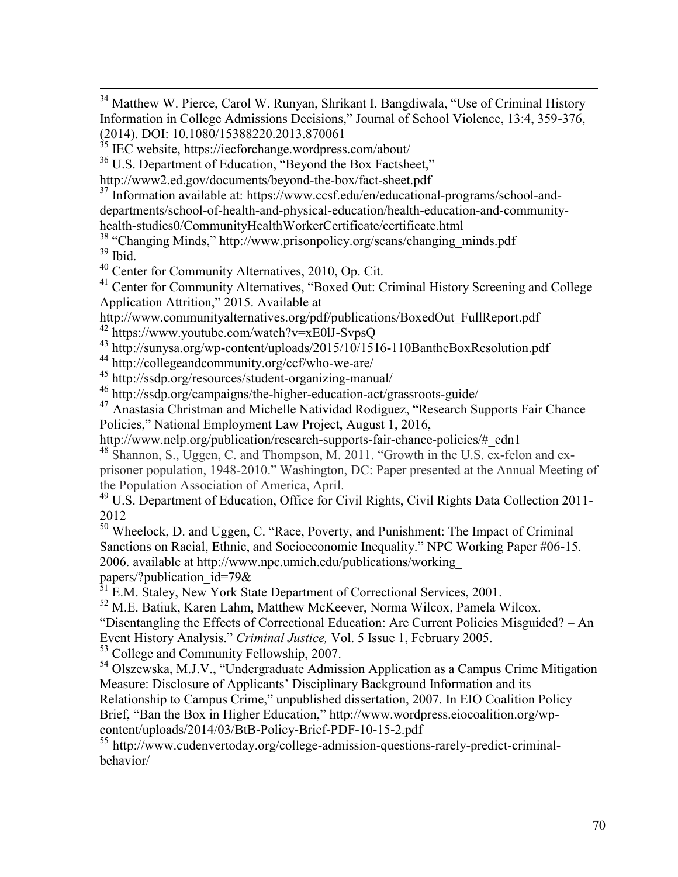<sup>34</sup> Matthew W. Pierce, Carol W. Runyan, Shrikant I. Bangdiwala, "Use of Criminal History Information in College Admissions Decisions," Journal of School Violence, 13:4, 359-376, (2014). DOI: 10.1080/15388220.2013.870061

 $35$  IEC website, https://iecforchange.wordpress.com/about/

 $\overline{a}$ 

<sup>36</sup> U.S. Department of Education, "Beyond the Box Factsheet,"

http://www2.ed.gov/documents/beyond-the-box/fact-sheet.pdf

<sup>37</sup> Information available at: https://www.ccsf.edu/en/educational-programs/school-anddepartments/school-of-health-and-physical-education/health-education-and-community-

health-studies0/CommunityHealthWorkerCertificate/certificate.html

<sup>38</sup> "Changing Minds," http://www.prisonpolicy.org/scans/changing\_minds.pdf <sup>39</sup> Ibid.

<sup>40</sup> Center for Community Alternatives, 2010, Op. Cit.

<sup>41</sup> Center for Community Alternatives, "Boxed Out: Criminal History Screening and College Application Attrition," 2015. Available at

http://www.communityalternatives.org/pdf/publications/BoxedOut\_FullReport.pdf

<sup>42</sup> https://www.youtube.com/watch?v=xE0lJ-SvpsQ

<sup>43</sup> http://sunysa.org/wp-content/uploads/2015/10/1516-110BantheBoxResolution.pdf

<sup>44</sup> http://collegeandcommunity.org/ccf/who-we-are/

<sup>45</sup> http://ssdp.org/resources/student-organizing-manual/

<sup>46</sup> http://ssdp.org/campaigns/the-higher-education-act/grassroots-guide/

<sup>47</sup> Anastasia Christman and Michelle Natividad Rodiguez, "Research Supports Fair Chance Policies," National Employment Law Project, August 1, 2016,

http://www.nelp.org/publication/research-supports-fair-chance-policies/#\_edn1

 $^{48}$  Shannon, S., Uggen, C. and Thompson, M. 2011. "Growth in the U.S. ex-felon and exprisoner population, 1948-2010." Washington, DC: Paper presented at the Annual Meeting of the Population Association of America, April.

<sup>49</sup> U.S. Department of Education, Office for Civil Rights, Civil Rights Data Collection 2011-2012

<sup>50</sup> Wheelock, D. and Uggen, C. "Race, Poverty, and Punishment: The Impact of Criminal Sanctions on Racial, Ethnic, and Socioeconomic Inequality." NPC Working Paper #06-15. 2006. available at http://www.npc.umich.edu/publications/working\_

papers/?publication\_id=79&

 $^{51}$  E.M. Staley, New York State Department of Correctional Services, 2001.

<sup>52</sup> M.E. Batiuk, Karen Lahm, Matthew McKeever, Norma Wilcox, Pamela Wilcox.

"Disentangling the Effects of Correctional Education: Are Current Policies Misguided? – An

Event History Analysis." *Criminal Justice,* Vol. 5 Issue 1, February 2005.

<sup>53</sup> College and Community Fellowship, 2007.

<sup>54</sup> Olszewska, M.J.V., "Undergraduate Admission Application as a Campus Crime Mitigation Measure: Disclosure of Applicants' Disciplinary Background Information and its Relationship to Campus Crime," unpublished dissertation, 2007. In EIO Coalition Policy Brief, "Ban the Box in Higher Education," http://www.wordpress.eiocoalition.org/wpcontent/uploads/2014/03/BtB-Policy-Brief-PDF-10-15-2.pdf

<sup>55</sup> http://www.cudenvertoday.org/college-admission-questions-rarely-predict-criminalbehavior/